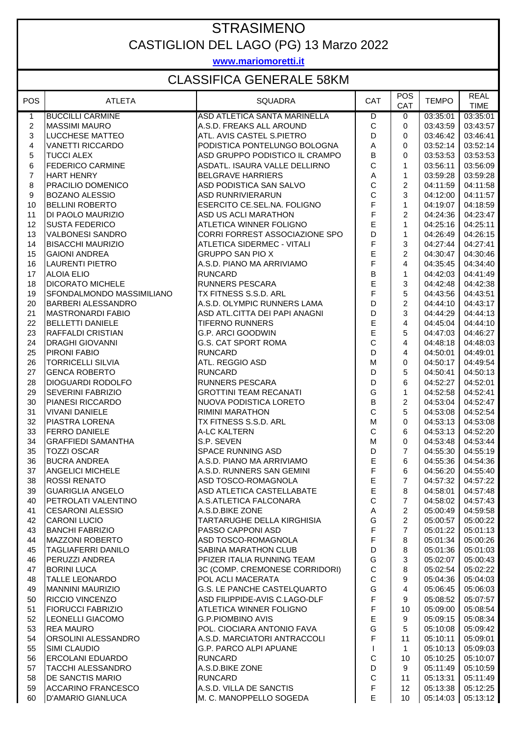### STRASIMENO CASTIGLION DEL LAGO (PG) 13 Marzo 2022

**www.mariomoretti.it**

#### CLASSIFICA GENERALE 58KM

| <b>POS</b>     | <b>ATLETA</b>                                    | <b>SQUADRA</b>                                               | CAT                     | <b>POS</b><br>CAT | <b>TEMPO</b>         | <b>REAL</b><br><b>TIME</b> |
|----------------|--------------------------------------------------|--------------------------------------------------------------|-------------------------|-------------------|----------------------|----------------------------|
| $\mathbf{1}$   | <b>BUCCILLI CARMINE</b>                          | ASD ATLETICA SANTA MARINELLA                                 | $\overline{D}$          | 0                 | 03:35:01             | 03:35:01                   |
| $\overline{c}$ | <b>MASSIMI MAURO</b>                             | A.S.D. FREAKS ALL AROUND                                     | $\mathbf C$             | $\mathbf 0$       | 03:43:59             | 03:43:57                   |
| $\mathfrak{S}$ | <b>LUCCHESE MATTEO</b>                           | ATL. AVIS CASTEL S.PIETRO                                    | D                       | 0                 | 03:46:42             | 03:46:41                   |
| 4              | <b>VANETTI RICCARDO</b>                          | PODISTICA PONTELUNGO BOLOGNA                                 | A                       | 0                 | 03:52:14             | 03:52:14                   |
| 5              | <b>TUCCI ALEX</b>                                | ASD GRUPPO PODISTICO IL CRAMPO                               | B                       | 0                 | 03:53:53             | 03:53:53                   |
| 6              | <b>FEDERICO CARMINE</b>                          | ASDATL. ISAURA VALLE DELLIRNO                                | $\mathsf C$             | $\mathbf{1}$      | 03:56:11             | 03:56:09                   |
| $\overline{7}$ | <b>HART HENRY</b>                                | <b>BELGRAVE HARRIERS</b>                                     | Α                       | $\mathbf{1}$      | 03:59:28             | 03:59:28                   |
| 8              | PRACILIO DOMENICO                                | ASD PODISTICA SAN SALVO                                      | $\mathsf C$             | $\overline{c}$    | 04:11:59             | 04:11:58                   |
| 9              | <b>BOZANO ALESSIO</b>                            | <b>ASD RUNRIVIERARUN</b>                                     | C                       | 3                 | 04:12:00             | 04:11:57                   |
| 10             | <b>BELLINI ROBERTO</b>                           | ESERCITO CE.SEL.NA. FOLIGNO                                  | F                       | $\mathbf{1}$      | 04:19:07             | 04:18:59                   |
| 11             | DI PAOLO MAURIZIO                                | <b>ASD US ACLI MARATHON</b>                                  | F<br>E                  | $\overline{c}$    | 04:24:36             | 04:23:47                   |
| 12             | <b>SUSTA FEDERICO</b>                            | ATLETICA WINNER FOLIGNO                                      | D                       | $\mathbf{1}$      | 04:25:16             | 04:25:11                   |
| 13<br>14       | <b>VALBONESI SANDRO</b>                          | CORRI FORREST ASSOCIAZIONE SPO                               | F                       | $\mathbf{1}$<br>3 | 04:26:49             | 04:26:15<br>04:27:41       |
| 15             | <b>BISACCHI MAURIZIO</b><br><b>GAIONI ANDREA</b> | <b>ATLETICA SIDERMEC - VITALI</b><br><b>GRUPPO SAN PIO X</b> | E                       | 2                 | 04:27:44<br>04:30:47 | 04:30:46                   |
| 16             | <b>LAURENTI PIETRO</b>                           | A.S.D. PIANO MA ARRIVIAMO                                    | F                       | 4                 | 04:35:45             | 04:34:40                   |
| 17             | <b>ALOIA ELIO</b>                                | <b>RUNCARD</b>                                               | B                       | $\mathbf{1}$      | 04:42:03             | 04:41:49                   |
| 18             | <b>DICORATO MICHELE</b>                          | <b>RUNNERS PESCARA</b>                                       | E                       | 3                 | 04:42:48             | 04:42:38                   |
| 19             | SFONDALMONDO MASSIMILIANO                        | TX FITNESS S.S.D. ARL                                        | $\overline{\mathsf{F}}$ | 5                 | 04:43:56             | 04:43:51                   |
| 20             | <b>BARBERI ALESSANDRO</b>                        | A.S.D. OLYMPIC RUNNERS LAMA                                  | D                       | $\overline{2}$    | 04:44:10             | 04:43:17                   |
| 21             | <b>MASTRONARDI FABIO</b>                         | ASD ATL.CITTA DEI PAPI ANAGNI                                | D                       | 3                 | 04:44:29             | 04:44:13                   |
| 22             | <b>BELLETTI DANIELE</b>                          | <b>TIFERNO RUNNERS</b>                                       | E                       | 4                 | 04:45:04             | 04:44:10                   |
| 23             | <b>RAFFALDI CRISTIAN</b>                         | <b>G.P. ARCI GOODWIN</b>                                     | E                       | 5                 | 04:47:03             | 04:46:27                   |
| 24             | <b>DRAGHI GIOVANNI</b>                           | <b>G.S. CAT SPORT ROMA</b>                                   | $\mathsf{C}$            | 4                 | 04:48:18             | 04:48:03                   |
| 25             | PIRONI FABIO                                     | <b>RUNCARD</b>                                               | D                       | 4                 | 04:50:01             | 04:49:01                   |
| 26             | <b>TORRICELLI SILVIA</b>                         | ATL. REGGIO ASD                                              | M                       | 0                 | 04:50:17             | 04:49:54                   |
| 27             | <b>GENCA ROBERTO</b>                             | <b>RUNCARD</b>                                               | D                       | 5                 | 04:50:41             | 04:50:13                   |
| 28             | DIOGUARDI RODOLFO                                | <b>RUNNERS PESCARA</b>                                       | D                       | 6                 | 04:52:27             | 04:52:01                   |
| 29             | <b>SEVERINI FABRIZIO</b>                         | <b>GROTTINI TEAM RECANATI</b>                                | G                       | $\mathbf{1}$      | 04:52:58             | 04:52:41                   |
| 30             | PIANESI RICCARDO                                 | NUOVA PODISTICA LORETO                                       | $\sf B$                 | $\overline{c}$    | 04:53:04             | 04:52:47                   |
| 31             | <b>VIVANI DANIELE</b>                            | <b>RIMINI MARATHON</b>                                       | $\mathsf{C}$            | 5                 | 04:53:08             | 04:52:54                   |
| 32             | PIASTRA LORENA                                   | TX FITNESS S.S.D. ARL                                        | M                       | $\mathbf 0$       | 04:53:13             | 04:53:08                   |
| 33             | <b>FERRO DANIELE</b>                             | <b>A-LC KALTERN</b>                                          | $\mathbf C$             | 6                 | 04:53:13             | 04:52:20                   |
| 34             | <b>GRAFFIEDI SAMANTHA</b>                        | S.P. SEVEN                                                   | M                       | $\mathbf 0$       | 04:53:48             | 04:53:44                   |
| 35             | <b>TOZZI OSCAR</b>                               | <b>SPACE RUNNING ASD</b>                                     | D                       | $\overline{7}$    | 04:55:30             | 04:55:19                   |
| 36             | <b>BUCRA ANDREA</b>                              | A.S.D. PIANO MA ARRIVIAMO                                    | $\mathsf E$             | 6                 | 04:55:36             | 04:54:36                   |
| 37             | <b>ANGELICI MICHELE</b>                          | A.S.D. RUNNERS SAN GEMINI                                    | F                       | 6                 | 04:56:20             | 04:55:40                   |
| 38             | <b>ROSSI RENATO</b>                              | ASD TOSCO-ROMAGNOLA                                          | E                       | 7 <sup>7</sup>    | $04:57:32$ 04:57:22  |                            |
| 39             | <b>GUARIGLIA ANGELO</b>                          | ASD ATLETICA CASTELLABATE                                    | Е                       | 8                 | 04:58:01             | 04:57:48                   |
| 40             | PETROLATI VALENTINO                              | A.S.ATLETICA FALCONARA                                       | $\mathsf C$             | $\overline{7}$    | 04:58:02             | 04:57:43                   |
| 41             | <b>CESARONI ALESSIO</b>                          | A.S.D.BIKE ZONE                                              | A                       | $\overline{2}$    | 05:00:49             | 04:59:58                   |
| 42             | <b>CARONI LUCIO</b>                              | TARTARUGHE DELLA KIRGHISIA                                   | G                       | $\overline{2}$    | 05:00:57             | 05:00:22                   |
| 43             | <b>BANCHI FABRIZIO</b>                           | PASSO CAPPONI ASD                                            | F                       | $\overline{7}$    | 05:01:22             | 05:01:13                   |
| 44             | <b>MAZZONI ROBERTO</b>                           | ASD TOSCO-ROMAGNOLA                                          | F                       | 8                 | 05:01:34             | 05:00:26                   |
| 45             | <b>TAGLIAFERRI DANILO</b>                        | <b>SABINA MARATHON CLUB</b>                                  | D                       | 8                 | 05:01:36             | 05:01:03                   |
| 46             | <b>PERUZZI ANDREA</b>                            | PFIZER ITALIA RUNNING TEAM                                   | G                       | 3                 | 05:02:07             | 05:00:43                   |
| 47             | <b>BORINI LUCA</b>                               | 3C (COMP. CREMONESE CORRIDORI)                               | $\mathsf C$             | 8                 | 05:02:54             | 05:02:22                   |
| 48             | <b>TALLE LEONARDO</b>                            | POL ACLI MACERATA                                            | $\mathsf C$             | 9                 | 05:04:36             | 05:04:03                   |
| 49             | <b>MANNINI MAURIZIO</b>                          | <b>G.S. LE PANCHE CASTELQUARTO</b>                           | G                       | $\overline{4}$    | 05:06:45             | 05:06:03                   |
| 50             | <b>RICCIO VINCENZO</b>                           | ASD FILIPPIDE-AVIS C.LAGO-DLF                                | F                       | 9                 | 05:08:52             | 05:07:57                   |
| 51             | <b>FIORUCCI FABRIZIO</b>                         | ATLETICA WINNER FOLIGNO                                      | F                       | 10                | 05:09:00             | 05:08:54                   |
| 52             | <b>LEONELLI GIACOMO</b>                          | <b>G.P.PIOMBINO AVIS</b>                                     | E                       | 9                 | 05:09:15             | 05:08:34                   |
| 53             | <b>REA MAURO</b>                                 | POL. CIOCIARA ANTONIO FAVA                                   | G                       | 5                 | 05:10:08             | 05:09:42                   |
| 54             | ORSOLINI ALESSANDRO                              | A.S.D. MARCIATORI ANTRACCOLI                                 | F                       | 11                | 05:10:11             | 05:09:01                   |
| 55             | SIMI CLAUDIO                                     | <b>G.P. PARCO ALPI APUANE</b>                                | $\mathbf{I}$            | $\mathbf{1}$      | 05:10:13             | 05:09:03                   |
| 56             | <b>ERCOLANI EDUARDO</b>                          | <b>RUNCARD</b>                                               | $\mathsf C$             | 10                | 05:10:25             | 05:10:07                   |
| 57             | <b>TACCHI ALESSANDRO</b>                         | A.S.D.BIKE ZONE                                              | D                       | 9                 | 05:11:49             | 05:10:59                   |
| 58             | DE SANCTIS MARIO                                 | <b>RUNCARD</b>                                               | $\mathsf C$             | 11                | 05:13:31             | 05:11:49                   |
| 59             | <b>ACCARINO FRANCESCO</b>                        | A.S.D. VILLA DE SANCTIS                                      | F                       | 12 <sup>°</sup>   | 05:13:38             | 05:12:25                   |
| 60             | <b>D'AMARIO GIANLUCA</b>                         | M. C. MANOPPELLO SOGEDA                                      | E                       | 10                | 05:14:03             | 05:13:12                   |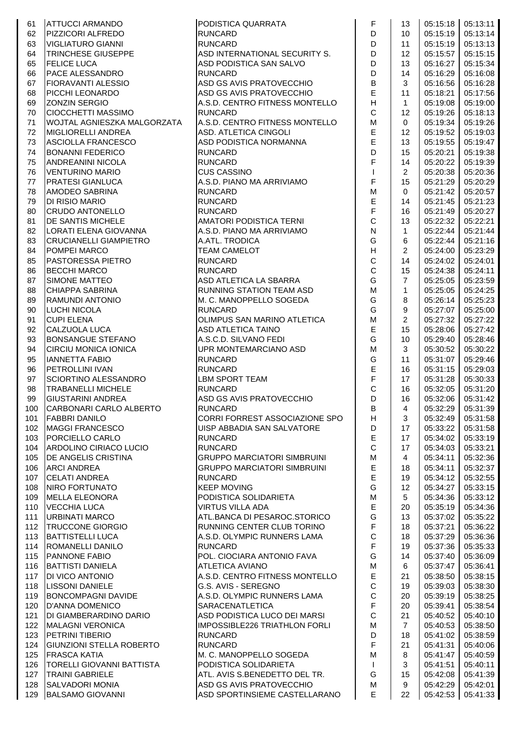| 61  | <b>ATTUCCI ARMANDO</b>           | PODISTICA QUARRATA                 | F                                                                                     | 13              |          | 05:15:18 05:13:11 |
|-----|----------------------------------|------------------------------------|---------------------------------------------------------------------------------------|-----------------|----------|-------------------|
| 62  | PIZZICORI ALFREDO                | <b>RUNCARD</b>                     | D                                                                                     | 10              | 05:15:19 | 05:13:14          |
| 63  | <b>VIGLIATURO GIANNI</b>         | <b>RUNCARD</b>                     | D                                                                                     | 11              | 05:15:19 | 05:13:13          |
| 64  | TRINCHESE GIUSEPPE               | ASD INTERNATIONAL SECURITY S.      | D                                                                                     | 12              | 05:15:57 | 05:15:15          |
| 65  | <b>FELICE LUCA</b>               | ASD PODISTICA SAN SALVO            | D                                                                                     | 13              | 05:16:27 | 05:15:34          |
| 66  | <b>PACE ALESSANDRO</b>           | <b>RUNCARD</b>                     | D                                                                                     | 14              | 05:16:29 | 05:16:08          |
| 67  | <b>FIORAVANTI ALESSIO</b>        | ASD GS AVIS PRATOVECCHIO           | $\sf B$                                                                               | 3               | 05:16:56 | 05:16:28          |
| 68  | PICCHI LEONARDO                  | ASD GS AVIS PRATOVECCHIO           | E                                                                                     | 11              | 05:18:21 | 05:17:56          |
| 69  | <b>ZONZIN SERGIO</b>             | A.S.D. CENTRO FITNESS MONTELLO     | H                                                                                     | $\mathbf 1$     | 05:19:08 | 05:19:00          |
| 70  | <b>CIOCCHETTI MASSIMO</b>        | <b>RUNCARD</b>                     | $\mathsf C$                                                                           | 12              | 05:19:26 | 05:18:13          |
| 71  | WOJTAL AGNIESZKA MALGORZATA      | A.S.D. CENTRO FITNESS MONTELLO     | M                                                                                     | 0               | 05:19:34 | 05:19:26          |
| 72  | MIGLIORELLI ANDREA               | ASD. ATLETICA CINGOLI              | E                                                                                     | 12              | 05:19:52 | 05:19:03          |
| 73  | ASCIOLLA FRANCESCO               | ASD PODISTICA NORMANNA             | E                                                                                     | 13              | 05:19:55 | 05:19:47          |
| 74  | <b>BONANNI FEDERICO</b>          | <b>RUNCARD</b>                     | D                                                                                     | 15              | 05:20:21 | 05:19:38          |
| 75  | ANDREANINI NICOLA                | <b>RUNCARD</b>                     | F                                                                                     | 14              | 05:20:22 | 05:19:39          |
| 76  | <b>VENTURINO MARIO</b>           | <b>CUS CASSINO</b>                 | $\mathbf{I}$                                                                          | $\overline{2}$  | 05:20:38 | 05:20:36          |
| 77  | PRATESI GIANLUCA                 | A.S.D. PIANO MA ARRIVIAMO          | F                                                                                     | 15              | 05:21:29 | 05:20:29          |
| 78  | AMODEO SABRINA                   | <b>RUNCARD</b>                     | M                                                                                     | 0               | 05:21:42 | 05:20:57          |
| 79  | <b>DI RISIO MARIO</b>            | <b>RUNCARD</b>                     | E                                                                                     | 14              | 05:21:45 | 05:21:23          |
| 80  | <b>CRUDO ANTONELLO</b>           | <b>RUNCARD</b>                     | $\mathsf F$                                                                           | 16              | 05:21:49 | 05:20:27          |
| 81  | <b>DE SANTIS MICHELE</b>         | AMATORI PODISTICA TERNI            | $\mathsf{C}$                                                                          | 13              | 05:22:32 | 05:22:21          |
| 82  | LORATI ELENA GIOVANNA            | A.S.D. PIANO MA ARRIVIAMO          | ${\sf N}$                                                                             | $\mathbf{1}$    | 05:22:44 | 05:21:44          |
| 83  | <b>CRUCIANELLI GIAMPIETRO</b>    | A.ATL. TRODICA                     | G                                                                                     | 6               | 05:22:44 | 05:21:16          |
| 84  | POMPEI MARCO                     | <b>TEAM CAMELOT</b>                | $\mathsf H$                                                                           | $\overline{2}$  | 05:24:00 | 05:23:29          |
| 85  | PASTORESSA PIETRO                | <b>RUNCARD</b>                     | $\mathsf C$                                                                           | 14              | 05:24:02 | 05:24:01          |
| 86  | <b>BECCHI MARCO</b>              | <b>RUNCARD</b>                     | $\mathbf C$                                                                           | 15              | 05:24:38 | 05:24:11          |
| 87  | SIMONE MATTEO                    | ASD ATLETICA LA SBARRA             | G                                                                                     | $\overline{7}$  | 05:25:05 | 05:23:59          |
| 88  | CHIAPPA SABRINA                  | RUNNING STATION TEAM ASD           | M                                                                                     | $\mathbf{1}$    | 05:25:05 | 05:24:25          |
| 89  | <b>RAMUNDI ANTONIO</b>           | M. C. MANOPPELLO SOGEDA            | G                                                                                     | 8               | 05:26:14 | 05:25:23          |
| 90  | <b>LUCHI NICOLA</b>              | <b>RUNCARD</b>                     | G                                                                                     | 9               | 05:27:07 | 05:25:00          |
| 91  | <b>CUPI ELENA</b>                | OLIMPUS SAN MARINO ATLETICA        | M                                                                                     | 2               | 05:27:32 | 05:27:22          |
| 92  | CALZUOLA LUCA                    | <b>ASD ATLETICA TAINO</b>          | E                                                                                     | 15              | 05:28:06 | 05:27:42          |
| 93  | BONSANGUE STEFANO                | A.S.C.D. SILVANO FEDI              | G                                                                                     | 10              | 05:29:40 | 05:28:46          |
| 94  | CIRCIU MONICA IONICA             | UPR MONTEMARCIANO ASD              | M                                                                                     | 3               | 05:30:52 | 05:30:22          |
| 95  | <b>IANNETTA FABIO</b>            | <b>RUNCARD</b>                     | G                                                                                     | 11              | 05:31:07 | 05:29:46          |
| 96  | <b>PETROLLINI IVAN</b>           | <b>RUNCARD</b>                     | $\mathsf E$                                                                           | 16              | 05:31:15 | 05:29:03          |
| 97  | <b>SCIORTINO ALESSANDRO</b>      | <b>LBM SPORT TEAM</b>              | $\mathsf F$                                                                           | 17              | 05:31:28 | 05:30:33          |
| 98  | <b>TRABANELLI MICHELE</b>        | <b>RUNCARD</b>                     | $\mathsf{C}$                                                                          | 16              | 05:32:05 | 05:31:20          |
| 99  | <b>GIUSTARINI ANDREA</b>         | ASD GS AVIS PRATOVECCHIO           | D                                                                                     | 16              | 05:32:06 | 05:31:42          |
| 100 | CARBONARI CARLO ALBERTO          | <b>RUNCARD</b>                     | B                                                                                     | $4\overline{ }$ |          | 05:32:29 05:31:39 |
| 101 | <b>FABBRI DANILO</b>             | CORRI FORREST ASSOCIAZIONE SPO     | H                                                                                     | 3               |          | 05:32:49 05:31:58 |
| 102 | <b>MAGGI FRANCESCO</b>           | UISP ABBADIA SAN SALVATORE         | D                                                                                     | 17              | 05:33:22 | 05:31:58          |
| 103 | PORCIELLO CARLO                  | <b>RUNCARD</b>                     | $\mathsf E$                                                                           | 17              | 05:34:02 | 05:33:19          |
| 104 | ARDOLINO CIRIACO LUCIO           | <b>RUNCARD</b>                     | $\mathsf C$                                                                           | 17              | 05:34:03 | 05:33:21          |
| 105 | <b>DE ANGELIS CRISTINA</b>       | <b>GRUPPO MARCIATORI SIMBRUINI</b> | $\mathsf{M}% _{T}=\mathsf{M}_{T}\!\left( a,b\right) ,\ \mathsf{M}_{T}=\mathsf{M}_{T}$ | 4               | 05:34:11 | 05:32:36          |
| 106 | <b>ARCI ANDREA</b>               | <b>GRUPPO MARCIATORI SIMBRUINI</b> | $\mathsf E$                                                                           | 18              | 05:34:11 | 05:32:37          |
| 107 | <b>CELATI ANDREA</b>             | <b>RUNCARD</b>                     | $\mathsf E$                                                                           | 19              | 05:34:12 | 05:32:55          |
| 108 | <b>NIRO FORTUNATO</b>            | <b>KEEP MOVING</b>                 | G                                                                                     | 12              | 05:34:27 | 05:33:15          |
| 109 | MELLA ELEONORA                   | PODISTICA SOLIDARIETA              | $\mathsf{M}% _{T}=\mathsf{M}_{T}\!\left( a,b\right) ,\ \mathsf{M}_{T}=\mathsf{M}_{T}$ | 5               | 05:34:36 | 05:33:12          |
| 110 | <b>VECCHIA LUCA</b>              | <b>VIRTUS VILLA ADA</b>            | $\mathsf E$                                                                           | 20              | 05:35:19 | 05:34:36          |
| 111 | URBINATI MARCO                   | ATL.BANCA DI PESAROC.STORICO       | G                                                                                     | 13              | 05:37:02 | 05:35:22          |
| 112 | <b>TRUCCONE GIORGIO</b>          | RUNNING CENTER CLUB TORINO         | $\mathsf F$                                                                           | 18              | 05:37:21 | 05:36:22          |
| 113 | <b>BATTISTELLI LUCA</b>          | A.S.D. OLYMPIC RUNNERS LAMA        | $\mathsf C$                                                                           | 18              | 05:37:29 | 05:36:36          |
| 114 | <b>ROMANELLI DANILO</b>          | <b>RUNCARD</b>                     | $\mathsf F$                                                                           | 19              | 05:37:36 | 05:35:33          |
| 115 | PANNONE FABIO                    | POL. CIOCIARA ANTONIO FAVA         | G                                                                                     | 14              | 05:37:40 | 05:36:09          |
| 116 | <b>BATTISTI DANIELA</b>          | <b>ATLETICA AVIANO</b>             | ${\sf M}$                                                                             | 6               | 05:37:47 | 05:36:41          |
| 117 | <b>DI VICO ANTONIO</b>           | A.S.D. CENTRO FITNESS MONTELLO     | $\mathsf E$                                                                           | 21              | 05:38:50 | 05:38:15          |
| 118 | <b>LISSONI DANIELE</b>           | G.S. AVIS - SEREGNO                | $\mathsf C$                                                                           | 19              | 05:39:03 | 05:38:30          |
| 119 | <b>BONCOMPAGNI DAVIDE</b>        | A.S.D. OLYMPIC RUNNERS LAMA        | $\mathsf C$                                                                           | 20              | 05:39:19 | 05:38:25          |
| 120 | <b>D'ANNA DOMENICO</b>           | SARACENATLETICA                    | $\mathsf F$                                                                           | 20              | 05:39:41 | 05:38:54          |
| 121 | DI GIAMBERARDINO DARIO           | ASD PODISTICA LUCO DEI MARSI       | $\mathsf C$                                                                           | 21              | 05:40:52 | 05:40:10          |
| 122 | <b>MALAGNI VERONICA</b>          | IMPOSSIBLE226 TRIATHLON FORLI      | $\mathsf{M}% _{T}=\mathsf{M}_{T}\!\left( a,b\right) ,\ \mathsf{M}_{T}=\mathsf{M}_{T}$ | $\overline{7}$  | 05:40:53 | 05:38:50          |
| 123 | PETRINI TIBERIO                  | <b>RUNCARD</b>                     | D                                                                                     | 18              | 05:41:02 | 05:38:59          |
| 124 | <b>GIUNZIONI STELLA ROBERTO</b>  | <b>RUNCARD</b>                     | $\mathsf F$                                                                           | 21              | 05:41:31 | 05:40:06          |
| 125 | <b>FRASCA KATIA</b>              | M. C. MANOPPELLO SOGEDA            | ${\sf M}$                                                                             | 8               | 05:41:47 | 05:40:59          |
| 126 | <b>TORELLI GIOVANNI BATTISTA</b> | PODISTICA SOLIDARIETA              | $\mathbf{I}$                                                                          | 3               | 05:41:51 | 05:40:11          |
| 127 | <b>TRAINI GABRIELE</b>           | ATL. AVIS S.BENEDETTO DEL TR.      | G                                                                                     | 15              | 05:42:08 | 05:41:39          |
| 128 | <b>SALVADORI MONIA</b>           | ASD GS AVIS PRATOVECCHIO           | M                                                                                     | 9               | 05:42:29 | 05:42:01          |
| 129 | <b>BALSAMO GIOVANNI</b>          | ASD SPORTINSIEME CASTELLARANO      | E                                                                                     | 22              |          | 05:42:53 05:41:33 |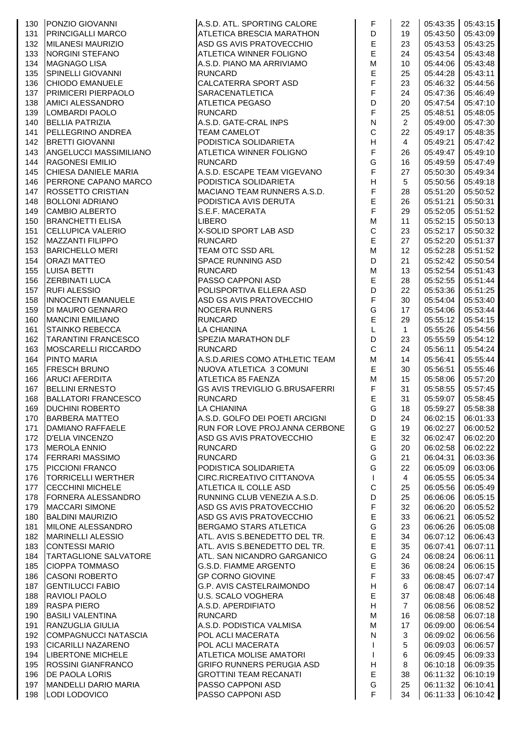|     | 130   PONZIO GIOVANNI      | A.S.D. ATL. SPORTING CALORE           | F                                                                                     | 22              |          | 05:43:35 05:43:15 |
|-----|----------------------------|---------------------------------------|---------------------------------------------------------------------------------------|-----------------|----------|-------------------|
| 131 | <b>PRINCIGALLI MARCO</b>   | <b>ATLETICA BRESCIA MARATHON</b>      | D                                                                                     | 19              | 05:43:50 | 05:43:09          |
| 132 | <b>MILANESI MAURIZIO</b>   | ASD GS AVIS PRATOVECCHIO              | $\mathsf E$                                                                           | 23              | 05:43:53 | 05:43:25          |
| 133 | <b>NORGINI STEFANO</b>     | ATLETICA WINNER FOLIGNO               | E                                                                                     | 24              | 05:43:54 | 05:43:48          |
| 134 | <b>MAGNAGO LISA</b>        | A.S.D. PIANO MA ARRIVIAMO             | M                                                                                     | 10              | 05:44:06 | 05:43:48          |
| 135 | SPINELLI GIOVANNI          | <b>RUNCARD</b>                        | E                                                                                     | 25              | 05:44:28 | 05:43:11          |
| 136 | <b>CHIODO EMANUELE</b>     | <b>CALCATERRA SPORT ASD</b>           | F                                                                                     | 23              | 05:46:32 | 05:44:56          |
| 137 | PRIMICERI PIERPAOLO        | <b>SARACENATLETICA</b>                | F                                                                                     | 24              | 05:47:36 | 05:46:49          |
| 138 | AMICI ALESSANDRO           | <b>ATLETICA PEGASO</b>                | D                                                                                     | 20              | 05:47:54 | 05:47:10          |
| 139 | LOMBARDI PAOLO             | <b>RUNCARD</b>                        | F                                                                                     | 25              | 05:48:51 | 05:48:05          |
| 140 | <b>BELLIA PATRIZIA</b>     | A.S.D. GATE-CRAL INPS                 | ${\sf N}$                                                                             | $\overline{2}$  | 05:49:00 | 05:47:30          |
| 141 | PELLEGRINO ANDREA          | <b>TEAM CAMELOT</b>                   | $\mathsf{C}$                                                                          | 22              | 05:49:17 | 05:48:35          |
| 142 | <b>BRETTI GIOVANNI</b>     | PODISTICA SOLIDARIETA                 | $\boldsymbol{\mathsf{H}}$                                                             | 4               | 05:49:21 | 05:47:42          |
| 143 | ANGELUCCI MASSIMILIANO     | ATLETICA WINNER FOLIGNO               | $\mathsf F$                                                                           | 26              | 05:49:47 | 05:49:10          |
| 144 | <b>RAGONESI EMILIO</b>     | <b>RUNCARD</b>                        | G                                                                                     | 16              | 05:49:59 | 05:47:49          |
| 145 | CHIESA DANIELE MARIA       | A.S.D. ESCAPE TEAM VIGEVANO           | $\overline{F}$                                                                        | 27              | 05:50:30 | 05:49:34          |
| 146 | PERRONE CAPANO MARCO       | PODISTICA SOLIDARIETA                 | $\mathsf H$                                                                           | 5               | 05:50:56 | 05:49:18          |
| 147 | <b>ROSSETTO CRISTIAN</b>   | MACIANO TEAM RUNNERS A.S.D.           | F                                                                                     | 28              | 05:51:20 | 05:50:52          |
| 148 | <b>BOLLONI ADRIANO</b>     | PODISTICA AVIS DERUTA                 | E                                                                                     | 26              | 05:51:21 | 05:50:31          |
| 149 | <b>CAMBIO ALBERTO</b>      | S.E.F. MACERATA                       | F                                                                                     | 29              | 05:52:05 | 05:51:52          |
| 150 | <b>BRANCHETTI ELISA</b>    | <b>LIBERO</b>                         | M                                                                                     | 11              | 05:52:15 | 05:50:13          |
| 151 | <b>CELLUPICA VALERIO</b>   | X-SOLID SPORT LAB ASD                 | $\mathsf C$                                                                           | 23              | 05:52:17 | 05:50:32          |
| 152 | <b>MAZZANTI FILIPPO</b>    | <b>RUNCARD</b>                        | E                                                                                     | 27              | 05:52:20 | 05:51:37          |
| 153 | <b>BARICHELLO MERI</b>     | TEAM OTC SSD ARL                      | $\mathsf{M}% _{T}=\mathsf{M}_{T}\!\left( a,b\right) ,\ \mathsf{M}_{T}=\mathsf{M}_{T}$ | 12 <sup>2</sup> | 05:52:28 | 05:51:52          |
| 154 | <b>ORAZI MATTEO</b>        | <b>SPACE RUNNING ASD</b>              | D                                                                                     | 21              | 05:52:42 | 05:50:54          |
| 155 | LUISA BETTI                | <b>RUNCARD</b>                        | M                                                                                     | 13              | 05:52:54 | 05:51:43          |
| 156 | <b>ZERBINATI LUCA</b>      | PASSO CAPPONI ASD                     | E                                                                                     | 28              | 05:52:55 | 05:51:44          |
| 157 | <b>RUFI ALESSIO</b>        | POLISPORTIVA ELLERA ASD               | D                                                                                     | 22              | 05:53:36 | 05:51:25          |
| 158 | INNOCENTI EMANUELE         | ASD GS AVIS PRATOVECCHIO              | $\mathsf F$                                                                           | 30              | 05:54:04 | 05:53:40          |
| 159 | DI MAURO GENNARO           | <b>NOCERA RUNNERS</b>                 | G                                                                                     | 17              | 05:54:06 | 05:53:44          |
| 160 | <b>MANCINI EMILIANO</b>    | <b>RUNCARD</b>                        | E                                                                                     | 29              | 05:55:12 | 05:54:15          |
| 161 | <b>STAINKO REBECCA</b>     | <b>LA CHIANINA</b>                    | L                                                                                     | 1.              | 05:55:26 | 05:54:56          |
| 162 | <b>TARANTINI FRANCESCO</b> | SPEZIA MARATHON DLF                   | D                                                                                     | 23              | 05:55:59 | 05:54:12          |
| 163 | <b>MOSCARELLI RICCARDO</b> | <b>RUNCARD</b>                        | $\mathsf{C}$                                                                          | 24              | 05:56:11 | 05:54:24          |
| 164 | <b>PINTO MARIA</b>         | A.S.D.ARIES COMO ATHLETIC TEAM        | M                                                                                     | 14              | 05:56:41 | 05:55:44          |
| 165 | <b>FRESCH BRUNO</b>        | NUOVA ATLETICA 3 COMUNI               | E                                                                                     | 30              | 05:56:51 | 05:55:46          |
| 166 | <b>ARUCI AFERDITA</b>      | ATLETICA 85 FAENZA                    | M                                                                                     | 15              | 05:58:06 | 05:57:20          |
| 167 | <b>BELLINI ERNESTO</b>     | <b>GS AVIS TREVIGLIO G.BRUSAFERRI</b> | $\mathsf F$                                                                           | 31              | 05:58:55 | 05:57:45          |
| 168 | <b>BALLATORI FRANCESCO</b> | <b>RUNCARD</b>                        | E                                                                                     | 31              | 05:59:07 | 05:58:45          |
| 169 | <b>DUCHINI ROBERTO</b>     | <b>LA CHIANINA</b>                    | G                                                                                     | 18              | 05:59:27 | 05:58:38          |
| 170 | <b>BARBERA MATTEO</b>      | A.S.D. GOLFO DEI POETI ARCIGNI        | D                                                                                     | 24              | 06:02:15 | 06:01:33          |
| 171 | DAMIANO RAFFAELE           | RUN FOR LOVE PROJ.ANNA CERBONE        | G                                                                                     | 19              | 06:02:27 | 06:00:52          |
|     | 172   D'ELIA VINCENZO      | ASD GS AVIS PRATOVECCHIO              | E                                                                                     | 32              | 06:02:47 | 06:02:20          |
| 173 | <b>MEROLA ENNIO</b>        | <b>RUNCARD</b>                        | G                                                                                     | 20              | 06:02:58 | 06:02:22          |
| 174 | <b>FERRARI MASSIMO</b>     | <b>RUNCARD</b>                        | G                                                                                     | 21              | 06:04:31 | 06:03:36          |
| 175 | PICCIONI FRANCO            | PODISTICA SOLIDARIETA                 | G                                                                                     | 22              | 06:05:09 | 06:03:06          |
| 176 | TORRICELLI WERTHER         | CIRC.RICREATIVO CITTANOVA             | $\mathbf{I}$                                                                          | 4               | 06:05:55 | 06:05:34          |
| 177 | <b>CECCHINI MICHELE</b>    | ATLETICA IL COLLE ASD                 | $\mathsf{C}$                                                                          | 25              | 06:05:56 | 06:05:49          |
| 178 | FORNERA ALESSANDRO         | RUNNING CLUB VENEZIA A.S.D.           | D                                                                                     | 25              | 06:06:06 | 06:05:15          |
| 179 | <b>MACCARI SIMONE</b>      | ASD GS AVIS PRATOVECCHIO              | $\mathsf F$                                                                           | 32              | 06:06:20 | 06:05:52          |
| 180 | <b>BALDINI MAURIZIO</b>    | ASD GS AVIS PRATOVECCHIO              | $\mathsf E$                                                                           | 33              | 06:06:21 | 06:05:52          |
| 181 | MILONE ALESSANDRO          | <b>BERGAMO STARS ATLETICA</b>         | G                                                                                     | 23              | 06:06:26 | 06:05:08          |
| 182 | <b>MARINELLI ALESSIO</b>   | ATL. AVIS S.BENEDETTO DEL TR.         | $\mathsf E$                                                                           | 34              | 06:07:12 | 06:06:43          |
| 183 | <b>CONTESSI MARIO</b>      | ATL. AVIS S.BENEDETTO DEL TR.         | $\mathsf E$                                                                           | 35              | 06:07:41 | 06:07:11          |
| 184 | TARTAGLIONE SALVATORE      | ATL. SAN NICANDRO GARGANICO           | G                                                                                     | 24              | 06:08:24 | 06:06:11          |
| 185 | <b>CIOPPA TOMMASO</b>      | <b>G.S.D. FIAMME ARGENTO</b>          | $\mathsf E$                                                                           | 36              | 06:08:24 | 06:06:15          |
| 186 | <b>CASONI ROBERTO</b>      | <b>GP CORNO GIOVINE</b>               | $\mathsf F$                                                                           | 33              | 06:08:45 | 06:07:47          |
| 187 | <b>GENTILUCCI FABIO</b>    | <b>G.P. AVIS CASTELRAIMONDO</b>       | $\boldsymbol{\mathsf{H}}$                                                             | 6               | 06:08:47 | 06:07:14          |
| 188 | RAVIOLI PAOLO              | <b>U.S. SCALO VOGHERA</b>             | $\mathsf E$                                                                           | 37              | 06:08:48 | 06:06:48          |
| 189 | <b>RASPA PIERO</b>         | A.S.D. APERDIFIATO                    | H                                                                                     | $\overline{7}$  | 06:08:56 | 06:08:52          |
| 190 | <b>BASILI VALENTINA</b>    | <b>RUNCARD</b>                        | M                                                                                     | 16              | 06:08:58 | 06:07:18          |
| 191 | RANZUGLIA GIULIA           | A.S.D. PODISTICA VALMISA              | M                                                                                     | 17              | 06:09:00 | 06:06:54          |
| 192 | COMPAGNUCCI NATASCIA       | POL ACLI MACERATA                     | N                                                                                     | 3               | 06:09:02 | 06:06:56          |
| 193 | <b>CICARILLI NAZARENO</b>  | POL ACLI MACERATA                     | $\mathbf{I}$                                                                          | 5               | 06:09:03 | 06:06:57          |
| 194 | <b>LIBERTONE MICHELE</b>   | ATLETICA MOLISE AMATORI               | T                                                                                     | 6               | 06:09:45 | 06:09:33          |
| 195 | <b>ROSSINI GIANFRANCO</b>  | <b>GRIFO RUNNERS PERUGIA ASD</b>      | $\boldsymbol{\mathsf{H}}$                                                             | 8               | 06:10:18 | 06:09:35          |
| 196 | <b>DE PAOLA LORIS</b>      | <b>GROTTINI TEAM RECANATI</b>         | $\mathsf E$                                                                           | 38              | 06:11:32 | 06:10:19          |
|     | 197   MANDELLI DARIO MARIA | PASSO CAPPONI ASD                     | G                                                                                     | 25              | 06:11:32 | 06:10:41          |
|     | 198  LODI LODOVICO         | PASSO CAPPONI ASD                     | $\overline{F}$                                                                        | 34              | 06:11:33 | 06:10:42          |
|     |                            |                                       |                                                                                       |                 |          |                   |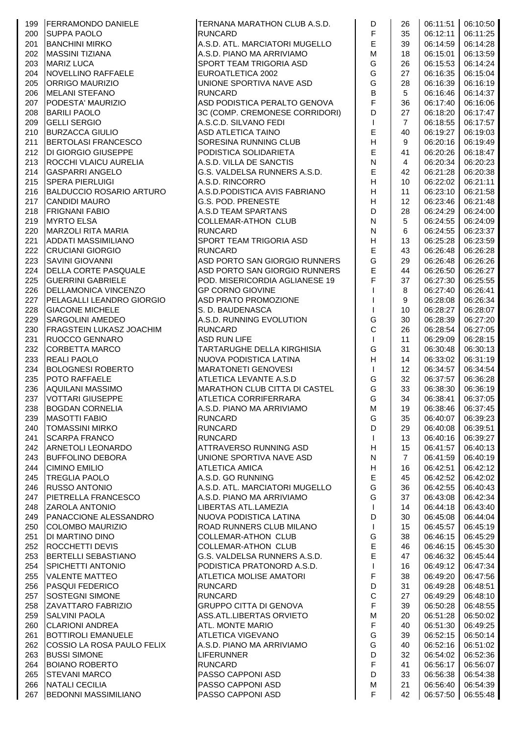| 199 | <b>FERRAMONDO DANIELE</b>       | TERNANA MARATHON CLUB A.S.D.         | D                                                           | 26             | 06:11:51 | 06:10:50          |
|-----|---------------------------------|--------------------------------------|-------------------------------------------------------------|----------------|----------|-------------------|
| 200 | <b>SUPPA PAOLO</b>              | <b>RUNCARD</b>                       | F                                                           | 35             | 06:12:11 | 06:11:25          |
| 201 | <b>BANCHINI MIRKO</b>           | A.S.D. ATL. MARCIATORI MUGELLO       | E                                                           | 39             | 06:14:59 | 06:14:28          |
|     |                                 |                                      |                                                             |                |          |                   |
| 202 | <b>MASSINI TIZIANA</b>          | A.S.D. PIANO MA ARRIVIAMO            | M                                                           | 18             | 06:15:01 | 06:13:59          |
| 203 | <b>MARIZ LUCA</b>               | <b>SPORT TEAM TRIGORIA ASD</b>       | G                                                           | 26             | 06:15:53 | 06:14:24          |
| 204 | NOVELLINO RAFFAELE              | EUROATLETICA 2002                    | G                                                           | 27             | 06:16:35 | 06:15:04          |
| 205 | <b>ORRIGO MAURIZIO</b>          | UNIONE SPORTIVA NAVE ASD             | G                                                           | 28             | 06:16:39 | 06:16:19          |
| 206 | <b>MELANI STEFANO</b>           | <b>RUNCARD</b>                       | $\overline{B}$                                              | 5              | 06:16:46 | 06:14:37          |
| 207 | PODESTA' MAURIZIO               | ASD PODISTICA PERALTO GENOVA         | F                                                           | 36             | 06:17:40 | 06:16:06          |
| 208 | <b>BARILI PAOLO</b>             | 3C (COMP. CREMONESE CORRIDORI)       | D                                                           | 27             | 06:18:20 | 06:17:47          |
| 209 | <b>GELLI SERGIO</b>             | A.S.C.D. SILVANO FEDI                | $\mathsf{I}$                                                | $\overline{7}$ | 06:18:55 | 06:17:57          |
| 210 |                                 |                                      | $\mathsf E$                                                 | 40             |          | 06:19:03          |
|     | <b>BURZACCA GIULIO</b>          | <b>ASD ATLETICA TAINO</b>            |                                                             |                | 06:19:27 |                   |
| 211 | <b>BERTOLASI FRANCESCO</b>      | SORESINA RUNNING CLUB                | $\boldsymbol{\mathsf{H}}$                                   | 9              | 06:20:16 | 06:19:49          |
| 212 | <b>DI GIORGIO GIUSEPPE</b>      | PODISTICA SOLIDARIETA                | $\mathsf E$                                                 | 41             | 06:20:26 | 06:18:47          |
| 213 | ROCCHI VLAICU AURELIA           | A.S.D. VILLA DE SANCTIS              | ${\sf N}$                                                   | 4              | 06:20:34 | 06:20:23          |
| 214 | <b>GASPARRI ANGELO</b>          | G.S. VALDELSA RUNNERS A.S.D.         | E                                                           | 42             | 06:21:28 | 06:20:38          |
| 215 | <b>SPERA PIERLUIGI</b>          | A.S.D. RINCORRO                      | $\boldsymbol{\mathsf{H}}$                                   | 10             | 06:22:02 | 06:21:11          |
| 216 | <b>BALDUCCIO ROSARIO ARTURO</b> | A.S.D.PODISTICA AVIS FABRIANO        | H                                                           | 11             | 06:23:10 | 06:21:58          |
| 217 | <b>CANDIDI MAURO</b>            | <b>G.S. POD. PRENESTE</b>            | H                                                           | 12             | 06:23:46 | 06:21:48          |
| 218 | <b>FRIGNANI FABIO</b>           | A.S.D TEAM SPARTANS                  | D                                                           | 28             | 06:24:29 | 06:24:00          |
|     |                                 |                                      |                                                             |                |          |                   |
| 219 | <b>MYRTO ELSA</b>               | <b>COLLEMAR-ATHON CLUB</b>           | $\mathsf{N}$                                                | 5              | 06:24:55 | 06:24:09          |
| 220 | MARZOLI RITA MARIA              | <b>RUNCARD</b>                       | ${\sf N}$                                                   | 6              | 06:24:55 | 06:23:37          |
| 221 | <b>ADDATI MASSIMILIANO</b>      | SPORT TEAM TRIGORIA ASD              | $\boldsymbol{\mathsf{H}}$                                   | 13             | 06:25:28 | 06:23:59          |
| 222 | <b>CRUCIANI GIORGIO</b>         | <b>RUNCARD</b>                       | E                                                           | 43             | 06:26:48 | 06:26:28          |
| 223 | <b>SAVINI GIOVANNI</b>          | ASD PORTO SAN GIORGIO RUNNERS        | G                                                           | 29             | 06:26:48 | 06:26:26          |
| 224 | <b>DELLA CORTE PASQUALE</b>     | ASD PORTO SAN GIORGIO RUNNERS        | E                                                           | 44             | 06:26:50 | 06:26:27          |
| 225 | <b>GUERRINI GABRIELE</b>        | POD. MISERICORDIA AGLIANESE 19       | F                                                           | 37             | 06:27:30 | 06:25:55          |
| 226 | <b>DELLAMONICA VINCENZO</b>     | <b>GP CORNO GIOVINE</b>              |                                                             | 8              | 06:27:40 | 06:26:41          |
|     |                                 |                                      |                                                             |                |          |                   |
| 227 | PELAGALLI LEANDRO GIORGIO       | ASD PRATO PROMOZIONE                 |                                                             | 9              | 06:28:08 | 06:26:34          |
| 228 | <b>GIACONE MICHELE</b>          | S. D. BAUDENASCA                     | $\mathsf{I}$                                                | 10             | 06:28:27 | 06:28:07          |
| 229 | <b>SARGOLINI AMEDEO</b>         | A.S.D. RUNNING EVOLUTION             | G                                                           | 30             | 06:28:39 | 06:27:20          |
| 230 | <b>FRAGSTEIN LUKASZ JOACHIM</b> | <b>RUNCARD</b>                       | $\mathsf{C}$                                                | 26             | 06:28:54 | 06:27:05          |
| 231 | <b>RUOCCO GENNARO</b>           | <b>ASD RUN LIFE</b>                  | $\mathbf{I}$                                                | 11             | 06:29:09 | 06:28:15          |
| 232 | <b>CORBETTA MARCO</b>           | TARTARUGHE DELLA KIRGHISIA           | G                                                           | 31             | 06:30:48 | 06:30:13          |
| 233 | <b>REALI PAOLO</b>              | NUOVA PODISTICA LATINA               | $\mathsf{H}% _{\mathbb{R}}^{1}\left( \mathbb{R}^{2}\right)$ | 14             | 06:33:02 | 06:31:19          |
| 234 | <b>BOLOGNESI ROBERTO</b>        | <b>MARATONETI GENOVESI</b>           | $\mathbf{I}$                                                | 12             | 06:34:57 | 06:34:54          |
| 235 | <b>POTO RAFFAELE</b>            |                                      | G                                                           |                |          |                   |
|     |                                 | ATLETICA LEVANTE A.S.D               |                                                             | 32             | 06:37:57 | 06:36:28          |
| 236 | AQUILANI MASSIMO                | <b>MARATHON CLUB CITTA DI CASTEL</b> | G                                                           | 33             | 06:38:30 | 06:36:19          |
| 237 | <b>VOTTARI GIUSEPPE</b>         | <b>ATLETICA CORRIFERRARA</b>         | G                                                           | 34             | 06:38:41 | 06:37:05          |
| 238 | <b>BOGDAN CORNELIA</b>          | A.S.D. PIANO MA ARRIVIAMO            | M                                                           | 19             |          | 06:38:46 06:37:45 |
| 239 | <b>MASOTTI FABIO</b>            | <b>RUNCARD</b>                       | G                                                           | 35             | 06:40:07 | 06:39:23          |
| 240 | <b>TOMASSINI MIRKO</b>          | <b>RUNCARD</b>                       | D                                                           | 29             | 06:40:08 | 06:39:51          |
| 241 | <b>SCARPA FRANCO</b>            | <b>RUNCARD</b>                       | $\mathbf{I}$                                                | 13             | 06:40:16 | 06:39:27          |
| 242 | ARNETOLI LEONARDO               | ATTRAVERSO RUNNING ASD               | $\boldsymbol{\mathsf{H}}$                                   | 15             | 06:41:57 | 06:40:13          |
| 243 | <b>BUFFOLINO DEBORA</b>         | UNIONE SPORTIVA NAVE ASD             | ${\sf N}$                                                   | $\overline{7}$ | 06:41:59 | 06:40:19          |
|     |                                 |                                      |                                                             |                |          |                   |
| 244 | <b>CIMINO EMILIO</b>            | <b>ATLETICA AMICA</b>                | $\boldsymbol{\mathsf{H}}$                                   | 16             | 06:42:51 | 06:42:12          |
| 245 | <b>TREGLIA PAOLO</b>            | A.S.D. GO RUNNING                    | $\mathsf E$                                                 | 45             | 06:42:52 | 06:42:02          |
| 246 | <b>RUSSO ANTONIO</b>            | A.S.D. ATL. MARCIATORI MUGELLO       | G                                                           | 36             | 06:42:55 | 06:40:43          |
| 247 | PIETRELLA FRANCESCO             | A.S.D. PIANO MA ARRIVIAMO            | G                                                           | 37             | 06:43:08 | 06:42:34          |
| 248 | <b>ZAROLA ANTONIO</b>           | LIBERTAS ATL.LAMEZIA                 | $\mathbf{I}$                                                | 14             | 06:44:18 | 06:43:40          |
| 249 | PANACCIONE ALESSANDRO           | NUOVA PODISTICA LATINA               | D                                                           | 30             | 06:45:08 | 06:44:04          |
| 250 | COLOMBO MAURIZIO                | ROAD RUNNERS CLUB MILANO             | $\mathbf{I}$                                                | 15             | 06:45:57 | 06:45:19          |
| 251 | DI MARTINO DINO                 | <b>COLLEMAR-ATHON CLUB</b>           | G                                                           | 38             | 06:46:15 | 06:45:29          |
| 252 | <b>ROCCHETTI DEVIS</b>          | <b>COLLEMAR-ATHON CLUB</b>           | $\mathsf E$                                                 | 46             | 06:46:15 | 06:45:30          |
|     |                                 |                                      | $\mathsf E$                                                 |                |          |                   |
| 253 | BERTELLI SEBASTIANO             | G.S. VALDELSA RUNNERS A.S.D.         |                                                             | 47             | 06:46:32 | 06:45:44          |
| 254 | SPICHETTI ANTONIO               | PODISTICA PRATONORD A.S.D.           | $\mathbf{I}$                                                | 16             | 06:49:12 | 06:47:34          |
| 255 | <b>VALENTE MATTEO</b>           | <b>ATLETICA MOLISE AMATORI</b>       | $\mathsf F$                                                 | 38             | 06:49:20 | 06:47:56          |
| 256 | <b>PASQUI FEDERICO</b>          | <b>RUNCARD</b>                       | D                                                           | 31             | 06:49:28 | 06:48:51          |
| 257 | <b>SOSTEGNI SIMONE</b>          | <b>RUNCARD</b>                       | $\mathsf C$                                                 | 27             | 06:49:29 | 06:48:10          |
| 258 | ZAVATTARO FABRIZIO              | <b>GRUPPO CITTA DI GENOVA</b>        | $\mathsf F$                                                 | 39             | 06:50:28 | 06:48:55          |
| 259 | <b>SALVINI PAOLA</b>            | ASS.ATL.LIBERTAS ORVIETO             | M                                                           | 20             | 06:51:28 | 06:50:02          |
| 260 | <b>CLARIONI ANDREA</b>          | ATL. MONTE MARIO                     | $\mathsf F$                                                 | 40             | 06:51:30 | 06:49:25          |
|     |                                 |                                      | G                                                           |                |          |                   |
| 261 | <b>BOTTIROLI EMANUELE</b>       | <b>ATLETICA VIGEVANO</b>             |                                                             | 39             | 06:52:15 | 06:50:14          |
| 262 | COSSIO LA ROSA PAULO FELIX      | A.S.D. PIANO MA ARRIVIAMO            | G                                                           | 40             | 06:52:16 | 06:51:02          |
| 263 | <b>BUSSI SIMONE</b>             | <b>LIFERUNNER</b>                    | D                                                           | 32             | 06:54:02 | 06:52:36          |
| 264 | <b>BOIANO ROBERTO</b>           | <b>RUNCARD</b>                       | $\mathsf F$                                                 | 41             | 06:56:17 | 06:56:07          |
| 265 | <b>STEVANI MARCO</b>            | <b>PASSO CAPPONI ASD</b>             | D                                                           | 33             | 06:56:38 | 06:54:38          |
| 266 | <b>NATALI CECILIA</b>           | PASSO CAPPONI ASD                    | M                                                           | 21             | 06:56:40 | 06:54:39          |
| 267 | <b>BEDONNI MASSIMILIANO</b>     | PASSO CAPPONI ASD                    | F                                                           | 42             | 06:57:50 | 06:55:48          |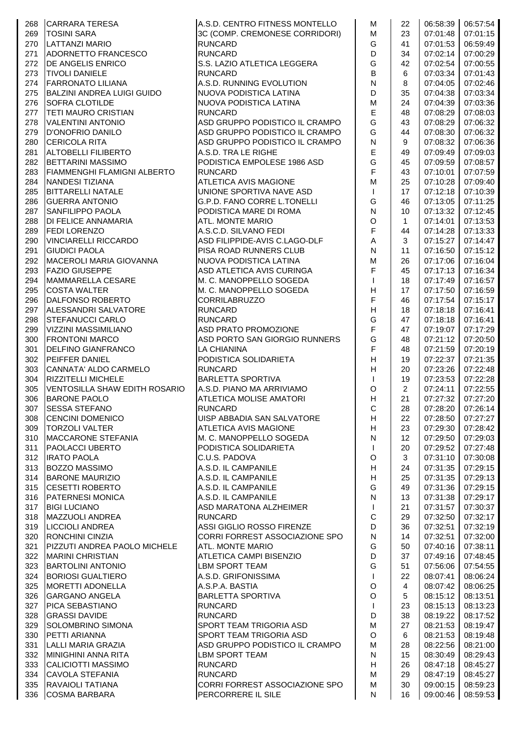| 268 | <b>CARRARA TERESA</b>                | A.S.D. CENTRO FITNESS MONTELLO | M                         | 22           | 06:58:39 | 06:57:54          |
|-----|--------------------------------------|--------------------------------|---------------------------|--------------|----------|-------------------|
| 269 | <b>TOSINI SARA</b>                   | 3C (COMP. CREMONESE CORRIDORI) | M                         | 23           | 07:01:48 | 07:01:15          |
| 270 | LATTANZI MARIO                       | <b>RUNCARD</b>                 | G                         | 41           | 07:01:53 | 06:59:49          |
| 271 | ADORNETTO FRANCESCO                  | <b>RUNCARD</b>                 | D                         | 34           | 07:02:14 | 07:00:29          |
| 272 | <b>DE ANGELIS ENRICO</b>             | S.S. LAZIO ATLETICA LEGGERA    | G                         | 42           | 07:02:54 | 07:00:55          |
| 273 | <b>TIVOLI DANIELE</b>                | <b>RUNCARD</b>                 | B                         | 6            | 07:03:34 | 07:01:43          |
| 274 | <b>FARRONATO LILIANA</b>             | A.S.D. RUNNING EVOLUTION       | $\mathsf{N}$              | 8            | 07:04:05 | 07:02:46          |
| 275 | <b>BALZINI ANDREA LUIGI GUIDO</b>    | NUOVA PODISTICA LATINA         | D                         | 35           | 07:04:38 | 07:03:34          |
|     |                                      |                                | M                         |              |          | 07:03:36          |
| 276 | <b>SOFRA CLOTILDE</b>                | NUOVA PODISTICA LATINA         |                           | 24           | 07:04:39 |                   |
| 277 | <b>TETI MAURO CRISTIAN</b>           | <b>RUNCARD</b>                 | E                         | 48           | 07:08:29 | 07:08:03          |
| 278 | <b>VALENTINI ANTONIO</b>             | ASD GRUPPO PODISTICO IL CRAMPO | G                         | 43           | 07:08:29 | 07:06:32          |
| 279 | D'ONOFRIO DANILO                     | ASD GRUPPO PODISTICO IL CRAMPO | G                         | 44           | 07:08:30 | 07:06:32          |
| 280 | <b>CERICOLA RITA</b>                 | ASD GRUPPO PODISTICO IL CRAMPO | $\mathsf{N}$              | 9            | 07:08:32 | 07:06:36          |
| 281 | <b>ALTOBELLI FILIBERTO</b>           | A.S.D. TRA LE RIGHE            | E                         | 49           | 07:09:49 | 07:09:03          |
| 282 | <b>BETTARINI MASSIMO</b>             | PODISTICA EMPOLESE 1986 ASD    | G                         | 45           | 07:09:59 | 07:08:57          |
| 283 | <b>FIAMMENGHI FLAMIGNI ALBERTO</b>   | <b>RUNCARD</b>                 | F                         | 43           | 07:10:01 | 07:07:59          |
| 284 | <b>NANDESI TIZIANA</b>               | <b>ATLETICA AVIS MAGIONE</b>   | M                         | 25           | 07:10:28 | 07:09:40          |
| 285 | <b>BITTARELLI NATALE</b>             | UNIONE SPORTIVA NAVE ASD       | $\mathbf{I}$              | 17           | 07:12:18 | 07:10:39          |
| 286 | <b>GUERRA ANTONIO</b>                | G.P.D. FANO CORRE L.TONELLI    | G                         | 46           | 07:13:05 | 07:11:25          |
| 287 | <b>SANFILIPPO PAOLA</b>              | PODISTICA MARE DI ROMA         | $\mathsf{N}$              | 10           | 07:13:32 | 07:12:45          |
| 288 | <b>DI FELICE ANNAMARIA</b>           | <b>ATL. MONTE MARIO</b>        | $\circ$                   | $\mathbf{1}$ | 07:14:01 | 07:13:53          |
|     |                                      | A.S.C.D. SILVANO FEDI          |                           |              |          |                   |
| 289 | <b>FEDI LORENZO</b>                  |                                | F                         | 44           | 07:14:28 | 07:13:33          |
| 290 | <b>VINCIARELLI RICCARDO</b>          | ASD FILIPPIDE-AVIS C.LAGO-DLF  | Α                         | 3            | 07:15:27 | 07:14:47          |
| 291 | <b>GIUDICI PAOLA</b>                 | PISA ROAD RUNNERS CLUB         | $\mathsf{N}$              | 11           | 07:16:50 | 07:15:12          |
| 292 | MACEROLI MARIA GIOVANNA              | NUOVA PODISTICA LATINA         | M                         | 26           | 07:17:06 | 07:16:04          |
| 293 | <b>FAZIO GIUSEPPE</b>                | ASD ATLETICA AVIS CURINGA      | F                         | 45           | 07:17:13 | 07:16:34          |
| 294 | MAMMARELLA CESARE                    | M. C. MANOPPELLO SOGEDA        | $\mathsf{I}$              | 18           | 07:17:49 | 07:16:57          |
| 295 | <b>COSTA WALTER</b>                  | M. C. MANOPPELLO SOGEDA        | H                         | 17           | 07:17:50 | 07:16:59          |
| 296 | DALFONSO ROBERTO                     | <b>CORRILABRUZZO</b>           | F                         | 46           | 07:17:54 | 07:15:17          |
| 297 | <b>ALESSANDRI SALVATORE</b>          | <b>RUNCARD</b>                 | $\overline{H}$            | 18           | 07:18:18 | 07:16:41          |
| 298 | <b>STEFANUCCI CARLO</b>              | <b>RUNCARD</b>                 | G                         | 47           | 07:18:18 | 07:16:41          |
| 299 | <b>VIZZINI MASSIMILIANO</b>          | ASD PRATO PROMOZIONE           | F                         | 47           | 07:19:07 | 07:17:29          |
| 300 | <b>FRONTONI MARCO</b>                | ASD PORTO SAN GIORGIO RUNNERS  | G                         | 48           | 07:21:12 | 07:20:50          |
| 301 | <b>DELFINO GIANFRANCO</b>            | LA CHIANINA                    | F                         | 48           | 07:21:59 | 07:20:19          |
| 302 | PEIFFER DANIEL                       | PODISTICA SOLIDARIETA          | H                         | 19           | 07:22:37 | 07:21:35          |
|     | CANNATA' ALDO CARMELO                |                                | H                         |              |          |                   |
| 303 |                                      | <b>RUNCARD</b>                 |                           | 20           | 07:23:26 | 07:22:48          |
| 304 | <b>RIZZITELLI MICHELE</b>            | <b>BARLETTA SPORTIVA</b>       | T                         | 19           | 07:23:53 | 07:22:28          |
| 305 | <b>VENTOSILLA SHAW EDITH ROSARIO</b> | A.S.D. PIANO MA ARRIVIAMO      | O                         | 2            | 07:24:11 | 07:22:55          |
| 306 | <b>BARONE PAOLO</b>                  | ATLETICA MOLISE AMATORI        | H                         | 21           | 07:27:32 | 07:27:20          |
| 307 | <b>SESSA STEFANO</b>                 | RUNCARD                        | $\mathsf C$               | 28           |          | 07:28:20 07:26:14 |
| 308 | <b>CENCINI DOMENICO</b>              | UISP ABBADIA SAN SALVATORE     | H                         | 22           |          | 07:28:50 07:27:27 |
| 309 | <b>TORZOLI VALTER</b>                | <b>ATLETICA AVIS MAGIONE</b>   | H                         | 23           | 07:29:30 | 07:28:42          |
| 310 | MACCARONE STEFANIA                   | M. C. MANOPPELLO SOGEDA        | $\mathsf{N}$              | 12           | 07:29:50 | 07:29:03          |
| 311 | <b>PAOLACCI UBERTO</b>               | PODISTICA SOLIDARIETA          | $\mathbf{I}$              | 20           | 07:29:52 | 07:27:48          |
| 312 | <b>IRATO PAOLA</b>                   | C.U.S. PADOVA                  | $\circ$                   | 3            | 07:31:10 | 07:30:08          |
| 313 | <b>BOZZO MASSIMO</b>                 | A.S.D. IL CAMPANILE            | Н                         | 24           | 07:31:35 | 07:29:15          |
| 314 | <b>BARONE MAURIZIO</b>               | A.S.D. IL CAMPANILE            | $\boldsymbol{\mathsf{H}}$ | 25           | 07:31:35 | 07:29:13          |
| 315 | <b>CESETTI ROBERTO</b>               | A.S.D. IL CAMPANILE            | G                         | 49           | 07:31:36 | 07:29:15          |
| 316 | <b>PATERNESI MONICA</b>              | A.S.D. IL CAMPANILE            | N                         | 13           | 07:31:38 | 07:29:17          |
| 317 | <b>BIGI LUCIANO</b>                  | ASD MARATONA ALZHEIMER         | $\mathbf{I}$              | 21           | 07:31:57 | 07:30:37          |
| 318 | <b>MAZZUOLI ANDREA</b>               | <b>RUNCARD</b>                 | $\mathsf{C}$              | 29           | 07:32:50 | 07:32:17          |
| 319 | <b>LICCIOLI ANDREA</b>               | ASSI GIGLIO ROSSO FIRENZE      | D                         | 36           | 07:32:51 | 07:32:19          |
|     | <b>RONCHINI CINZIA</b>               |                                | ${\sf N}$                 | 14           |          |                   |
| 320 |                                      | CORRI FORREST ASSOCIAZIONE SPO |                           |              | 07:32:51 | 07:32:00          |
| 321 | PIZZUTI ANDREA PAOLO MICHELE         | ATL. MONTE MARIO               | G                         | 50           | 07:40:16 | 07:38:11          |
| 322 | <b>MARINI CHRISTIAN</b>              | ATLETICA CAMPI BISENZIO        | D                         | 37           | 07:49:16 | 07:48:45          |
| 323 | <b>BARTOLINI ANTONIO</b>             | <b>LBM SPORT TEAM</b>          | G                         | 51           | 07:56:06 | 07:54:55          |
| 324 | <b>BORIOSI GUALTIERO</b>             | A.S.D. GRIFONISSIMA            | T                         | 22           | 08:07:41 | 08:06:24          |
| 325 | MORETTI ADONELLA                     | A.S.P.A. BASTIA                | $\circ$                   | 4            | 08:07:42 | 08:06:25          |
| 326 | <b>GARGANO ANGELA</b>                | <b>BARLETTA SPORTIVA</b>       | $\circ$                   | 5            | 08:15:12 | 08:13:51          |
| 327 | PICA SEBASTIANO                      | <b>RUNCARD</b>                 | $\mathbf{I}$              | 23           | 08:15:13 | 08:13:23          |
| 328 | <b>GRASSI DAVIDE</b>                 | <b>RUNCARD</b>                 | D                         | 38           | 08:19:22 | 08:17:52          |
| 329 | SOLOMBRINO SIMONA                    | SPORT TEAM TRIGORIA ASD        | M                         | 27           | 08:21:53 | 08:19:47          |
| 330 | <b>PETTI ARIANNA</b>                 | SPORT TEAM TRIGORIA ASD        | O                         | 6            | 08:21:53 | 08:19:48          |
| 331 | <b>LALLI MARIA GRAZIA</b>            | ASD GRUPPO PODISTICO IL CRAMPO | M                         | 28           | 08:22:56 | 08:21:00          |
| 332 | MINIGHINI ANNA RITA                  | <b>LBM SPORT TEAM</b>          | N                         | 15           | 08:30:49 | 08:29:43          |
| 333 | CALICIOTTI MASSIMO                   | <b>RUNCARD</b>                 | H                         | 26           | 08:47:18 | 08:45:27          |
| 334 | <b>CAVOLA STEFANIA</b>               | <b>RUNCARD</b>                 | M                         | 29           | 08:47:19 | 08:45:27          |
| 335 | <b>RAVAIOLI TATIANA</b>              | CORRI FORREST ASSOCIAZIONE SPO | M                         | 30           | 09:00:15 | 08:59:23          |
| 336 | <b>COSMA BARBARA</b>                 | PERCORRERE IL SILE             | N                         | 16           | 09:00:46 | 08:59:53          |
|     |                                      |                                |                           |              |          |                   |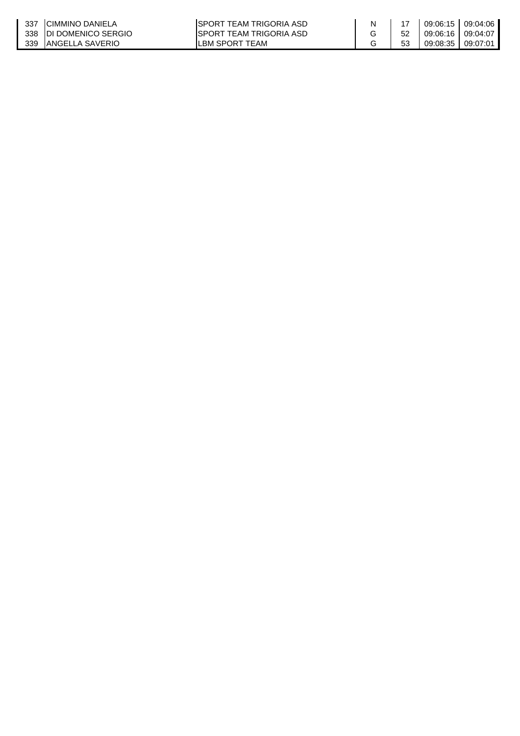| 337 | ICIMMINO DANIELA        | ISPORT TEAM TRIGORIA ASD |    |                     | 09:06:15   09:04:06 |
|-----|-------------------------|--------------------------|----|---------------------|---------------------|
|     | 338 IDI DOMENICO SERGIO | ISPORT TEAM TRIGORIA ASD |    | 09:06:16   09:04:07 |                     |
| 339 | IANGELLA SAVERIO        | LBM SPORT TEAM           | 53 |                     | 09:08:35   09:07:01 |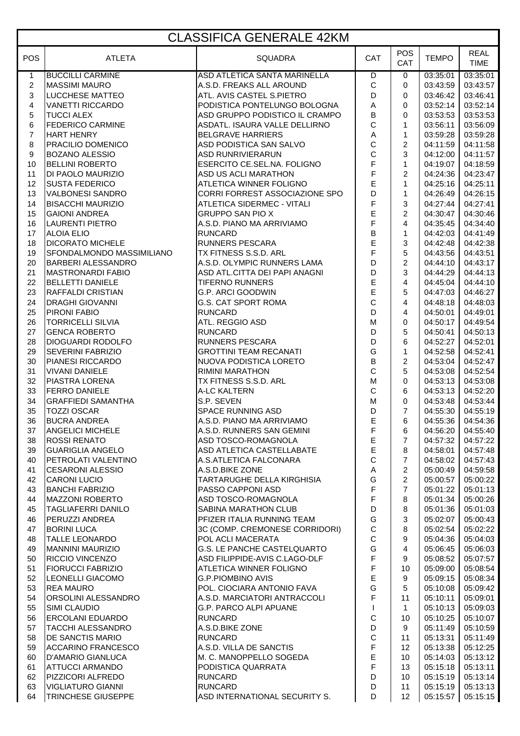#### CLASSIFICA GENERALE 42KM

|                |                            | <u>ULAO II TUA ULITERA ILE FERIM</u> |              |                         |              |                            |
|----------------|----------------------------|--------------------------------------|--------------|-------------------------|--------------|----------------------------|
| POS            | <b>ATLETA</b>              | <b>SQUADRA</b>                       | CAT          | <b>POS</b><br>CAT       | <b>TEMPO</b> | <b>REAL</b><br><b>TIME</b> |
| $\mathbf{1}$   | <b>BUCCILLI CARMINE</b>    | ASD ATLETICA SANTA MARINELLA         | D            | 0                       | 03:35:01     | 03:35:01                   |
| $\overline{c}$ | <b>MASSIMI MAURO</b>       | A.S.D. FREAKS ALL AROUND             | $\mathsf C$  | 0                       | 03:43:59     | 03:43:57                   |
| 3              | <b>LUCCHESE MATTEO</b>     | ATL. AVIS CASTEL S.PIETRO            | D            | 0                       | 03:46:42     | 03:46:41                   |
| 4              | <b>VANETTI RICCARDO</b>    | PODISTICA PONTELUNGO BOLOGNA         | А            | 0                       | 03:52:14     | 03:52:14                   |
| 5              | <b>TUCCI ALEX</b>          | ASD GRUPPO PODISTICO IL CRAMPO       | B            | 0                       | 03:53:53     | 03:53:53                   |
| 6              | <b>FEDERICO CARMINE</b>    | ASDATL. ISAURA VALLE DELLIRNO        | $\mathsf{C}$ | $\mathbf{1}$            | 03:56:11     | 03:56:09                   |
| $\overline{7}$ | <b>HART HENRY</b>          | <b>BELGRAVE HARRIERS</b>             | Α            | 1                       | 03:59:28     | 03:59:28                   |
| 8              |                            | ASD PODISTICA SAN SALVO              | $\mathsf C$  | 2                       |              | 04:11:58                   |
|                | <b>PRACILIO DOMENICO</b>   |                                      |              | 3                       | 04:11:59     |                            |
| 9              | <b>BOZANO ALESSIO</b>      | <b>ASD RUNRIVIERARUN</b>             | $\mathsf C$  |                         | 04:12:00     | 04:11:57                   |
| 10             | <b>BELLINI ROBERTO</b>     | ESERCITO CE.SEL.NA. FOLIGNO          | F            | $\mathbf{1}$            | 04:19:07     | 04:18:59                   |
| 11             | DI PAOLO MAURIZIO          | ASD US ACLI MARATHON                 | F            | 2                       | 04:24:36     | 04:23:47                   |
| 12             | <b>SUSTA FEDERICO</b>      | ATLETICA WINNER FOLIGNO              | E            | $\mathbf{1}$            | 04:25:16     | 04:25:11                   |
| 13             | <b>VALBONESI SANDRO</b>    | CORRI FORREST ASSOCIAZIONE SPO       | D            | $\mathbf{1}$            | 04:26:49     | 04:26:15                   |
| 14             | <b>BISACCHI MAURIZIO</b>   | ATLETICA SIDERMEC - VITALI           | F            | 3                       | 04:27:44     | 04:27:41                   |
| 15             | <b>GAIONI ANDREA</b>       | GRUPPO SAN PIO X                     | E            | $\overline{2}$          | 04:30:47     | 04:30:46                   |
| 16             | <b>LAURENTI PIETRO</b>     | A.S.D. PIANO MA ARRIVIAMO            | F            | $\overline{4}$          | 04:35:45     | 04:34:40                   |
| 17             | <b>ALOIA ELIO</b>          | <b>RUNCARD</b>                       | B            | $\mathbf{1}$            | 04:42:03     | 04:41:49                   |
| 18             | <b>DICORATO MICHELE</b>    | RUNNERS PESCARA                      | E            | 3                       | 04:42:48     | 04:42:38                   |
| 19             | SFONDALMONDO MASSIMILIANO  | TX FITNESS S.S.D. ARL                | F            | 5                       | 04:43:56     | 04:43:51                   |
| 20             | <b>BARBERI ALESSANDRO</b>  | A.S.D. OLYMPIC RUNNERS LAMA          | D            | $\overline{c}$          | 04:44:10     | 04:43:17                   |
| 21             | <b>MASTRONARDI FABIO</b>   | ASD ATL.CITTA DEI PAPI ANAGNI        | D            | 3                       | 04:44:29     | 04:44:13                   |
| 22             | <b>BELLETTI DANIELE</b>    | <b>TIFERNO RUNNERS</b>               | E            | $\overline{4}$          | 04:45:04     | 04:44:10                   |
| 23             | <b>RAFFALDI CRISTIAN</b>   | <b>G.P. ARCI GOODWIN</b>             | E            | 5                       | 04:47:03     | 04:46:27                   |
|                |                            |                                      | C            |                         |              |                            |
| 24             | <b>DRAGHI GIOVANNI</b>     | G.S. CAT SPORT ROMA                  |              | $\overline{4}$          | 04:48:18     | 04:48:03                   |
| 25             | PIRONI FABIO               | <b>RUNCARD</b>                       | D            | 4                       | 04:50:01     | 04:49:01                   |
| 26             | <b>TORRICELLI SILVIA</b>   | ATL. REGGIO ASD                      | M            | 0                       | 04:50:17     | 04:49:54                   |
| 27             | <b>GENCA ROBERTO</b>       | <b>RUNCARD</b>                       | D            | 5                       | 04:50:41     | 04:50:13                   |
| 28             | <b>DIOGUARDI RODOLFO</b>   | RUNNERS PESCARA                      | D            | 6                       | 04:52:27     | 04:52:01                   |
| 29             | <b>SEVERINI FABRIZIO</b>   | <b>GROTTINI TEAM RECANATI</b>        | G            | 1                       | 04:52:58     | 04:52:41                   |
| 30             | <b>PIANESI RICCARDO</b>    | NUOVA PODISTICA LORETO               | $\sf B$      | $\overline{c}$          | 04:53:04     | 04:52:47                   |
| 31             | <b>VIVANI DANIELE</b>      | RIMINI MARATHON                      | $\mathsf{C}$ | 5                       | 04:53:08     | 04:52:54                   |
| 32             | <b>PIASTRA LORENA</b>      | TX FITNESS S.S.D. ARL                | M            | 0                       | 04:53:13     | 04:53:08                   |
| 33             | <b>FERRO DANIELE</b>       | A-LC KALTERN                         | $\mathsf{C}$ | 6                       | 04:53:13     | 04:52:20                   |
| 34             | <b>GRAFFIEDI SAMANTHA</b>  | S.P. SEVEN                           | M            | $\mathbf 0$             | 04:53:48     | 04:53:44                   |
| 35             | <b>TOZZI OSCAR</b>         | SPACE RUNNING ASD                    | D            | $\overline{7}$          | 04:55:30     | 04:55:19                   |
| 36             | <b>BUCRA ANDREA</b>        | A.S.D. PIANO MA ARRIVIAMO            | $\mathsf E$  | 6                       | 04:55:36     | 04:54:36                   |
| 37             | <b>ANGELICI MICHELE</b>    | A.S.D. RUNNERS SAN GEMINI            | F            | 6                       | 04:56:20     | 04:55:40                   |
| 38             | <b>ROSSI RENATO</b>        | ASD TOSCO-ROMAGNOLA                  | Е            | $\overline{7}$          |              | 04:57:32 04:57:22          |
| 39             | <b>GUARIGLIA ANGELO</b>    | ASD ATLETICA CASTELLABATE            | E            | 8                       | 04:58:01     | 04:57:48                   |
| 40             | <b>PETROLATI VALENTINO</b> | A.S.ATLETICA FALCONARA               | $\mathsf C$  | $\overline{7}$          | 04:58:02     | 04:57:43                   |
| 41             | <b>CESARONI ALESSIO</b>    | A.S.D.BIKE ZONE                      | Α            | $\overline{2}$          | 05:00:49     | 04:59:58                   |
|                |                            | TARTARUGHE DELLA KIRGHISIA           | G            | $\overline{2}$          | 05:00:57     |                            |
| 42             | <b>CARONI LUCIO</b>        |                                      |              |                         |              | 05:00:22                   |
| 43             | <b>BANCHI FABRIZIO</b>     | PASSO CAPPONI ASD                    | F            | $\overline{7}$          | 05:01:22     | 05:01:13                   |
| 44             | <b>MAZZONI ROBERTO</b>     | ASD TOSCO-ROMAGNOLA                  | F            | 8                       | 05:01:34     | 05:00:26                   |
| 45             | <b>TAGLIAFERRI DANILO</b>  | SABINA MARATHON CLUB                 | D            | 8                       | 05:01:36     | 05:01:03                   |
| 46             | <b>PERUZZI ANDREA</b>      | PFIZER ITALIA RUNNING TEAM           | G            | 3                       | 05:02:07     | 05:00:43                   |
| 47             | <b>BORINI LUCA</b>         | 3C (COMP. CREMONESE CORRIDORI)       | C            | 8                       | 05:02:54     | 05:02:22                   |
| 48             | <b>TALLE LEONARDO</b>      | POL ACLI MACERATA                    | $\mathsf C$  | 9                       | 05:04:36     | 05:04:03                   |
| 49             | <b>MANNINI MAURIZIO</b>    | G.S. LE PANCHE CASTELQUARTO          | G            | $\overline{\mathbf{4}}$ | 05:06:45     | 05:06:03                   |
| 50             | RICCIO VINCENZO            | ASD FILIPPIDE-AVIS C.LAGO-DLF        | F            | 9                       | 05:08:52     | 05:07:57                   |
| 51             | <b>FIORUCCI FABRIZIO</b>   | ATLETICA WINNER FOLIGNO              | F            | 10                      | 05:09:00     | 05:08:54                   |
| 52             | LEONELLI GIACOMO           | <b>G.P.PIOMBINO AVIS</b>             | Е            | 9                       | 05:09:15     | 05:08:34                   |
| 53             | <b>REA MAURO</b>           | POL. CIOCIARA ANTONIO FAVA           | G            | 5                       | 05:10:08     | 05:09:42                   |
| 54             | <b>ORSOLINI ALESSANDRO</b> | A.S.D. MARCIATORI ANTRACCOLI         | F            | 11                      | 05:10:11     | 05:09:01                   |
| 55             | SIMI CLAUDIO               | G.P. PARCO ALPI APUANE               | $\mathbf{I}$ | $\mathbf{1}$            | 05:10:13     | 05:09:03                   |
| 56             | <b>ERCOLANI EDUARDO</b>    | <b>RUNCARD</b>                       | C            | 10                      | 05:10:25     | 05:10:07                   |
| 57             | TACCHI ALESSANDRO          | A.S.D.BIKE ZONE                      | D            | 9                       | 05:11:49     | 05:10:59                   |
| 58             | <b>DE SANCTIS MARIO</b>    | <b>RUNCARD</b>                       | $\mathsf C$  | 11                      | 05:13:31     | 05:11:49                   |
| 59             | ACCARINO FRANCESCO         | A.S.D. VILLA DE SANCTIS              | F            | 12 <sup>°</sup>         | 05:13:38     | 05:12:25                   |
| 60             | D'AMARIO GIANLUCA          | M. C. MANOPPELLO SOGEDA              | E            | 10                      | 05:14:03     | 05:13:12                   |
| 61             | ATTUCCI ARMANDO            | PODISTICA QUARRATA                   | F            | 13                      | 05:15:18     | 05:13:11                   |
|                |                            |                                      | D            |                         |              |                            |
| 62<br>63       | PIZZICORI ALFREDO          | <b>RUNCARD</b>                       |              | 10                      | 05:15:19     | 05:13:14                   |
|                | <b>VIGLIATURO GIANNI</b>   | <b>RUNCARD</b>                       | D            | 11                      | 05:15:19     | 05:13:13                   |
| 64             | <b>TRINCHESE GIUSEPPE</b>  | ASD INTERNATIONAL SECURITY S.        | D            | 12                      | 05:15:57     | 05:15:15                   |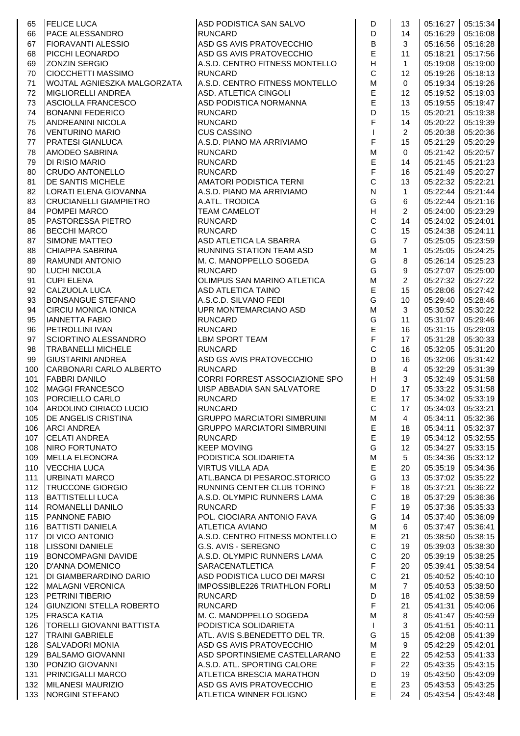| 65  | <b>FELICE LUCA</b>              | ASD PODISTICA SAN SALVO            | D                         | 13               |          | 05:16:27 05:15:34  |
|-----|---------------------------------|------------------------------------|---------------------------|------------------|----------|--------------------|
| 66  | <b>PACE ALESSANDRO</b>          | <b>RUNCARD</b>                     | D                         | 14               | 05:16:29 | 05:16:08           |
| 67  | <b>IFIORAVANTI ALESSIO</b>      | ASD GS AVIS PRATOVECCHIO           | B                         | 3                | 05:16:56 | 05:16:28           |
| 68  | PICCHI LEONARDO                 | ASD GS AVIS PRATOVECCHIO           | $\mathsf E$               | 11               | 05:18:21 | 05:17:56           |
| 69  | <b>ZONZIN SERGIO</b>            | A.S.D. CENTRO FITNESS MONTELLO     | H                         | $\mathbf{1}$     | 05:19:08 | 05:19:00           |
| 70  | <b>CIOCCHETTI MASSIMO</b>       | <b>RUNCARD</b>                     | $\mathsf C$               | 12               | 05:19:26 | 05:18:13           |
| 71  | WOJTAL AGNIESZKA MALGORZATA     | A.S.D. CENTRO FITNESS MONTELLO     | M                         | 0                | 05:19:34 | 05:19:26           |
|     |                                 | ASD. ATLETICA CINGOLI              | E                         |                  |          | 05:19:03           |
| 72  | <b>MIGLIORELLI ANDREA</b>       |                                    | E                         | 12               | 05:19:52 |                    |
| 73  | ASCIOLLA FRANCESCO              | ASD PODISTICA NORMANNA             | D                         | 13               | 05:19:55 | 05:19:47           |
| 74  | <b>BONANNI FEDERICO</b>         | <b>RUNCARD</b>                     |                           | 15               | 05:20:21 | 05:19:38           |
| 75  | <b>ANDREANINI NICOLA</b>        | <b>RUNCARD</b>                     | F                         | 14               | 05:20:22 | 05:19:39           |
| 76  | <b>VENTURINO MARIO</b>          | <b>CUS CASSINO</b>                 | $\mathsf{I}$              | $\overline{2}$   | 05:20:38 | 05:20:36           |
| 77  | PRATESI GIANLUCA                | A.S.D. PIANO MA ARRIVIAMO          | F                         | 15               | 05:21:29 | 05:20:29           |
| 78  | AMODEO SABRINA                  | <b>RUNCARD</b>                     | M                         | 0                | 05:21:42 | 05:20:57           |
| 79  | DI RISIO MARIO                  | <b>RUNCARD</b>                     | $\mathsf E$               | 14               | 05:21:45 | 05:21:23           |
| 80  | <b>CRUDO ANTONELLO</b>          | <b>RUNCARD</b>                     | $\overline{\mathsf{F}}$   | 16               | 05:21:49 | 05:20:27           |
| 81  | <b>DE SANTIS MICHELE</b>        | AMATORI PODISTICA TERNI            | $\mathsf{C}$              | 13               | 05:22:32 | 05:22:21           |
| 82  | LORATI ELENA GIOVANNA           | A.S.D. PIANO MA ARRIVIAMO          | ${\sf N}$                 | $\mathbf{1}$     | 05:22:44 | 05:21:44           |
| 83  | <b>CRUCIANELLI GIAMPIETRO</b>   | A.ATL. TRODICA                     | G                         | 6                | 05:22:44 | 05:21:16           |
| 84  | <b>POMPEI MARCO</b>             | <b>TEAM CAMELOT</b>                | H                         | $\overline{c}$   | 05:24:00 | 05:23:29           |
| 85  | PASTORESSA PIETRO               | <b>RUNCARD</b>                     | $\mathsf C$               | 14               | 05:24:02 | 05:24:01           |
| 86  | <b>BECCHI MARCO</b>             | <b>RUNCARD</b>                     | $\mathsf{C}$              | 15               | 05:24:38 | 05:24:11           |
| 87  | <b>SIMONE MATTEO</b>            | ASD ATLETICA LA SBARRA             | G                         | $\overline{7}$   | 05:25:05 | 05:23:59           |
| 88  | CHIAPPA SABRINA                 | RUNNING STATION TEAM ASD           | M                         | $\mathbf{1}$     | 05:25:05 | 05:24:25           |
| 89  | RAMUNDI ANTONIO                 | M. C. MANOPPELLO SOGEDA            | G                         | 8                | 05:26:14 | 05:25:23           |
| 90  | LUCHI NICOLA                    | <b>RUNCARD</b>                     | G                         | 9                | 05:27:07 | 05:25:00           |
| 91  | <b>CUPI ELENA</b>               | OLIMPUS SAN MARINO ATLETICA        | M                         | $\overline{c}$   | 05:27:32 | 05:27:22           |
| 92  | CALZUOLA LUCA                   | <b>ASD ATLETICA TAINO</b>          | E                         | 15               | 05:28:06 | 05:27:42           |
| 93  | BONSANGUE STEFANO               | A.S.C.D. SILVANO FEDI              | G                         | 10               | 05:29:40 | 05:28:46           |
| 94  | <b>CIRCIU MONICA IONICA</b>     | UPR MONTEMARCIANO ASD              | M                         | 3                | 05:30:52 | 05:30:22           |
| 95  | <b>IANNETTA FABIO</b>           | <b>RUNCARD</b>                     | G                         | 11               | 05:31:07 | 05:29:46           |
| 96  | <b>PETROLLINI IVAN</b>          | <b>RUNCARD</b>                     | E                         | 16               | 05:31:15 | 05:29:03           |
| 97  | SCIORTINO ALESSANDRO            | <b>LBM SPORT TEAM</b>              | $\overline{\mathsf{F}}$   | 17               | 05:31:28 | 05:30:33           |
|     |                                 | <b>RUNCARD</b>                     | $\mathsf{C}$              |                  |          |                    |
| 98  | <b>TRABANELLI MICHELE</b>       | ASD GS AVIS PRATOVECCHIO           | D                         | 16               | 05:32:05 | 05:31:20           |
| 99  | <b>GIUSTARINI ANDREA</b>        |                                    | B                         | 16               | 05:32:06 | 05:31:42           |
| 100 | CARBONARI CARLO ALBERTO         | <b>RUNCARD</b>                     |                           | $\overline{4}$   | 05:32:29 | 05:31:39           |
| 101 | <b>FABBRI DANILO</b>            | CORRI FORREST ASSOCIAZIONE SPO     | $\boldsymbol{\mathsf{H}}$ | 3                | 05:32:49 | 05:31:58           |
| 102 | <b>MAGGI FRANCESCO</b>          | UISP ABBADIA SAN SALVATORE         | D                         | 17               | 05:33:22 | 05:31:58           |
| 103 | PORCIELLO CARLO                 | <b>RUNCARD</b>                     | E                         | 17               | 05:34:02 | 05:33:19           |
| 104 | ARDOLINO CIRIACO LUCIO          | <b>RUNCARD</b>                     | $\mathsf C$               | 17 <sup>17</sup> |          | 05:34:03  05:33:21 |
| 105 | <b>DE ANGELIS CRISTINA</b>      | <b>GRUPPO MARCIATORI SIMBRUINI</b> | М                         | 4                | 05:34:11 | 05:32:36           |
| 106 | <b>ARCI ANDREA</b>              | <b>GRUPPO MARCIATORI SIMBRUINI</b> | $\mathsf E$               | 18               | 05:34:11 | 05:32:37           |
| 107 | <b>CELATI ANDREA</b>            | <b>RUNCARD</b>                     | $\mathsf E$               | 19               | 05:34:12 | 05:32:55           |
| 108 | NIRO FORTUNATO                  | <b>KEEP MOVING</b>                 | G                         | 12               | 05:34:27 | 05:33:15           |
| 109 | MELLA ELEONORA                  | PODISTICA SOLIDARIETA              | ${\sf M}$                 | 5                | 05:34:36 | 05:33:12           |
| 110 | <b>VECCHIA LUCA</b>             | <b>VIRTUS VILLA ADA</b>            | $\mathsf E$               | 20               | 05:35:19 | 05:34:36           |
| 111 | <b>URBINATI MARCO</b>           | ATL.BANCA DI PESAROC.STORICO       | G                         | 13               | 05:37:02 | 05:35:22           |
| 112 | <b>TRUCCONE GIORGIO</b>         | RUNNING CENTER CLUB TORINO         | $\mathsf F$               | 18               | 05:37:21 | 05:36:22           |
| 113 | <b>BATTISTELLI LUCA</b>         | A.S.D. OLYMPIC RUNNERS LAMA        | $\mathsf C$               | 18               | 05:37:29 | 05:36:36           |
| 114 | <b>ROMANELLI DANILO</b>         | <b>RUNCARD</b>                     | $\mathsf F$               | 19               | 05:37:36 | 05:35:33           |
| 115 | <b>PANNONE FABIO</b>            | POL. CIOCIARA ANTONIO FAVA         | G                         | 14               | 05:37:40 | 05:36:09           |
| 116 | <b>BATTISTI DANIELA</b>         | <b>ATLETICA AVIANO</b>             | ${\sf M}$                 | 6                | 05:37:47 | 05:36:41           |
| 117 | DI VICO ANTONIO                 | A.S.D. CENTRO FITNESS MONTELLO     | $\mathsf E$               | 21               | 05:38:50 | 05:38:15           |
| 118 | <b>LISSONI DANIELE</b>          | G.S. AVIS - SEREGNO                | $\mathsf C$               | 19               | 05:39:03 | 05:38:30           |
| 119 | <b>BONCOMPAGNI DAVIDE</b>       | A.S.D. OLYMPIC RUNNERS LAMA        | $\mathsf C$               | 20               | 05:39:19 | 05:38:25           |
| 120 | <b>D'ANNA DOMENICO</b>          | SARACENATLETICA                    | $\mathsf F$               | 20               | 05:39:41 | 05:38:54           |
| 121 | DI GIAMBERARDINO DARIO          | ASD PODISTICA LUCO DEI MARSI       | $\mathsf C$               | 21               | 05:40:52 | 05:40:10           |
| 122 | <b>MALAGNI VERONICA</b>         | IMPOSSIBLE226 TRIATHLON FORLI      | ${\sf M}$                 | $\overline{7}$   | 05:40:53 | 05:38:50           |
| 123 | <b>PETRINI TIBERIO</b>          | <b>RUNCARD</b>                     | D                         | 18               | 05:41:02 | 05:38:59           |
| 124 | <b>GIUNZIONI STELLA ROBERTO</b> | <b>RUNCARD</b>                     | $\mathsf F$               | 21               | 05:41:31 | 05:40:06           |
| 125 | <b>FRASCA KATIA</b>             | M. C. MANOPPELLO SOGEDA            | ${\sf M}$                 | 8                | 05:41:47 | 05:40:59           |
| 126 | TORELLI GIOVANNI BATTISTA       | PODISTICA SOLIDARIETA              | $\mathbf{I}$              | 3                | 05:41:51 | 05:40:11           |
| 127 | <b>TRAINI GABRIELE</b>          | ATL. AVIS S.BENEDETTO DEL TR.      | G                         | 15               | 05:42:08 | 05:41:39           |
| 128 | SALVADORI MONIA                 | ASD GS AVIS PRATOVECCHIO           | M                         | 9                | 05:42:29 | 05:42:01           |
| 129 | <b>BALSAMO GIOVANNI</b>         | ASD SPORTINSIEME CASTELLARANO      | $\mathsf E$               | 22               | 05:42:53 | 05:41:33           |
| 130 | PONZIO GIOVANNI                 | A.S.D. ATL. SPORTING CALORE        | F                         | 22               | 05:43:35 | 05:43:15           |
| 131 | <b>PRINCIGALLI MARCO</b>        | <b>ATLETICA BRESCIA MARATHON</b>   | D                         | 19               | 05:43:50 | 05:43:09           |
| 132 | <b>MILANESI MAURIZIO</b>        | ASD GS AVIS PRATOVECCHIO           | $\mathsf E$               | 23               | 05:43:53 | 05:43:25           |
|     | 133 NORGINI STEFANO             | ATLETICA WINNER FOLIGNO            | E                         | 24               |          | 05:43:54 05:43:48  |
|     |                                 |                                    |                           |                  |          |                    |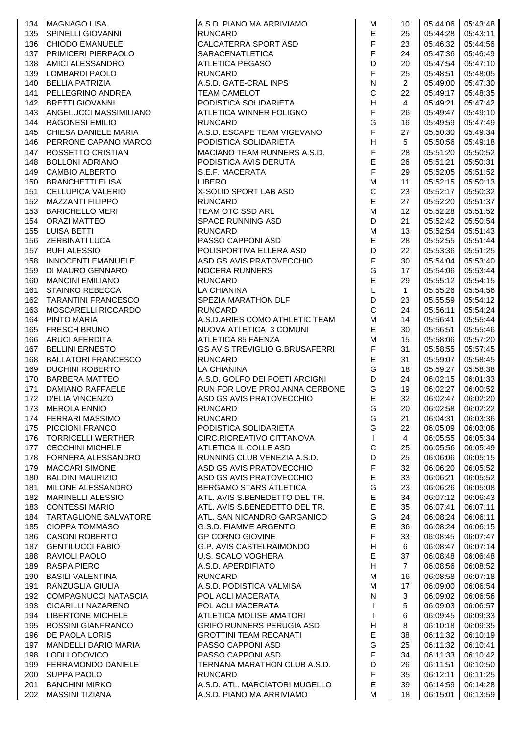|     | MAGNAGO LISA<br>SPINELLI GIOVANNI<br>CHIODO EMANUELE<br>PRIMICERI PIERPAOLO<br>134   MAGNAGO LISA                                                                                                         | A.S.D. PIANO MA ARRIVIAMO             | M                                              | 10             |          | 05:44:06  05:43:48 |
|-----|-----------------------------------------------------------------------------------------------------------------------------------------------------------------------------------------------------------|---------------------------------------|------------------------------------------------|----------------|----------|--------------------|
| 135 |                                                                                                                                                                                                           | <b>RUNCARD</b>                        | $\mathsf E$                                    | 25             | 05:44:28 | 05:43:11           |
| 136 |                                                                                                                                                                                                           | CALCATERRA SPORT ASD                  | F                                              | 23             | 05:46:32 | 05:44:56           |
| 137 | <b>PRIMICERI PIERPAOLO</b>                                                                                                                                                                                | <b>SARACENATLETICA</b>                | $\mathsf F$                                    | 24             | 05:47:36 | 05:46:49           |
| 138 | <b>AMICI ALESSANDRO</b>                                                                                                                                                                                   | <b>ATLETICA PEGASO</b>                | D                                              | 20             | 05:47:54 | 05:47:10           |
| 139 | LOMBARDI PAOLO                                                                                                                                                                                            | <b>RUNCARD</b>                        | $\mathsf F$                                    | 25             | 05:48:51 | 05:48:05           |
| 140 | <b>BELLIA PATRIZIA</b>                                                                                                                                                                                    | A.S.D. GATE-CRAL INPS                 | $\mathsf{N}$                                   | $\overline{2}$ | 05:49:00 | 05:47:30           |
| 141 | <b>PELLEGRINO ANDREA</b>                                                                                                                                                                                  | <b>TEAM CAMELOT</b>                   | $\mathsf C$                                    | 22             | 05:49:17 | 05:48:35           |
|     |                                                                                                                                                                                                           | PODISTICA SOLIDARIETA                 | H                                              |                |          | 05:47:42           |
| 142 | <b>BRETTI GIOVANNI</b>                                                                                                                                                                                    |                                       |                                                | 4              | 05:49:21 |                    |
| 143 | ANGELUCCI MASSIMILIANO                                                                                                                                                                                    | ATLETICA WINNER FOLIGNO               | $\mathsf F$                                    | 26             | 05:49:47 | 05:49:10           |
| 144 | <b>RAGONESI EMILIO</b>                                                                                                                                                                                    | <b>RUNCARD</b>                        | G                                              | 16             | 05:49:59 | 05:47:49           |
| 145 | CHIESA DANIELE MARIA                                                                                                                                                                                      | A.S.D. ESCAPE TEAM VIGEVANO           | $\mathsf F$                                    | 27             | 05:50:30 | 05:49:34           |
| 146 | PERRONE CAPANO MARCO                                                                                                                                                                                      | PODISTICA SOLIDARIETA                 | H                                              | 5              | 05:50:56 | 05:49:18           |
| 147 | <b>ROSSETTO CRISTIAN</b>                                                                                                                                                                                  | IMACIANO TEAM RUNNERS A.S.D.          | $\mathsf F$                                    | 28             | 05:51:20 | 05:50:52           |
| 148 | <b>BOLLONI ADRIANO</b>                                                                                                                                                                                    | PODISTICA AVIS DERUTA                 | $\mathsf{E}% _{0}\left( \mathsf{E}_{0}\right)$ | 26             | 05:51:21 | 05:50:31           |
| 149 | <b>LAMBIO ALBERTO<br/>BRANCHETTI ELISA<br/>CELLUPICA VALERIO<br/>MAZZANTI FILIPPO<br/>BARICHELLO MERI<br/>DRAZI MATTEO<br/>JUISA BETTI<br/>LUISA BETTI<br/>ERBINATI LUCA<br/>UFI ALESSIO<br/>INOCENTI</b> | S.E.F. MACERATA                       | $\overline{F}$                                 | 29             | 05:52:05 | 05:51:52           |
| 150 |                                                                                                                                                                                                           | <b>LIBERO</b>                         | M                                              | 11             | 05:52:15 | 05:50:13           |
| 151 |                                                                                                                                                                                                           | X-SOLID SPORT LAB ASD                 | $\mathsf C$                                    | 23             | 05:52:17 | 05:50:32           |
| 152 |                                                                                                                                                                                                           | <b>RUNCARD</b>                        | $\mathsf E$                                    | 27             | 05:52:20 | 05:51:37           |
|     |                                                                                                                                                                                                           |                                       |                                                |                |          |                    |
| 153 |                                                                                                                                                                                                           | TEAM OTC SSD ARL                      | ${\sf M}$                                      | 12             | 05:52:28 | 05:51:52           |
| 154 |                                                                                                                                                                                                           | <b>SPACE RUNNING ASD</b>              | D                                              | 21             | 05:52:42 | 05:50:54           |
| 155 |                                                                                                                                                                                                           | <b>RUNCARD</b>                        | M                                              | 13             | 05:52:54 | 05:51:43           |
| 156 |                                                                                                                                                                                                           | PASSO CAPPONI ASD                     | $\mathsf E$                                    | 28             | 05:52:55 | 05:51:44           |
| 157 |                                                                                                                                                                                                           | POLISPORTIVA ELLERA ASD               | D                                              | 22             | 05:53:36 | 05:51:25           |
| 158 | <b>INNOCENTI EMANUELE</b>                                                                                                                                                                                 | ASD GS AVIS PRATOVECCHIO              | $\mathsf F$                                    | 30             | 05:54:04 | 05:53:40           |
| 159 | DI MAURO GENNARO                                                                                                                                                                                          | <b>NOCERA RUNNERS</b>                 | G                                              | 17             | 05:54:06 | 05:53:44           |
| 160 | <b>MANCINI EMILIANO</b>                                                                                                                                                                                   | <b>RUNCARD</b>                        | $\mathsf E$                                    | 29             | 05:55:12 | 05:54:15           |
| 161 | <b>STAINKO REBECCA</b>                                                                                                                                                                                    | LA CHIANINA                           | L                                              | $\mathbf{1}$   | 05:55:26 | 05:54:56           |
| 162 | TARANTINI FRANCESCO                                                                                                                                                                                       | SPEZIA MARATHON DLF                   | D                                              | 23             | 05:55:59 | 05:54:12           |
|     |                                                                                                                                                                                                           |                                       | $\mathsf{C}$                                   |                |          |                    |
| 163 | MOSCARELLI RICCARDO                                                                                                                                                                                       | <b>RUNCARD</b>                        |                                                | 24             | 05:56:11 | 05:54:24           |
| 164 | <b>PINTO MARIA</b>                                                                                                                                                                                        | A.S.D.ARIES COMO ATHLETIC TEAM        | ${\sf M}$                                      | 14             | 05:56:41 | 05:55:44           |
| 165 | <b>FRESCH BRUNO</b>                                                                                                                                                                                       | NUOVA ATLETICA 3 COMUNI               | $\mathsf E$                                    | 30             | 05:56:51 | 05:55:46           |
| 166 | <b>ARUCI AFERDITA</b>                                                                                                                                                                                     | ATLETICA 85 FAENZA                    | M                                              | 15             | 05:58:06 | 05:57:20           |
| 167 | <b>BELLINI ERNESTO</b>                                                                                                                                                                                    | <b>GS AVIS TREVIGLIO G.BRUSAFERRI</b> | $\mathsf F$                                    | 31             | 05:58:55 | 05:57:45           |
| 168 | <b>BALLATORI FRANCESCO</b>                                                                                                                                                                                | <b>RUNCARD</b>                        | $\mathsf E$                                    | 31             | 05:59:07 | 05:58:45           |
| 169 | <b>DUCHINI ROBERTO</b>                                                                                                                                                                                    | <b>LA CHIANINA</b>                    | G                                              | 18             | 05:59:27 | 05:58:38           |
| 170 | <b>BARBERA MATTEO</b>                                                                                                                                                                                     | A.S.D. GOLFO DEI POETI ARCIGNI        | D                                              | 24             | 06:02:15 | 06:01:33           |
| 171 | DAMIANO RAFFAELE                                                                                                                                                                                          | RUN FOR LOVE PROJ.ANNA CERBONE        | G                                              | 19             | 06:02:27 | 06:00:52           |
| 172 | <b>D'ELIA VINCENZO</b>                                                                                                                                                                                    | ASD GS AVIS PRATOVECCHIO              | $\mathsf E$                                    | 32             | 06:02:47 | 06:02:20           |
|     | 173 MEROLA ENNIO                                                                                                                                                                                          |                                       | G                                              | 20             |          | 06:02:58 06:02:22  |
|     |                                                                                                                                                                                                           | <b>RUNCARD</b>                        |                                                |                |          |                    |
|     | 174   FERRARI MASSIMO                                                                                                                                                                                     | <b>RUNCARD</b>                        | G                                              | 21             | 06:04:31 | 06:03:36           |
| 175 | <b>PICCIONI FRANCO</b>                                                                                                                                                                                    | PODISTICA SOLIDARIETA                 | G                                              | 22             | 06:05:09 | 06:03:06           |
| 176 | <b>TORRICELLI WERTHER</b>                                                                                                                                                                                 | CIRC.RICREATIVO CITTANOVA             | $\mathbf{I}$                                   | $\overline{4}$ | 06:05:55 | 06:05:34           |
| 177 | <b>CECCHINI MICHELE</b>                                                                                                                                                                                   | ATLETICA IL COLLE ASD                 | $\mathsf{C}$                                   | 25             | 06:05:56 | 06:05:49           |
| 178 | <b>FORNERA ALESSANDRO</b>                                                                                                                                                                                 | RUNNING CLUB VENEZIA A.S.D.           | D                                              | 25             | 06:06:06 | 06:05:15           |
| 179 | MACCARI SIMONE                                                                                                                                                                                            | ASD GS AVIS PRATOVECCHIO              | $\mathsf F$                                    | 32             | 06:06:20 | 06:05:52           |
| 180 | <b>BALDINI MAURIZIO</b>                                                                                                                                                                                   | ASD GS AVIS PRATOVECCHIO              | $\mathsf E$                                    | 33             | 06:06:21 | 06:05:52           |
| 181 | MILONE ALESSANDRO                                                                                                                                                                                         | BERGAMO STARS ATLETICA                | G                                              | 23             | 06:06:26 | 06:05:08           |
| 182 | <b>MARINELLI ALESSIO</b>                                                                                                                                                                                  | ATL. AVIS S.BENEDETTO DEL TR.         | $\mathsf E$                                    | 34             | 06:07:12 | 06:06:43           |
| 183 | <b>CONTESSI MARIO</b>                                                                                                                                                                                     | ATL. AVIS S.BENEDETTO DEL TR.         | $\mathsf E$                                    | 35             | 06:07:41 | 06:07:11           |
| 184 | TARTAGLIONE SALVATORE                                                                                                                                                                                     | ATL. SAN NICANDRO GARGANICO           | G                                              | 24             | 06:08:24 | 06:06:11           |
|     |                                                                                                                                                                                                           |                                       | $\mathsf E$                                    |                |          |                    |
| 185 | <b>CIOPPA TOMMASO</b>                                                                                                                                                                                     | <b>G.S.D. FIAMME ARGENTO</b>          |                                                | 36             | 06:08:24 | 06:06:15           |
| 186 | <b>CASONI ROBERTO</b>                                                                                                                                                                                     | <b>GP CORNO GIOVINE</b>               | $\mathsf F$                                    | 33             | 06:08:45 | 06:07:47           |
| 187 | <b>GENTILUCCI FABIO</b>                                                                                                                                                                                   | G.P. AVIS CASTELRAIMONDO              | $\boldsymbol{\mathsf{H}}$                      | 6              | 06:08:47 | 06:07:14           |
| 188 | <b>RAVIOLI PAOLO</b>                                                                                                                                                                                      | U.S. SCALO VOGHERA                    | $\mathsf E$                                    | 37             | 06:08:48 | 06:06:48           |
| 189 | <b>RASPA PIERO</b>                                                                                                                                                                                        | A.S.D. APERDIFIATO                    | $\boldsymbol{\mathsf{H}}$                      | $\overline{7}$ | 06:08:56 | 06:08:52           |
| 190 | <b>BASILI VALENTINA</b>                                                                                                                                                                                   | <b>RUNCARD</b>                        | M                                              | 16             | 06:08:58 | 06:07:18           |
| 191 | RANZUGLIA GIULIA                                                                                                                                                                                          | A.S.D. PODISTICA VALMISA              | ${\sf M}$                                      | 17             | 06:09:00 | 06:06:54           |
| 192 | COMPAGNUCCI NATASCIA                                                                                                                                                                                      | POL ACLI MACERATA                     | $\mathsf{N}$                                   | 3              | 06:09:02 | 06:06:56           |
| 193 | <b>CICARILLI NAZARENO</b>                                                                                                                                                                                 | POL ACLI MACERATA                     | $\mathsf{I}$                                   | 5              | 06:09:03 | 06:06:57           |
| 194 | LIBERTONE MICHELE                                                                                                                                                                                         | <b>ATLETICA MOLISE AMATORI</b>        | $\mathsf I$                                    | 6              | 06:09:45 | 06:09:33           |
| 195 | <b>ROSSINI GIANFRANCO</b>                                                                                                                                                                                 | <b>GRIFO RUNNERS PERUGIA ASD</b>      | $\boldsymbol{\mathsf{H}}$                      | 8              | 06:10:18 | 06:09:35           |
|     |                                                                                                                                                                                                           |                                       |                                                |                |          |                    |
| 196 | <b>DE PAOLA LORIS</b>                                                                                                                                                                                     | <b>GROTTINI TEAM RECANATI</b>         | $\mathsf E$                                    | 38             | 06:11:32 | 06:10:19           |
| 197 | MANDELLI DARIO MARIA                                                                                                                                                                                      | PASSO CAPPONI ASD                     | G                                              | 25             | 06:11:32 | 06:10:41           |
| 198 | LODI LODOVICO                                                                                                                                                                                             | PASSO CAPPONI ASD                     | $\mathsf F$                                    | 34             | 06:11:33 | 06:10:42           |
| 199 | <b>FERRAMONDO DANIELE</b>                                                                                                                                                                                 | TERNANA MARATHON CLUB A.S.D.          | D                                              | 26             | 06:11:51 | 06:10:50           |
| 200 | <b>SUPPA PAOLO</b>                                                                                                                                                                                        | <b>RUNCARD</b>                        | $\mathsf F$                                    | 35             | 06:12:11 | 06:11:25           |
| 201 | <b>BANCHINI MIRKO</b>                                                                                                                                                                                     | A.S.D. ATL. MARCIATORI MUGELLO        | $\mathsf E$                                    | 39             | 06:14:59 | 06:14:28           |
|     | 202 MASSINI TIZIANA                                                                                                                                                                                       | A.S.D. PIANO MA ARRIVIAMO             | M                                              | 18             | 06:15:01 | 06:13:59           |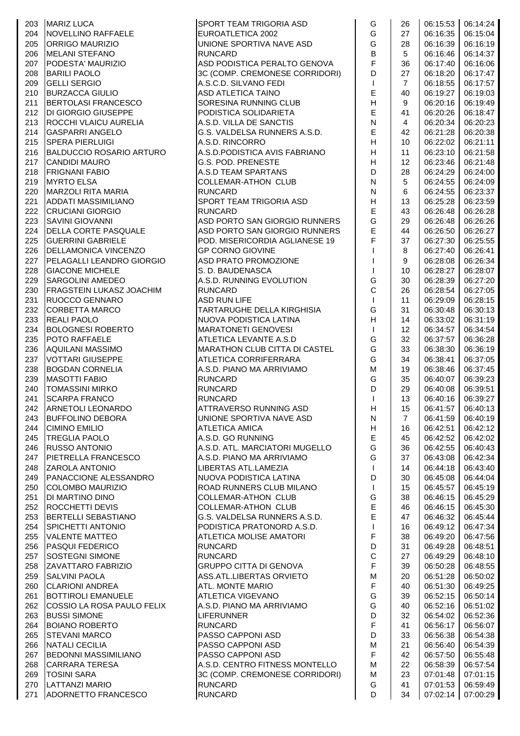| 203 | <b>MARIZ LUCA</b>                                                                                             | <b>SPORT TEAM TRIGORIA ASD</b> | G                         | 26              |                   | 06:15:53 06:14:24 |
|-----|---------------------------------------------------------------------------------------------------------------|--------------------------------|---------------------------|-----------------|-------------------|-------------------|
| 204 | NOVELLINO RAFFAELE                                                                                            | EUROATLETICA 2002              | G                         | 27              | 06:16:35          | 06:15:04          |
| 205 | <b>ORRIGO MAURIZIO</b>                                                                                        | UNIONE SPORTIVA NAVE ASD       | G                         | 28              | 06:16:39          | 06:16:19          |
| 206 | <b>MELANI STEFANO</b>                                                                                         | <b>RUNCARD</b>                 | $\overline{B}$            | 5               | 06:16:46          | 06:14:37          |
| 207 | PODESTA' MAURIZIO                                                                                             | ASD PODISTICA PERALTO GENOVA   | F                         | 36              | 06:17:40          | 06:16:06          |
| 208 | <b>BARILI PAOLO</b>                                                                                           | 3C (COMP. CREMONESE CORRIDORI) | D                         | 27              | 06:18:20          | 06:17:47          |
| 209 | <b>GELLI SERGIO</b>                                                                                           | A.S.C.D. SILVANO FEDI          | $\mathsf{I}$              | $\overline{7}$  | 06:18:55          | 06:17:57          |
| 210 | <b>BURZACCA GIULIO</b>                                                                                        | <b>ASD ATLETICA TAINO</b>      | $\mathsf E$               | 40              | 06:19:27          | 06:19:03          |
| 211 |                                                                                                               |                                | H                         | 9               |                   |                   |
|     | BERTOLASI FRANCESCO                                                                                           | SORESINA RUNNING CLUB          | $\mathsf E$               |                 | 06:20:16          | 06:19:49          |
| 212 | DI GIORGIO GIUSEPPE                                                                                           | PODISTICA SOLIDARIETA          |                           | 41              | 06:20:26          | 06:18:47          |
| 213 | ROCCHI VLAICU AURELIA                                                                                         | A.S.D. VILLA DE SANCTIS        | ${\sf N}$                 | $\overline{4}$  | 06:20:34          | 06:20:23          |
| 214 | <b>GASPARRI ANGELO</b>                                                                                        | G.S. VALDELSA RUNNERS A.S.D.   | $\mathsf E$               | 42              | 06:21:28          | 06:20:38          |
| 215 | <b>SPERA PIERLUIGI</b>                                                                                        | A.S.D. RINCORRO                | $\boldsymbol{\mathsf{H}}$ | 10              | 06:22:02          | 06:21:11          |
| 216 | <b>BALDUCCIO ROSARIO ARTURO</b>                                                                               | A.S.D. PODISTICA AVIS FABRIANO | $\boldsymbol{\mathsf{H}}$ | 11              | 06:23:10          | 06:21:58          |
| 217 | <b>CANDIDI MAURO</b>                                                                                          | <b>G.S. POD. PRENESTE</b>      | $\boldsymbol{\mathsf{H}}$ | 12 <sup>°</sup> | 06:23:46          | 06:21:48          |
| 218 | <b>FRIGNANI FABIO</b>                                                                                         | A.S.D TEAM SPARTANS            | D                         | 28              | 06:24:29          | 06:24:00          |
| 219 | <b>MYRTO ELSA</b>                                                                                             | COLLEMAR-ATHON CLUB            | ${\sf N}$                 | 5               | 06:24:55          | 06:24:09          |
| 220 | MARZOLI RITA MARIA                                                                                            | <b>RUNCARD</b>                 | ${\sf N}$                 | 6               | 06:24:55          | 06:23:37          |
| 221 | ADDATI MASSIMILIANO                                                                                           | SPORT TEAM TRIGORIA ASD        | H                         | 13              | 06:25:28          | 06:23:59          |
| 222 | <b>CRUCIANI GIORGIO</b>                                                                                       | <b>RUNCARD</b>                 | $\mathsf E$               | 43              | 06:26:48          | 06:26:28          |
| 223 | <b>SAVINI GIOVANNI</b>                                                                                        | ASD PORTO SAN GIORGIO RUNNERS  | G                         | 29              | 06:26:48          | 06:26:26          |
| 224 | <b>DELLA CORTE PASQUALE</b>                                                                                   | ASD PORTO SAN GIORGIO RUNNERS  | E                         | 44              | 06:26:50          | 06:26:27          |
| 225 | <b>GUERRINI GABRIELE</b>                                                                                      | POD. MISERICORDIA AGLIANESE 19 | F                         | 37              | 06:27:30          | 06:25:55          |
| 226 | <b>DELLAMONICA VINCENZO</b>                                                                                   | <b>GP CORNO GIOVINE</b>        | $\mathbf{I}$              | 8               | 06:27:40          | 06:26:41          |
| 227 | <b>PELAGALLI LEANDRO GIORGIO</b>                                                                              | ASD PRATO PROMOZIONE           | $\mathbf{I}$              | 9               | 06:28:08          | 06:26:34          |
| 228 | <b>GIACONE MICHELE</b>                                                                                        | S. D. BAUDENASCA               | $\mathbf{I}$              | 10              | 06:28:27          | 06:28:07          |
| 229 | <b>SARGOLINI AMEDEO</b>                                                                                       | A.S.D. RUNNING EVOLUTION       | G                         | 30              | 06:28:39          | 06:27:20          |
| 230 | <b>FRAGSTEIN LUKASZ JOACHIM</b>                                                                               | <b>RUNCARD</b>                 | $\mathbf C$               | 26              | 06:28:54          | 06:27:05          |
| 231 | <b>RUOCCO GENNARO</b>                                                                                         | <b>ASD RUN LIFE</b>            | $\mathbf{I}$              | 11              | 06:29:09          | 06:28:15          |
| 232 | <b>CORBETTA MARCO</b>                                                                                         | TARTARUGHE DELLA KIRGHISIA     | G                         | 31              | 06:30:48          | 06:30:13          |
| 233 |                                                                                                               |                                | $\mathsf H$               |                 |                   | 06:31:19          |
|     | <b>REALI PAOLO</b><br>BOLOGNESI ROBERTO                                                                       | NUOVA PODISTICA LATINA         |                           | 14              | 06:33:02          |                   |
| 234 |                                                                                                               | <b>MARATONETI GENOVESI</b>     | $\mathbf{I}$              | 12              | 06:34:57          | 06:34:54          |
| 235 | <b>POTO RAFFAELE</b>                                                                                          | <b>ATLETICA LEVANTE A.S.D</b>  | G                         | 32              | 06:37:57          | 06:36:28          |
| 236 | AQUILANI MASSIMO                                                                                              | MARATHON CLUB CITTA DI CASTEL  | G                         | 33              | 06:38:30          | 06:36:19          |
| 237 | VOTTARI GIUSEPPE<br>BOGDAN CORNELIA<br>MASOTTI FABIO<br>TOMASSINI MIRKO<br>SCARPA FRANCO<br>ARNETOLI LEONARDO | <b>ATLETICA CORRIFERRARA</b>   | G                         | 34              | 06:38:41          | 06:37:05          |
| 238 |                                                                                                               | A.S.D. PIANO MA ARRIVIAMO      | M                         | 19              | 06:38:46          | 06:37:45          |
| 239 |                                                                                                               | <b>RUNCARD</b>                 | G                         | 35              | 06:40:07          | 06:39:23          |
| 240 |                                                                                                               | <b>RUNCARD</b>                 | D                         | 29              | 06:40:08          | 06:39:51          |
| 241 |                                                                                                               | <b>RUNCARD</b>                 | $\mathbf{I}$              | 13              | 06:40:16          | 06:39:27          |
| 242 |                                                                                                               | ATTRAVERSO RUNNING ASD         | $\boldsymbol{\mathsf{H}}$ | 15              | 06:41:57 06:40:13 |                   |
| 243 | <b>BUFFOLINO DEBORA</b>                                                                                       | UNIONE SPORTIVA NAVE ASD       | ${\sf N}$                 | $\overline{7}$  | 06:41:59          | 06:40:19          |
| 244 | <b>CIMINO EMILIO</b>                                                                                          | <b>ATLETICA AMICA</b>          | Н                         | 16              | 06:42:51          | 06:42:12          |
| 245 | <b>TREGLIA PAOLO</b>                                                                                          | A.S.D. GO RUNNING              | $\mathsf E$               | 45              | 06:42:52          | 06:42:02          |
| 246 | <b>RUSSO ANTONIO</b>                                                                                          | A.S.D. ATL. MARCIATORI MUGELLO | G                         | 36              | 06:42:55          | 06:40:43          |
| 247 | PIETRELLA FRANCESCO                                                                                           | A.S.D. PIANO MA ARRIVIAMO      | G                         | 37              | 06:43:08          | 06:42:34          |
| 248 | <b>ZAROLA ANTONIO</b>                                                                                         | LIBERTAS ATL.LAMEZIA           | $\mathbf{I}$              | 14              | 06:44:18          | 06:43:40          |
| 249 | PANACCIONE ALESSANDRO                                                                                         | NUOVA PODISTICA LATINA         | D                         | 30              | 06:45:08          | 06:44:04          |
| 250 | COLOMBO MAURIZIO                                                                                              | ROAD RUNNERS CLUB MILANO       | $\mathbf{I}$              | 15              | 06:45:57          | 06:45:19          |
| 251 | DI MARTINO DINO                                                                                               | <b>COLLEMAR-ATHON CLUB</b>     | G                         | 38              | 06:46:15          | 06:45:29          |
| 252 | <b>ROCCHETTI DEVIS</b>                                                                                        | <b>COLLEMAR-ATHON CLUB</b>     | $\mathsf E$               | 46              | 06:46:15          | 06:45:30          |
| 253 | BERTELLI SEBASTIANO                                                                                           | G.S. VALDELSA RUNNERS A.S.D.   | $\mathsf E$               | 47              | 06:46:32          | 06:45:44          |
| 254 | SPICHETTI ANTONIO                                                                                             | PODISTICA PRATONORD A.S.D.     | $\mathbf{I}$              | 16              | 06:49:12          | 06:47:34          |
| 255 | VALENTE MATTEO                                                                                                | <b>ATLETICA MOLISE AMATORI</b> | F                         | 38              | 06:49:20          | 06:47:56          |
| 256 | <b>PASQUI FEDERICO</b>                                                                                        | <b>RUNCARD</b>                 | D                         | 31              | 06:49:28          | 06:48:51          |
|     |                                                                                                               |                                | $\mathbf C$               |                 |                   |                   |
| 257 | <b>SOSTEGNI SIMONE</b>                                                                                        | <b>RUNCARD</b>                 |                           | 27              | 06:49:29          | 06:48:10          |
| 258 | ZAVATTARO FABRIZIO                                                                                            | <b>GRUPPO CITTA DI GENOVA</b>  | $\mathsf F$               | 39              | 06:50:28          | 06:48:55          |
| 259 | <b>SALVINI PAOLA</b>                                                                                          | ASS.ATL.LIBERTAS ORVIETO       | ${\sf M}$                 | 20              | 06:51:28          | 06:50:02          |
| 260 | <b>CLARIONI ANDREA</b>                                                                                        | <b>ATL. MONTE MARIO</b>        | $\mathsf F$               | 40              | 06:51:30          | 06:49:25          |
| 261 | <b>BOTTIROLI EMANUELE</b>                                                                                     | <b>ATLETICA VIGEVANO</b>       | G                         | 39              | 06:52:15          | 06:50:14          |
| 262 | COSSIO LA ROSA PAULO FELIX                                                                                    | A.S.D. PIANO MA ARRIVIAMO      | G                         | 40              | 06:52:16          | 06:51:02          |
| 263 | <b>BUSSI SIMONE</b>                                                                                           | <b>LIFERUNNER</b>              | $\mathsf D$               | 32              | 06:54:02          | 06:52:36          |
| 264 | <b>BOIANO ROBERTO</b>                                                                                         | <b>RUNCARD</b>                 | $\mathsf F$               | 41              | 06:56:17          | 06:56:07          |
| 265 | <b>STEVANI MARCO</b>                                                                                          | PASSO CAPPONI ASD              | D                         | 33              | 06:56:38          | 06:54:38          |
| 266 | NATALI CECILIA                                                                                                | PASSO CAPPONI ASD              | M                         | 21              | 06:56:40          | 06:54:39          |
| 267 | <b>BEDONNI MASSIMILIANO</b>                                                                                   | PASSO CAPPONI ASD              | $\mathsf F$               | 42              | 06:57:50          | 06:55:48          |
| 268 | <b>CARRARA TERESA</b>                                                                                         | A.S.D. CENTRO FITNESS MONTELLO | M                         | 22              | 06:58:39          | 06:57:54          |
| 269 | <b>TOSINI SARA</b>                                                                                            | 3C (COMP. CREMONESE CORRIDORI) | M                         | 23              | 07:01:48          | 07:01:15          |
| 270 | LATTANZI MARIO                                                                                                | <b>RUNCARD</b>                 | G                         | 41              | 07:01:53          | 06:59:49          |
| 271 | ADORNETTO FRANCESCO                                                                                           | <b>RUNCARD</b>                 | D                         | 34              | 07:02:14          | 07:00:29          |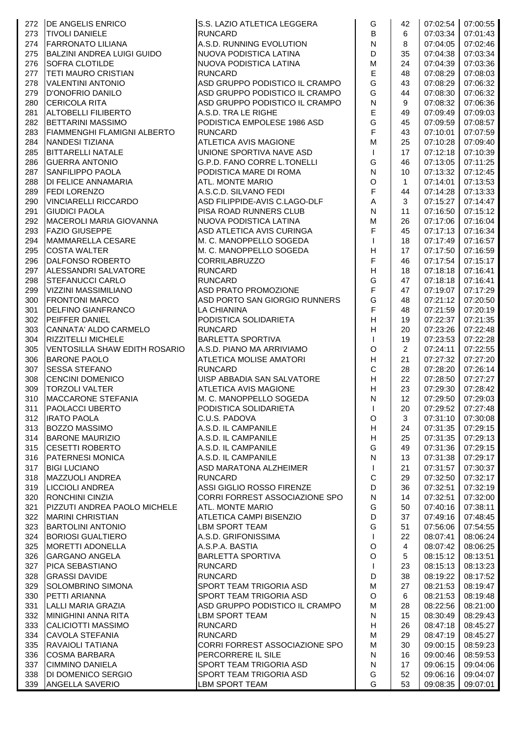| 272 | <b>DE ANGELIS ENRICO</b>            | S.S. LAZIO ATLETICA LEGGERA       | G                         | 42             |          | 07:02:54 07:00:55 |
|-----|-------------------------------------|-----------------------------------|---------------------------|----------------|----------|-------------------|
| 273 | <b>TIVOLI DANIELE</b>               | <b>RUNCARD</b>                    | B                         | 6              | 07:03:34 | 07:01:43          |
| 274 | <b>FARRONATO LILIANA</b>            | A.S.D. RUNNING EVOLUTION          | ${\sf N}$                 | 8              | 07:04:05 | 07:02:46          |
| 275 | <b>BALZINI ANDREA LUIGI GUIDO</b>   | NUOVA PODISTICA LATINA            | D                         | 35             | 07:04:38 | 07:03:34          |
| 276 | <b>SOFRA CLOTILDE</b>               | NUOVA PODISTICA LATINA            | M                         | 24             | 07:04:39 | 07:03:36          |
| 277 | <b>TETI MAURO CRISTIAN</b>          | <b>RUNCARD</b>                    | E                         | 48             | 07:08:29 | 07:08:03          |
| 278 | <b>VALENTINI ANTONIO</b>            | ASD GRUPPO PODISTICO IL CRAMPO    | G                         | 43             | 07:08:29 | 07:06:32          |
| 279 | D'ONOFRIO DANILO                    | ASD GRUPPO PODISTICO IL CRAMPO    | G                         | 44             | 07:08:30 | 07:06:32          |
| 280 | <b>CERICOLA RITA</b>                | ASD GRUPPO PODISTICO IL CRAMPO    | N                         | 9              | 07:08:32 | 07:06:36          |
|     |                                     |                                   | E                         |                |          |                   |
| 281 | <b>ALTOBELLI FILIBERTO</b>          | A.S.D. TRA LE RIGHE               | G                         | 49             | 07:09:49 | 07:09:03          |
| 282 | <b>BETTARINI MASSIMO</b>            | PODISTICA EMPOLESE 1986 ASD       |                           | 45             | 07:09:59 | 07:08:57          |
| 283 | <b>FIAMMENGHI FLAMIGNI ALBERTO</b>  | <b>RUNCARD</b>                    | F                         | 43             | 07:10:01 | 07:07:59          |
| 284 | NANDESI TIZIANA                     | <b>ATLETICA AVIS MAGIONE</b>      | M                         | 25             | 07:10:28 | 07:09:40          |
| 285 | <b>BITTARELLI NATALE</b>            | UNIONE SPORTIVA NAVE ASD          | $\mathbf{I}$              | 17             | 07:12:18 | 07:10:39          |
| 286 | <b>GUERRA ANTONIO</b>               | G.P.D. FANO CORRE L.TONELLI       | G                         | 46             | 07:13:05 | 07:11:25          |
| 287 | <b>SANFILIPPO PAOLA</b>             | PODISTICA MARE DI ROMA            | ${\sf N}$                 | 10             | 07:13:32 | 07:12:45          |
| 288 | DI FELICE ANNAMARIA                 | <b>ATL. MONTE MARIO</b>           | $\mathsf O$               | $\mathbf{1}$   | 07:14:01 | 07:13:53          |
| 289 | <b>FEDI LORENZO</b>                 | A.S.C.D. SILVANO FEDI             | $\overline{\mathsf{F}}$   | 44             | 07:14:28 | 07:13:33          |
| 290 | <b>VINCIARELLI RICCARDO</b>         | ASD FILIPPIDE-AVIS C.LAGO-DLF     | $\mathsf A$               | 3              | 07:15:27 | 07:14:47          |
| 291 | <b>GIUDICI PAOLA</b>                | PISA ROAD RUNNERS CLUB            | $\mathsf{N}$              | 11             | 07:16:50 | 07:15:12          |
| 292 | MACEROLI MARIA GIOVANNA             | NUOVA PODISTICA LATINA            | M                         | 26             | 07:17:06 | 07:16:04          |
| 293 | <b>FAZIO GIUSEPPE</b>               | ASD ATLETICA AVIS CURINGA         | F                         | 45             | 07:17:13 | 07:16:34          |
| 294 | MAMMARELLA CESARE                   | M. C. MANOPPELLO SOGEDA           | $\mathsf{I}$              | 18             | 07:17:49 | 07:16:57          |
| 295 | <b>COSTA WALTER</b>                 | M. C. MANOPPELLO SOGEDA           | $\overline{H}$            | 17             | 07:17:50 | 07:16:59          |
| 296 | DALFONSO ROBERTO                    | <b>CORRILABRUZZO</b>              | $\overline{\mathsf{F}}$   | 46             | 07:17:54 | 07:15:17          |
| 297 | ALESSANDRI SALVATORE                | <b>RUNCARD</b>                    | $\overline{H}$            | 18             | 07:18:18 | 07:16:41          |
| 298 | <b>STEFANUCCI CARLO</b>             | <b>RUNCARD</b>                    | G                         | 47             | 07:18:18 | 07:16:41          |
| 299 | VIZZINI MASSIMILIANO                | ASD PRATO PROMOZIONE              | F                         | 47             | 07:19:07 | 07:17:29          |
| 300 | <b>FRONTONI MARCO</b>               | ASD PORTO SAN GIORGIO RUNNERS     | G                         | 48             | 07:21:12 | 07:20:50          |
|     |                                     | <b>LA CHIANINA</b>                | F                         |                |          | 07:20:19          |
| 301 | <b>DELFINO GIANFRANCO</b>           |                                   |                           | 48             | 07:21:59 |                   |
| 302 | <b>PEIFFER DANIEL</b>               | PODISTICA SOLIDARIETA             | H                         | 19             | 07:22:37 | 07:21:35          |
| 303 | CANNATA' ALDO CARMELO               | <b>RUNCARD</b>                    | H                         | 20             | 07:23:26 | 07:22:48          |
| 304 | <b>RIZZITELLI MICHELE</b>           | <b>BARLETTA SPORTIVA</b>          | $\mathsf{I}$              | 19             | 07:23:53 | 07:22:28          |
| 305 | VENTOSILLA SHAW EDITH ROSARIO       | A.S.D. PIANO MA ARRIVIAMO         | $\circ$                   | $\overline{2}$ | 07:24:11 | 07:22:55          |
| 306 | <b>BARONE PAOLO</b>                 | <b>ATLETICA MOLISE AMATORI</b>    | H                         | 21             | 07:27:32 | 07:27:20          |
| 307 | <b>SESSA STEFANO</b>                | <b>RUNCARD</b>                    | $\mathsf{C}$              | 28             | 07:28:20 | 07:26:14          |
| 308 | <b>CENCINI DOMENICO</b>             | <b>UISP ABBADIA SAN SALVATORE</b> | H                         | 22             | 07:28:50 | 07:27:27          |
| 309 | <b>TORZOLI VALTER</b>               | <b>ATLETICA AVIS MAGIONE</b>      | H                         | 23             | 07:29:30 | 07:28:42          |
| 310 | MACCARONE STEFANIA                  | M. C. MANOPPELLO SOGEDA           | N                         | 12             | 07:29:50 | 07:29:03          |
| 311 | <b>PAOLACCI UBERTO</b>              | PODISTICA SOLIDARIETA             | $\mathsf I$               | 20             | 07:29:52 | 07:27:48          |
| 312 | <b>IRATO PAOLA</b>                  | C.U.S. PADOVA                     | O                         | 3              | 07:31:10 | 07:30:08          |
| 313 | BOZZO MASSIMO<br>BARONE MAURIZIO    | A.S.D. IL CAMPANILE               | H                         | 24             | 07:31:35 | 07:29:15          |
| 314 |                                     | A.S.D. IL CAMPANILE               | $\boldsymbol{\mathsf{H}}$ | 25             | 07:31:35 | 07:29:13          |
| 315 | <b>CESETTI ROBERTO</b>              | A.S.D. IL CAMPANILE               | G                         | 49             | 07:31:36 | 07:29:15          |
| 316 | <b>PATERNESI MONICA</b>             | A.S.D. IL CAMPANILE               | $\mathsf{N}$              | 13             | 07:31:38 | 07:29:17          |
| 317 | <b>BIGI LUCIANO</b>                 | ASD MARATONA ALZHEIMER            | $\mathbf{I}$              | 21             | 07:31:57 | 07:30:37          |
| 318 | MAZZUOLI ANDREA                     | <b>RUNCARD</b>                    | $\mathsf C$               | 29             | 07:32:50 | 07:32:17          |
| 319 | <b>LICCIOLI ANDREA</b>              | ASSI GIGLIO ROSSO FIRENZE         | D                         | 36             | 07:32:51 | 07:32:19          |
| 320 | <b>RONCHINI CINZIA</b>              | CORRI FORREST ASSOCIAZIONE SPO    | ${\sf N}$                 | 14             | 07:32:51 | 07:32:00          |
| 321 | <b>PIZZUTI ANDREA PAOLO MICHELE</b> | ATL. MONTE MARIO                  | G                         | 50             | 07:40:16 | 07:38:11          |
| 322 | <b>MARINI CHRISTIAN</b>             | ATLETICA CAMPI BISENZIO           | D                         | 37             | 07:49:16 | 07:48:45          |
| 323 | <b>BARTOLINI ANTONIO</b>            | <b>LBM SPORT TEAM</b>             | G                         | 51             | 07:56:06 | 07:54:55          |
| 324 | <b>BORIOSI GUALTIERO</b>            | A.S.D. GRIFONISSIMA               | T                         | 22             | 08:07:41 | 08:06:24          |
| 325 | MORETTI ADONELLA                    | A.S.P.A. BASTIA                   | $\mathsf O$               | $\overline{4}$ | 08:07:42 | 08:06:25          |
| 326 | <b>GARGANO ANGELA</b>               | <b>BARLETTA SPORTIVA</b>          | $\circ$                   | 5              | 08:15:12 | 08:13:51          |
| 327 | <b>PICA SEBASTIANO</b>              | <b>RUNCARD</b>                    | $\mathbf{I}$              | 23             | 08:15:13 | 08:13:23          |
| 328 | <b>GRASSI DAVIDE</b>                | <b>RUNCARD</b>                    | D                         | 38             | 08:19:22 | 08:17:52          |
| 329 | SOLOMBRINO SIMONA                   | SPORT TEAM TRIGORIA ASD           | ${\sf M}$                 | 27             | 08:21:53 | 08:19:47          |
|     |                                     |                                   | O                         |                |          |                   |
| 330 | <b>PETTI ARIANNA</b>                | SPORT TEAM TRIGORIA ASD           |                           | 6              | 08:21:53 | 08:19:48          |
| 331 | LALLI MARIA GRAZIA                  | ASD GRUPPO PODISTICO IL CRAMPO    | M                         | 28             | 08:22:56 | 08:21:00          |
| 332 | MINIGHINI ANNA RITA                 | <b>LBM SPORT TEAM</b>             | ${\sf N}$                 | 15             | 08:30:49 | 08:29:43          |
| 333 | CALICIOTTI MASSIMO                  | <b>RUNCARD</b>                    | $\boldsymbol{\mathsf{H}}$ | 26             | 08:47:18 | 08:45:27          |
| 334 | <b>CAVOLA STEFANIA</b>              | <b>RUNCARD</b>                    | M                         | 29             | 08:47:19 | 08:45:27          |
| 335 | <b>RAVAIOLI TATIANA</b>             | CORRI FORREST ASSOCIAZIONE SPO    | M                         | 30             | 09:00:15 | 08:59:23          |
| 336 | <b>COSMA BARBARA</b>                | PERCORRERE IL SILE                | ${\sf N}$                 | 16             | 09:00:46 | 08:59:53          |
| 337 | <b>CIMMINO DANIELA</b>              | SPORT TEAM TRIGORIA ASD           | $\mathsf{N}$              | 17             | 09:06:15 | 09:04:06          |
| 338 | <b>DI DOMENICO SERGIO</b>           | <b>SPORT TEAM TRIGORIA ASD</b>    | G                         | 52             | 09:06:16 | 09:04:07          |
| 339 | <b>ANGELLA SAVERIO</b>              | LBM SPORT TEAM                    | G                         | 53             | 09:08:35 | 09:07:01          |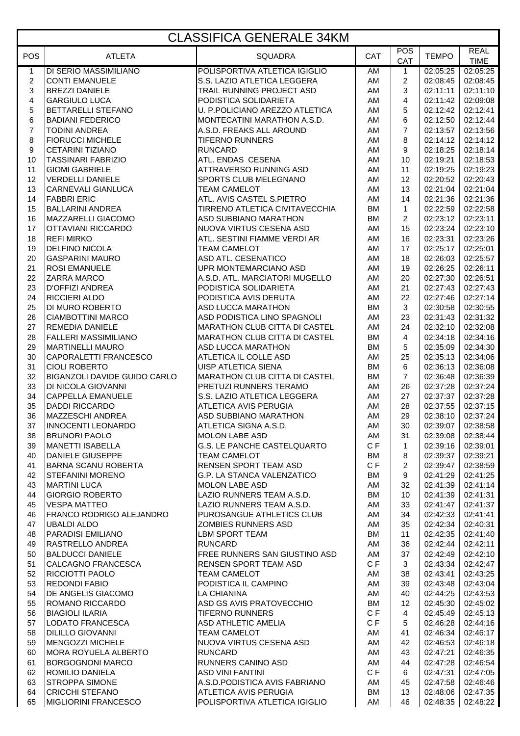#### CLASSIFICA GENERALE 34KM

| <b>POS</b>              | <b>ATLETA</b>                                   | <b>SQUADRA</b>                                                 | <b>CAT</b>      | POS                 | <b>TEMPO</b>         | <b>REAL</b>             |
|-------------------------|-------------------------------------------------|----------------------------------------------------------------|-----------------|---------------------|----------------------|-------------------------|
| $\mathbf{1}$            | <b>DI SERIO MASSIMILIANO</b>                    | POLISPORTIVA ATLETICA IGIGLIO                                  | AM              | CAT<br>$\mathbf{1}$ | 02:05:25             | <b>TIME</b><br>02:05:25 |
| $\boldsymbol{2}$        | <b>CONTI EMANUELE</b>                           | S.S. LAZIO ATLETICA LEGGERA                                    | AM              | $\overline{2}$      | 02:08:45             | 02:08:45                |
| 3                       | <b>BREZZI DANIELE</b>                           | TRAIL RUNNING PROJECT ASD                                      | AM              | 3                   | 02:11:11             | 02:11:10                |
| $\overline{\mathbf{4}}$ | <b>GARGIULO LUCA</b>                            | PODISTICA SOLIDARIETA                                          | AM              | 4                   | 02:11:42             | 02:09:08                |
| 5                       | <b>BETTARELLI STEFANO</b>                       | U. P.POLICIANO AREZZO ATLETICA                                 | AM              | 5                   | 02:12:42             | 02:12:41                |
| 6<br>$\overline{7}$     | <b>BADIANI FEDERICO</b><br><b>TODINI ANDREA</b> | MONTECATINI MARATHON A.S.D.<br>A.S.D. FREAKS ALL AROUND        | AM<br>AM        | 6<br>$\overline{7}$ | 02:12:50<br>02:13:57 | 02:12:44<br>02:13:56    |
| 8                       | <b>FIORUCCI MICHELE</b>                         | <b>TIFERNO RUNNERS</b>                                         | AM              | 8                   | 02:14:12             | 02:14:12                |
| $\boldsymbol{9}$        | <b>CETARINI TIZIANO</b>                         | <b>RUNCARD</b>                                                 | AM              | 9                   | 02:18:25             | 02:18:14                |
| 10                      | <b>TASSINARI FABRIZIO</b>                       | ATL. ENDAS CESENA                                              | AM              | 10                  | 02:19:21             | 02:18:53                |
| 11                      | <b>GIOMI GABRIELE</b>                           | ATTRAVERSO RUNNING ASD                                         | AM              | 11                  | 02:19:25             | 02:19:23                |
| 12                      | <b>VERDELLI DANIELE</b>                         | SPORTS CLUB MELEGNANO                                          | AM              | 12                  | 02:20:52             | 02:20:43                |
| 13                      | <b>CARNEVALI GIANLUCA</b>                       | <b>TEAM CAMELOT</b>                                            | AM              | 13                  | 02:21:04             | 02:21:04                |
| 14                      | <b>FABBRI ERIC</b>                              | ATL. AVIS CASTEL S.PIETRO                                      | AM              | 14                  | 02:21:36             | 02:21:36                |
| 15                      | <b>BALLARINI ANDREA</b>                         | TIRRENO ATLETICA CIVITAVECCHIA                                 | <b>BM</b>       | $\mathbf{1}$        | 02:22:59             | 02:22:58                |
| 16                      | MAZZARELLI GIACOMO                              | ASD SUBBIANO MARATHON                                          | <b>BM</b>       | $\overline{2}$      | 02:23:12             | 02:23:11                |
| 17                      | OTTAVIANI RICCARDO                              | NUOVA VIRTUS CESENA ASD                                        | AM              | 15                  | 02:23:24             | 02:23:10<br>02:23:26    |
| 18<br>19                | <b>REFI MIRKO</b><br><b>DELFINO NICOLA</b>      | ATL. SESTINI FIAMME VERDI AR<br><b>TEAM CAMELOT</b>            | AM<br>AM        | 16<br>17            | 02:23:31<br>02:25:17 | 02:25:01                |
| 20                      | <b>GASPARINI MAURO</b>                          | ASD ATL. CESENATICO                                            | AM              | 18                  | 02:26:03             | 02:25:57                |
| 21                      | <b>ROSI EMANUELE</b>                            | UPR MONTEMARCIANO ASD                                          | AM              | 19                  | 02:26:25             | 02:26:11                |
| 22                      | <b>ZARRA MARCO</b>                              | A.S.D. ATL. MARCIATORI MUGELLO                                 | AM              | 20                  | 02:27:30             | 02:26:51                |
| 23                      | <b>D'OFFIZI ANDREA</b>                          | PODISTICA SOLIDARIETA                                          | AM              | 21                  | 02:27:43             | 02:27:43                |
| 24                      | RICCIERI ALDO                                   | PODISTICA AVIS DERUTA                                          | AM              | 22                  | 02:27:46             | 02:27:14                |
| 25                      | DI MURO ROBERTO                                 | ASD LUCCA MARATHON                                             | <b>BM</b>       | 3                   | 02:30:58             | 02:30:55                |
| 26                      | <b>CIAMBOTTINI MARCO</b>                        | ASD PODISTICA LINO SPAGNOLI                                    | AM              | 23                  | 02:31:43             | 02:31:32                |
| 27                      | <b>REMEDIA DANIELE</b>                          | <b>MARATHON CLUB CITTA DI CASTEL</b>                           | AM              | 24                  | 02:32:10             | 02:32:08                |
| 28                      | <b>FALLERI MASSIMILIANO</b>                     | <b>MARATHON CLUB CITTA DI CASTEL</b>                           | BM              | $\overline{4}$      | 02:34:18             | 02:34:16                |
| 29<br>30                | <b>MARTINELLI MAURO</b>                         | ASD LUCCA MARATHON                                             | <b>BM</b>       | 5<br>25             | 02:35:09             | 02:34:30<br>02:34:06    |
| 31                      | CAPORALETTI FRANCESCO<br><b>CIOLI ROBERTO</b>   | ATLETICA IL COLLE ASD<br><b>UISP ATLETICA SIENA</b>            | AM<br><b>BM</b> | 6                   | 02:35:13<br>02:36:13 | 02:36:08                |
| 32                      | BIGANZOLI DAVIDE GUIDO CARLO                    | MARATHON CLUB CITTA DI CASTEL                                  | <b>BM</b>       | $\overline{7}$      | 02:36:48             | 02:36:39                |
| 33                      | DI NICOLA GIOVANNI                              | PRETUZI RUNNERS TERAMO                                         | AM              | 26                  | 02:37:28             | 02:37:24                |
| 34                      | <b>CAPPELLA EMANUELE</b>                        | S.S. LAZIO ATLETICA LEGGERA                                    | AM              | 27                  | 02:37:37             | 02:37:28                |
| 35                      | <b>DADDI RICCARDO</b>                           | ATLETICA AVIS PERUGIA                                          | AM              | 28                  | 02:37:55             | 02:37:15                |
| 36                      | <b>MAZZESCHI ANDREA</b>                         | ASD SUBBIANO MARATHON                                          | AM              | 29                  | 02:38:10             | 02:37:24                |
| 37                      | <b>INNOCENTI LEONARDO</b>                       | ATLETICA SIGNA A.S.D.                                          | AM              | 30                  | 02:39:07             | 02:38:58                |
| 38                      | <b>BRUNORI PAOLO</b>                            | <b>MOLON LABE ASD</b>                                          | AM              | 31                  | 02:39:08             | 02:38:44                |
| 39                      | <b>MANETTI ISABELLA</b>                         | G.S. LE PANCHE CASTELQUARTO                                    | C F             | $\mathbf{1}$        | 02:39:16             | 02:39:01                |
| 40<br>41                | DANIELE GIUSEPPE<br><b>BARNA SCANU ROBERTA</b>  | <b>TEAM CAMELOT</b><br>RENSEN SPORT TEAM ASD                   | BM<br>C F       | 8<br>$\overline{2}$ | 02:39:37<br>02:39:47 | 02:39:21                |
| 42                      | <b>STEFANINI MORENO</b>                         | <b>G.P. LA STANCA VALENZATICO</b>                              | BM              | 9                   | 02:41:29             | 02:38:59<br>02:41:25    |
| 43                      | <b>MARTINI LUCA</b>                             | <b>MOLON LABE ASD</b>                                          | AM              | 32                  | 02:41:39             | 02:41:14                |
| 44                      | <b>GIORGIO ROBERTO</b>                          | LAZIO RUNNERS TEAM A.S.D.                                      | BM              | 10                  | 02:41:39             | 02:41:31                |
| 45                      | <b>VESPA MATTEO</b>                             | LAZIO RUNNERS TEAM A.S.D.                                      | AM              | 33                  | 02:41:47             | 02:41:37                |
| 46                      | <b>FRANCO RODRIGO ALEJANDRO</b>                 | PUROSANGUE ATHLETICS CLUB                                      | AM              | 34                  | 02:42:33             | 02:41:41                |
| 47                      | <b>UBALDI ALDO</b>                              | ZOMBIES RUNNERS ASD                                            | AM              | 35                  | 02:42:34             | 02:40:31                |
| 48                      | <b>PARADISI EMILIANO</b>                        | LBM SPORT TEAM                                                 | BM              | 11                  | 02:42:35             | 02:41:40                |
| 49                      | RASTRELLO ANDREA                                | <b>RUNCARD</b>                                                 | AM              | 36                  | 02:42:44             | 02:42:11                |
| 50                      | <b>BALDUCCI DANIELE</b>                         | FREE RUNNERS SAN GIUSTINO ASD                                  | AM              | 37                  | 02:42:49             | 02:42:10                |
| 51<br>52                | CALCAGNO FRANCESCA<br>RICCIOTTI PAOLO           | RENSEN SPORT TEAM ASD<br><b>TEAM CAMELOT</b>                   | CF<br>AM        | 3<br>38             | 02:43:34<br>02:43:41 | 02:42:47<br>02:43:25    |
| 53                      | <b>REDONDI FABIO</b>                            | PODISTICA IL CAMPINO                                           | AM              | 39                  | 02:43:48             | 02:43:04                |
| 54                      | DE ANGELIS GIACOMO                              | LA CHIANINA                                                    | AM              | 40                  | 02:44:25             | 02:43:53                |
| 55                      | ROMANO RICCARDO                                 | ASD GS AVIS PRATOVECCHIO                                       | BM              | 12                  | 02:45:30             | 02:45:02                |
| 56                      | <b>BIAGIOLI ILARIA</b>                          | <b>TIFERNO RUNNERS</b>                                         | C F             | 4                   | 02:45:49             | 02:45:13                |
| 57                      | LODATO FRANCESCA                                | ASD ATHLETIC AMELIA                                            | C F             | 5                   | 02:46:28             | 02:44:16                |
| 58                      | <b>DILILLO GIOVANNI</b>                         | TEAM CAMELOT                                                   | AM              | 41                  | 02:46:34             | 02:46:17                |
| 59                      | <b>MENGOZZI MICHELE</b>                         | NUOVA VIRTUS CESENA ASD                                        | AM              | 42                  | 02:46:53             | 02:46:18                |
| 60                      | IMORA ROYUELA ALBERTO                           | <b>RUNCARD</b>                                                 | AM              | 43                  | 02:47:21             | 02:46:35                |
| 61                      | <b>BORGOGNONI MARCO</b>                         | RUNNERS CANINO ASD                                             | AM              | 44                  | 02:47:28             | 02:46:54                |
| 62                      | <b>ROMILIO DANIELA</b>                          | <b>ASD VINI FANTINI</b>                                        | CF              | 6                   | 02:47:31             | 02:47:05                |
| 63<br>64                | <b>STROPPA SIMONE</b><br><b>CRICCHI STEFANO</b> | A.S.D. PODISTICA AVIS FABRIANO<br><b>ATLETICA AVIS PERUGIA</b> | AM<br>BM        | 45<br>13            | 02:47:58<br>02:48:06 | 02:46:46<br>02:47:35    |
| 65                      | <b>MIGLIORINI FRANCESCO</b>                     | POLISPORTIVA ATLETICA IGIGLIO                                  | AM              | 46                  | 02:48:35             | 02:48:22                |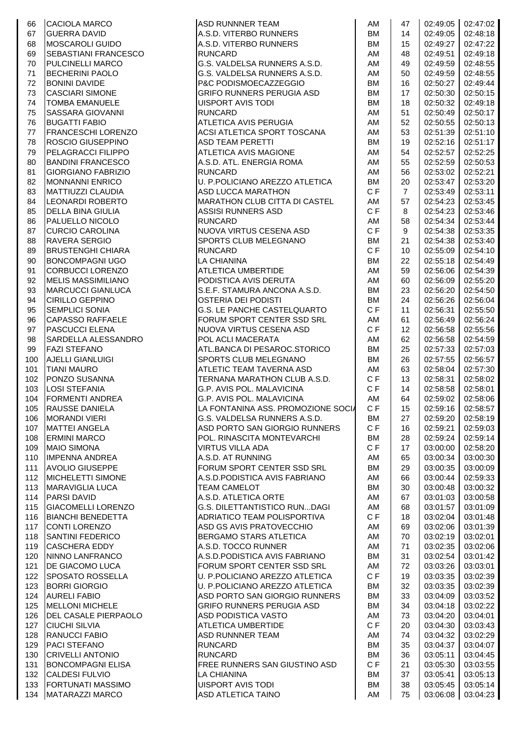| 66  | <b>CACIOLA MARCO</b>        | <b>ASD RUNNNER TEAM</b>              | AM        | 47               |          | $02:49:05$ 02:47:02 |
|-----|-----------------------------|--------------------------------------|-----------|------------------|----------|---------------------|
| 67  | <b>GUERRA DAVID</b>         | A.S.D. VITERBO RUNNERS               | <b>BM</b> | 14               | 02:49:05 | 02:48:18            |
| 68  | <b>MOSCAROLI GUIDO</b>      | A.S.D. VITERBO RUNNERS               | <b>BM</b> | 15               | 02:49:27 | 02:47:22            |
| 69  | SEBASTIANI FRANCESCO        | <b>RUNCARD</b>                       | AM        | 48               | 02:49:51 | 02:49:18            |
| 70  | <b>PULCINELLI MARCO</b>     | G.S. VALDELSA RUNNERS A.S.D.         | AM        | 49               | 02:49:59 | 02:48:55            |
| 71  | <b>BECHERINI PAOLO</b>      | G.S. VALDELSA RUNNERS A.S.D.         | AM        | 50               | 02:49:59 | 02:48:55            |
| 72  | <b>BONINI DAVIDE</b>        | P&C PODISMOECAZZEGGIO                | <b>BM</b> | 16               | 02:50:27 | 02:49:44            |
| 73  | <b>CASCIARI SIMONE</b>      | <b>GRIFO RUNNERS PERUGIA ASD</b>     | <b>BM</b> | 17               | 02:50:30 | 02:50:15            |
|     |                             |                                      |           |                  |          |                     |
| 74  | TOMBA EMANUELE              | <b>UISPORT AVIS TODI</b>             | <b>BM</b> | 18               | 02:50:32 | 02:49:18            |
| 75  | SASSARA GIOVANNI            | <b>RUNCARD</b>                       | AM        | 51               | 02:50:49 | 02:50:17            |
| 76  | <b>BUGATTI FABIO</b>        | ATLETICA AVIS PERUGIA                | AM        | 52               | 02:50:55 | 02:50:13            |
| 77  | FRANCESCHI LORENZO          | ACSI ATLETICA SPORT TOSCANA          | AM        | 53               | 02:51:39 | 02:51:10            |
| 78  | ROSCIO GIUSEPPINO           | <b>ASD TEAM PERETTI</b>              | <b>BM</b> | 19               | 02:52:16 | 02:51:17            |
| 79  | PELAGRACCI FILIPPO          | <b>ATLETICA AVIS MAGIONE</b>         | <b>AM</b> | 54               | 02:52:57 | 02:52:25            |
| 80  | <b>BANDINI FRANCESCO</b>    | A.S.D. ATL. ENERGIA ROMA             | AM        | 55               | 02:52:59 | 02:50:53            |
| 81  | <b>GIORGIANO FABRIZIO</b>   | <b>RUNCARD</b>                       | AM        | 56               | 02:53:02 | 02:52:21            |
| 82  | <b>MONNANNI ENRICO</b>      | U. P.POLICIANO AREZZO ATLETICA       | BM        | 20               | 02:53:47 | 02:53:20            |
| 83  | <b>MATTIUZZI CLAUDIA</b>    | <b>ASD LUCCA MARATHON</b>            | C F       | $\overline{7}$   | 02:53:49 | 02:53:11            |
| 84  | LEONARDI ROBERTO            | <b>MARATHON CLUB CITTA DI CASTEL</b> | AM        | 57               | 02:54:23 | 02:53:45            |
| 85  | <b>DELLA BINA GIULIA</b>    | <b>ASSISI RUNNERS ASD</b>            | C F       | 8                | 02:54:23 | 02:53:46            |
| 86  | PALUELLO NICOLO             | <b>RUNCARD</b>                       | AM        | 58               | 02:54:34 | 02:53:44            |
| 87  | <b>CURCIO CAROLINA</b>      | NUOVA VIRTUS CESENA ASD              | C F       | 9                | 02:54:38 | 02:53:35            |
| 88  | <b>RAVERA SERGIO</b>        | SPORTS CLUB MELEGNANO                | <b>BM</b> | 21               | 02:54:38 | 02:53:40            |
| 89  | <b>BRUSTENGHI CHIARA</b>    | <b>RUNCARD</b>                       | CF        | 10               | 02:55:09 | 02:54:10            |
|     |                             |                                      | <b>BM</b> |                  |          | 02:54:49            |
| 90  | BONCOMPAGNI UGO             | <b>LA CHIANINA</b>                   |           | 22               | 02:55:18 |                     |
| 91  | <b>CORBUCCI LORENZO</b>     | ATLETICA UMBERTIDE                   | AM        | 59               | 02:56:06 | 02:54:39            |
| 92  | <b>MELIS MASSIMILIANO</b>   | PODISTICA AVIS DERUTA                | AM        | 60               | 02:56:09 | 02:55:20            |
| 93  | <b>MARCUCCI GIANLUCA</b>    | S.E.F. STAMURA ANCONA A.S.D.         | <b>BM</b> | 23               | 02:56:20 | 02:54:50            |
| 94  | <b>CIRILLO GEPPINO</b>      | <b>OSTERIA DEI PODISTI</b>           | <b>BM</b> | 24               | 02:56:26 | 02:56:04            |
| 95  | SEMPLICI SONIA              | G.S. LE PANCHE CASTELQUARTO          | CF        | 11               | 02:56:31 | 02:55:50            |
| 96  | <b>CAPASSO RAFFAELE</b>     | FORUM SPORT CENTER SSD SRL           | AM        | 61               | 02:56:49 | 02:56:24            |
| 97  | <b>PASCUCCI ELENA</b>       | <b>INUOVA VIRTUS CESENA ASD</b>      | CF        | 12               | 02:56:58 | 02:55:56            |
| 98  | SARDELLA ALESSANDRO         | POL ACLI MACERATA                    | AM        | 62               | 02:56:58 | 02:54:59            |
| 99  | <b>FAZI STEFANO</b>         | ATL.BANCA DI PESAROC.STORICO         | BM        | 25               | 02:57:33 | 02:57:03            |
| 100 | AJELLI GIANLUIGI            | SPORTS CLUB MELEGNANO                | <b>BM</b> | 26               | 02:57:55 | 02:56:57            |
| 101 | <b>TIANI MAURO</b>          | ATLETIC TEAM TAVERNA ASD             | AM        | 63               | 02:58:04 | 02:57:30            |
| 102 | PONZO SUSANNA               | TERNANA MARATHON CLUB A.S.D.         | C F       | 13               | 02:58:31 | 02:58:02            |
| 103 | <b>LOSI STEFANIA</b>        | G.P. AVIS POL. MALAVICINA            | CF        | 14               | 02:58:58 | 02:58:01            |
| 104 | <b>FORMENTI ANDREA</b>      | G.P. AVIS POL. MALAVICINA            | AM        | 64               | 02:59:02 | 02:58:06            |
| 105 | <b>RAUSSE DANIELA</b>       | LA FONTANINA ASS. PROMOZIONE SOCIA   | C F       | 15 <sub>15</sub> |          | 02:59:16 02:58:57   |
| 106 | <b>MORANDI VIERI</b>        | G.S. VALDELSA RUNNERS A.S.D.         | BM        | 27               | 02:59:20 | 02:58:19            |
|     | <b>MATTEI ANGELA</b>        | ASD PORTO SAN GIORGIO RUNNERS        | CF        | 16               |          | 02:59:03            |
| 107 |                             |                                      |           |                  | 02:59:21 |                     |
| 108 | <b>ERMINI MARCO</b>         | POL. RINASCITA MONTEVARCHI           | <b>BM</b> | 28               | 02:59:24 | 02:59:14            |
| 109 | <b>MAIO SIMONA</b>          | <b>VIRTUS VILLA ADA</b>              | C F       | 17               | 03:00:00 | 02:58:20            |
| 110 | <b>IMPENNA ANDREA</b>       | A.S.D. AT RUNNING                    | AM        | 65               | 03:00:34 | 03:00:30            |
| 111 | <b>AVOLIO GIUSEPPE</b>      | FORUM SPORT CENTER SSD SRL           | BM        | 29               | 03:00:35 | 03:00:09            |
| 112 | MICHELETTI SIMONE           | A.S.D. PODISTICA AVIS FABRIANO       | AM        | 66               | 03:00:44 | 02:59:33            |
| 113 | <b>MARAVIGLIA LUCA</b>      | <b>TEAM CAMELOT</b>                  | <b>BM</b> | 30               | 03:00:48 | 03:00:32            |
| 114 | <b>PARSI DAVID</b>          | A.S.D. ATLETICA ORTE                 | AM        | 67               | 03:01:03 | 03:00:58            |
| 115 | <b>GIACOMELLI LORENZO</b>   | G.S. DILETTANTISTICO RUNDAGI         | AM        | 68               | 03:01:57 | 03:01:09            |
| 116 | <b>BIANCHI BENEDETTA</b>    | ADRIATICO TEAM POLISPORTIVA          | C F       | 18               | 03:02:04 | 03:01:48            |
| 117 | CONTI LORENZO               | ASD GS AVIS PRATOVECCHIO             | AM        | 69               | 03:02:06 | 03:01:39            |
| 118 | <b>SANTINI FEDERICO</b>     | BERGAMO STARS ATLETICA               | AM        | 70               | 03:02:19 | 03:02:01            |
| 119 | <b>CASCHERA EDDY</b>        | A.S.D. TOCCO RUNNER                  | AM        | 71               | 03:02:35 | 03:02:06            |
| 120 | NINNO LANFRANCO             | A.S.D. PODISTICA AVIS FABRIANO       | <b>BM</b> | 31               | 03:02:54 | 03:01:42            |
| 121 | <b>DE GIACOMO LUCA</b>      | FORUM SPORT CENTER SSD SRL           | AM        | 72               | 03:03:26 | 03:03:01            |
| 122 | SPOSATO ROSSELLA            | U. P.POLICIANO AREZZO ATLETICA       | C F       | 19               | 03:03:35 | 03:02:39            |
| 123 | <b>BORRI GIORGIO</b>        | U. P.POLICIANO AREZZO ATLETICA       | <b>BM</b> | 32               | 03:03:35 | 03:02:39            |
| 124 | <b>AURELI FABIO</b>         | ASD PORTO SAN GIORGIO RUNNERS        | <b>BM</b> | 33               | 03:04:09 | 03:03:52            |
| 125 | <b>MELLONI MICHELE</b>      | <b>GRIFO RUNNERS PERUGIA ASD</b>     | BM        | 34               | 03:04:18 | 03:02:22            |
|     |                             | ASD PODISTICA VASTO                  | AM        |                  |          |                     |
| 126 | <b>DEL CASALE PIERPAOLO</b> |                                      |           | 73               | 03:04:20 | 03:04:01            |
| 127 | <b>CIUCHI SILVIA</b>        | ATLETICA UMBERTIDE                   | C F       | 20               | 03:04:30 | 03:03:43            |
| 128 | <b>RANUCCI FABIO</b>        | <b>ASD RUNNNER TEAM</b>              | AM        | 74               | 03:04:32 | 03:02:29            |
| 129 | PACI STEFANO                | <b>RUNCARD</b>                       | <b>BM</b> | 35               | 03:04:37 | 03:04:07            |
| 130 | <b>CRIVELLI ANTONIO</b>     | <b>RUNCARD</b>                       | BM        | 36               | 03:05:11 | 03:04:45            |
| 131 | <b>BONCOMPAGNI ELISA</b>    | <b>FREE RUNNERS SAN GIUSTINO ASD</b> | C F       | 21               | 03:05:30 | 03:03:55            |
| 132 | <b>CALDESI FULVIO</b>       | <b>LA CHIANINA</b>                   | <b>BM</b> | 37               | 03:05:41 | 03:05:13            |
| 133 | <b>FORTUNATI MASSIMO</b>    | <b>UISPORT AVIS TODI</b>             | <b>BM</b> | 38               | 03:05:45 | 03:05:14            |
| 134 | MATARAZZI MARCO             | ASD ATLETICA TAINO                   | AM        | 75               | 03:06:08 | 03:04:23            |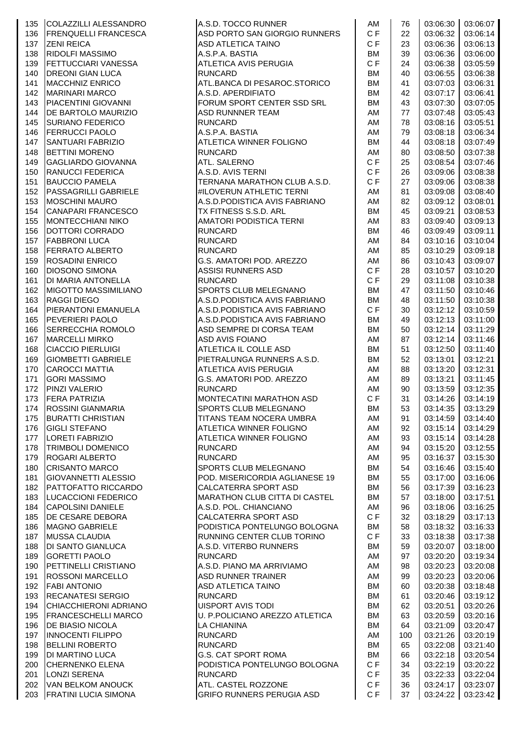| 135 | COLAZZILLI ALESSANDRO       | A.S.D. TOCCO RUNNER                  | AM        | 76  | 03:06:30 | 03:06:07          |
|-----|-----------------------------|--------------------------------------|-----------|-----|----------|-------------------|
| 136 | <b>FRENQUELLI FRANCESCA</b> | ASD PORTO SAN GIORGIO RUNNERS        | C F       | 22  | 03:06:32 | 03:06:14          |
|     | <b>ZENI REICA</b>           |                                      | C F       |     |          | 03:06:13          |
| 137 |                             | <b>ASD ATLETICA TAINO</b>            |           | 23  | 03:06:36 |                   |
| 138 | <b>RIDOLFI MASSIMO</b>      | A.S.P.A. BASTIA                      | BM        | 39  | 03:06:36 | 03:06:00          |
| 139 | <b>FETTUCCIARI VANESSA</b>  | ATLETICA AVIS PERUGIA                | C F       | 24  | 03:06:38 | 03:05:59          |
| 140 | <b>DREONI GIAN LUCA</b>     | <b>RUNCARD</b>                       | BM        | 40  | 03:06:55 | 03:06:38          |
| 141 | <b>MACCHNIZ ENRICO</b>      | ATL.BANCA DI PESAROC.STORICO         | <b>BM</b> | 41  | 03:07:03 | 03:06:31          |
| 142 | <b>MARINARI MARCO</b>       | A.S.D. APERDIFIATO                   | <b>BM</b> | 42  | 03:07:17 | 03:06:41          |
| 143 | PIACENTINI GIOVANNI         | FORUM SPORT CENTER SSD SRL           | <b>BM</b> | 43  | 03:07:30 | 03:07:05          |
| 144 | DE BARTOLO MAURIZIO         | ASD RUNNNER TEAM                     | AM        | 77  | 03:07:48 | 03:05:43          |
|     |                             |                                      |           |     |          |                   |
| 145 | <b>SURIANO FEDERICO</b>     | <b>RUNCARD</b>                       | AM        | 78  | 03:08:16 | 03:05:51          |
| 146 | <b>FERRUCCI PAOLO</b>       | A.S.P.A. BASTIA                      | AM        | 79  | 03:08:18 | 03:06:34          |
| 147 | <b>SANTUARI FABRIZIO</b>    | ATLETICA WINNER FOLIGNO              | <b>BM</b> | 44  | 03:08:18 | 03:07:49          |
| 148 | <b>BETTINI MORENO</b>       | <b>RUNCARD</b>                       | AM        | 80  | 03:08:50 | 03:07:38          |
| 149 | GAGLIARDO GIOVANNA          | <b>ATL. SALERNO</b>                  | CF        | 25  | 03:08:54 | 03:07:46          |
| 150 | <b>RANUCCI FEDERICA</b>     | A.S.D. AVIS TERNI                    | C F       | 26  | 03:09:06 | 03:08:38          |
|     |                             |                                      | C F       |     |          |                   |
| 151 | <b>BAUCCIO PAMELA</b>       | TERNANA MARATHON CLUB A.S.D.         |           | 27  | 03:09:06 | 03:08:38          |
| 152 | PASSAGRILLI GABRIELE        | #ILOVERUN ATHLETIC TERNI             | AM        | 81  | 03:09:08 | 03:08:40          |
| 153 | <b>MOSCHINI MAURO</b>       | A.S.D. PODISTICA AVIS FABRIANO       | AM        | 82  | 03:09:12 | 03:08:01          |
| 154 | CANAPARI FRANCESCO          | TX FITNESS S.S.D. ARL                | <b>BM</b> | 45  | 03:09:21 | 03:08:53          |
| 155 | <b>MONTECCHIANI NIKO</b>    | AMATORI PODISTICA TERNI              | AM        | 83  | 03:09:40 | 03:09:13          |
| 156 | DOTTORI CORRADO             | <b>RUNCARD</b>                       | <b>BM</b> | 46  | 03:09:49 | 03:09:11          |
|     | <b>FABBRONI LUCA</b>        |                                      | AM        | 84  |          | 03:10:04          |
| 157 |                             | <b>RUNCARD</b>                       |           |     | 03:10:16 |                   |
| 158 | <b>FERRATO ALBERTO</b>      | <b>RUNCARD</b>                       | AM        | 85  | 03:10:29 | 03:09:18          |
| 159 | <b>ROSADINI ENRICO</b>      | G.S. AMATORI POD. AREZZO             | AM        | 86  | 03:10:43 | 03:09:07          |
| 160 | <b>DIOSONO SIMONA</b>       | <b>ASSISI RUNNERS ASD</b>            | C F       | 28  | 03:10:57 | 03:10:20          |
| 161 | DI MARIA ANTONELLA          | <b>RUNCARD</b>                       | CF        | 29  | 03:11:08 | 03:10:38          |
| 162 | <b>MIGOTTO MASSIMILIANO</b> | <b>SPORTS CLUB MELEGNANO</b>         | <b>BM</b> | 47  | 03:11:50 | 03:10:46          |
|     |                             |                                      | <b>BM</b> |     |          | 03:10:38          |
| 163 | <b>RAGGI DIEGO</b>          | A.S.D. PODISTICA AVIS FABRIANO       |           | 48  | 03:11:50 |                   |
| 164 | PIERANTONI EMANUELA         | A.S.D. PODISTICA AVIS FABRIANO       | C F       | 30  | 03:12:12 | 03:10:59          |
| 165 | <b>PEVERIERI PAOLO</b>      | A.S.D. PODISTICA AVIS FABRIANO       | BM        | 49  | 03:12:13 | 03:11:00          |
| 166 | SERRECCHIA ROMOLO           | ASD SEMPRE DI CORSA TEAM             | <b>BM</b> | 50  | 03:12:14 | 03:11:29          |
| 167 | <b>MARCELLI MIRKO</b>       | <b>ASD AVIS FOIANO</b>               | AM        | 87  | 03:12:14 | 03:11:46          |
| 168 | <b>CIACCIO PIERLUIGI</b>    | ATLETICA IL COLLE ASD                | <b>BM</b> | 51  | 03:12:50 | 03:11:40          |
| 169 | <b>GIOMBETTI GABRIELE</b>   | PIETRALUNGA RUNNERS A.S.D.           | <b>BM</b> | 52  | 03:13:01 | 03:12:21          |
|     |                             |                                      |           |     |          |                   |
| 170 | <b>CAROCCI MATTIA</b>       | <b>ATLETICA AVIS PERUGIA</b>         | AM        | 88  | 03:13:20 | 03:12:31          |
| 171 | <b>GORI MASSIMO</b>         | G.S. AMATORI POD. AREZZO             | AM        | 89  | 03:13:21 | 03:11:45          |
| 172 | PINZI VALERIO               | <b>RUNCARD</b>                       | AM        | 90  | 03:13:59 | 03:12:35          |
| 173 | <b>FERA PATRIZIA</b>        | MONTECATINI MARATHON ASD             | C F       | 31  | 03:14:26 | 03:14:19          |
| 174 | <b>ROSSINI GIANMARIA</b>    | SPORTS CLUB MELEGNANO                | <b>BM</b> | 53  |          | 03:14:35 03:13:29 |
| 175 | <b>BURATTI CHRISTIAN</b>    | TITANS TEAM NOCERA UMBRA             | AM        | 91  | 03:14:59 | 03:14:40          |
| 176 | <b>GIGLI STEFANO</b>        | ATLETICA WINNER FOLIGNO              | AM        | 92  | 03:15:14 | 03:14:29          |
|     |                             |                                      |           |     |          |                   |
| 177 | LORETI FABRIZIO             | ATLETICA WINNER FOLIGNO              | AM        | 93  | 03:15:14 | 03:14:28          |
| 178 | <b>TRIMBOLI DOMENICO</b>    | <b>RUNCARD</b>                       | AM        | 94  | 03:15:20 | 03:12:55          |
| 179 | <b>ROGARI ALBERTO</b>       | <b>RUNCARD</b>                       | AM        | 95  | 03:16:37 | 03:15:30          |
| 180 | <b>CRISANTO MARCO</b>       | SPORTS CLUB MELEGNANO                | <b>BM</b> | 54  | 03:16:46 | 03:15:40          |
| 181 | <b>GIOVANNETTI ALESSIO</b>  | POD. MISERICORDIA AGLIANESE 19       | <b>BM</b> | 55  | 03:17:00 | 03:16:06          |
| 182 | PATTOFATTO RICCARDO         | CALCATERRA SPORT ASD                 | <b>BM</b> | 56  | 03:17:39 | 03:16:23          |
| 183 | LUCACCIONI FEDERICO         | <b>MARATHON CLUB CITTA DI CASTEL</b> | <b>BM</b> | 57  | 03:18:00 | 03:17:51          |
|     |                             |                                      |           |     |          |                   |
| 184 | <b>CAPOLSINI DANIELE</b>    | A.S.D. POL. CHIANCIANO               | AM        | 96  | 03:18:06 | 03:16:25          |
| 185 | DE CESARE DEBORA            | CALCATERRA SPORT ASD                 | C F       | 32  | 03:18:29 | 03:17:13          |
| 186 | MAGNO GABRIELE              | PODISTICA PONTELUNGO BOLOGNA         | <b>BM</b> | 58  | 03:18:32 | 03:16:33          |
| 187 | <b>MUSSA CLAUDIA</b>        | RUNNING CENTER CLUB TORINO           | C F       | 33  | 03:18:38 | 03:17:38          |
| 188 | <b>DI SANTO GIANLUCA</b>    | A.S.D. VITERBO RUNNERS               | BM        | 59  | 03:20:07 | 03:18:00          |
| 189 | <b>GORETTI PAOLO</b>        | <b>RUNCARD</b>                       | AM        | 97  | 03:20:20 | 03:19:34          |
| 190 | PETTINELLI CRISTIANO        | A.S.D. PIANO MA ARRIVIAMO            | AM        | 98  | 03:20:23 | 03:20:08          |
|     |                             |                                      |           |     |          |                   |
| 191 | <b>ROSSONI MARCELLO</b>     | <b>ASD RUNNER TRAINER</b>            | AM        | 99  | 03:20:23 | 03:20:06          |
| 192 | <b>FABI ANTONIO</b>         | ASD ATLETICA TAINO                   | BM        | 60  | 03:20:38 | 03:18:48          |
| 193 | <b>RECANATESI SERGIO</b>    | <b>RUNCARD</b>                       | <b>BM</b> | 61  | 03:20:46 | 03:19:12          |
| 194 | CHIACCHIERONI ADRIANO       | <b>UISPORT AVIS TODI</b>             | <b>BM</b> | 62  | 03:20:51 | 03:20:26          |
| 195 | <b>FRANCESCHELLI MARCO</b>  | U. P.POLICIANO AREZZO ATLETICA       | <b>BM</b> | 63  | 03:20:59 | 03:20:16          |
| 196 | <b>DE BIASIO NICOLA</b>     | <b>LA CHIANINA</b>                   | BM        | 64  | 03:21:09 | 03:20:47          |
|     |                             |                                      |           |     |          |                   |
| 197 | <b>INNOCENTI FILIPPO</b>    | <b>RUNCARD</b>                       | AM        | 100 | 03:21:26 | 03:20:19          |
| 198 | <b>BELLINI ROBERTO</b>      | <b>RUNCARD</b>                       | <b>BM</b> | 65  | 03:22:08 | 03:21:40          |
| 199 | <b>DI MARTINO LUCA</b>      | <b>G.S. CAT SPORT ROMA</b>           | <b>BM</b> | 66  | 03:22:18 | 03:20:54          |
| 200 | <b>CHERNENKO ELENA</b>      | PODISTICA PONTELUNGO BOLOGNA         | C F       | 34  | 03:22:19 | 03:20:22          |
| 201 | LONZI SERENA                | <b>RUNCARD</b>                       | C F       | 35  | 03:22:33 | 03:22:04          |
|     | 202 VAN BELKOM ANOUCK       | ATL. CASTEL ROZZONE                  | C F       | 36  | 03:24:17 | 03:23:07          |
| 203 | <b>FRATINI LUCIA SIMONA</b> | GRIFO RUNNERS PERUGIA ASD            | C F       | 37  | 03:24:22 | 03:23:42          |
|     |                             |                                      |           |     |          |                   |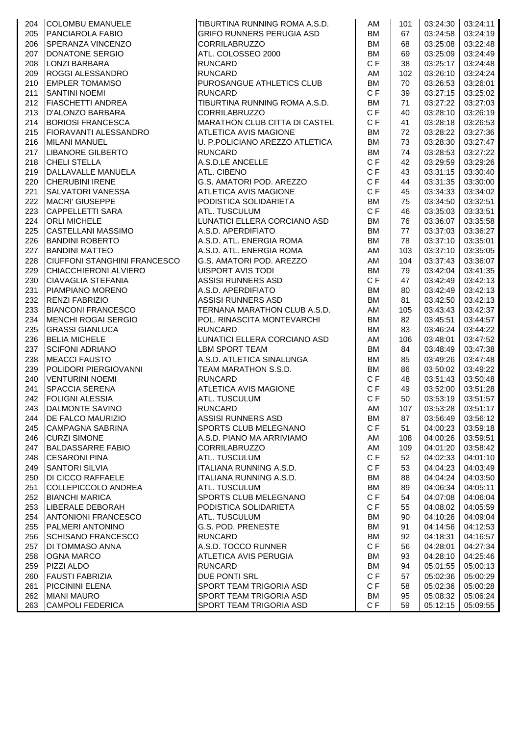| 204 | <b>COLOMBU EMANUELE</b>             | TIBURTINA RUNNING ROMA A.S.D.        | AM        | 101 |                          | 03:24:30 03:24:11 |
|-----|-------------------------------------|--------------------------------------|-----------|-----|--------------------------|-------------------|
|     | <b>PANCIAROLA FABIO</b>             | <b>GRIFO RUNNERS PERUGIA ASD</b>     | <b>BM</b> |     |                          |                   |
| 205 |                                     |                                      |           | 67  | 03:24:58                 | 03:24:19          |
| 206 | SPERANZA VINCENZO                   | <b>CORRILABRUZZO</b>                 | <b>BM</b> | 68  | 03:25:08                 | 03:22:48          |
| 207 | DONATONE SERGIO                     | ATL. COLOSSEO 2000                   | <b>BM</b> | 69  | 03:25:09                 | 03:24:49          |
| 208 | <b>LONZI BARBARA</b>                | <b>RUNCARD</b>                       | C F       | 38  | 03:25:17                 | 03:24:48          |
| 209 | ROGGI ALESSANDRO                    | <b>RUNCARD</b>                       | AM        | 102 | 03:26:10                 | 03:24:24          |
| 210 | <b>EMPLER TOMAMSO</b>               | PUROSANGUE ATHLETICS CLUB            | <b>BM</b> | 70  | 03:26:53                 | 03:26:01          |
|     |                                     |                                      | C F       |     |                          |                   |
| 211 | <b>SANTINI NOEMI</b>                | <b>RUNCARD</b>                       |           | 39  | 03:27:15                 | 03:25:02          |
| 212 | FIASCHETTI ANDREA                   | TIBURTINA RUNNING ROMA A.S.D.        | <b>BM</b> | 71  | 03:27:22                 | 03:27:03          |
| 213 | D'ALONZO BARBARA                    | <b>CORRILABRUZZO</b>                 | C F       | 40  | 03:28:10                 | 03:26:19          |
| 214 | <b>BORIOSI FRANCESCA</b>            | <b>MARATHON CLUB CITTA DI CASTEL</b> | C F       | 41  | 03:28:18                 | 03:26:53          |
| 215 | FIORAVANTI ALESSANDRO               | <b>ATLETICA AVIS MAGIONE</b>         | <b>BM</b> | 72  | 03:28:22                 | 03:27:36          |
| 216 | <b>MILANI MANUEL</b>                | U. P.POLICIANO AREZZO ATLETICA       | <b>BM</b> | 73  | 03:28:30                 | 03:27:47          |
| 217 | LIBANORE GILBERTO                   | <b>RUNCARD</b>                       | <b>BM</b> | 74  | 03:28:53                 | 03:27:22          |
|     |                                     |                                      |           |     |                          |                   |
| 218 | <b>CHELI STELLA</b>                 | A.S.D.LE ANCELLE                     | CF        | 42  | 03:29:59                 | 03:29:26          |
| 219 | DALLAVALLE MANUELA                  | <b>ATL. CIBENO</b>                   | C F       | 43  | 03:31:15                 | 03:30:40          |
| 220 | <b>CHERUBINI IRENE</b>              | G.S. AMATORI POD. AREZZO             | CF        | 44  | 03:31:35                 | 03:30:00          |
| 221 | SALVATORI VANESSA                   | <b>ATLETICA AVIS MAGIONE</b>         | C F       | 45  | 03:34:33                 | 03:34:02          |
| 222 | <b>MACRI' GIUSEPPE</b>              | PODISTICA SOLIDARIETA                | <b>BM</b> | 75  | 03:34:50                 | 03:32:51          |
| 223 | <b>CAPPELLETTI SARA</b>             | <b>ATL. TUSCULUM</b>                 | C F       | 46  | 03:35:03                 | 03:33:51          |
|     |                                     |                                      |           |     |                          |                   |
| 224 | <b>ORLI MICHELE</b>                 | LUNATICI ELLERA CORCIANO ASD         | <b>BM</b> | 76  | 03:36:07                 | 03:35:58          |
| 225 | <b>CASTELLANI MASSIMO</b>           | A.S.D. APERDIFIATO                   | <b>BM</b> | 77  | 03:37:03                 | 03:36:27          |
| 226 | <b>BANDINI ROBERTO</b>              | A.S.D. ATL. ENERGIA ROMA             | <b>BM</b> | 78  | 03:37:10                 | 03:35:01          |
| 227 | <b>BANDINI MATTEO</b>               | A.S.D. ATL. ENERGIA ROMA             | AM        | 103 | 03:37:10                 | 03:35:05          |
| 228 | <b>CIUFFONI STANGHINI FRANCESCO</b> | G.S. AMATORI POD. AREZZO             | AM        | 104 | 03:37:43                 | 03:36:07          |
| 229 | CHIACCHIERONI ALVIERO               | UISPORT AVIS TODI                    | <b>BM</b> | 79  | 03:42:04                 | 03:41:35          |
|     |                                     |                                      | C F       |     |                          |                   |
| 230 | <b>CIAVAGLIA STEFANIA</b>           | ASSISI RUNNERS ASD                   |           | 47  | 03:42:49                 | 03:42:13          |
| 231 | PIAMPIANO MORENO                    | A.S.D. APERDIFIATO                   | <b>BM</b> | 80  | 03:42:49                 | 03:42:13          |
| 232 | <b>RENZI FABRIZIO</b>               | <b>ASSISI RUNNERS ASD</b>            | <b>BM</b> | 81  | 03:42:50                 | 03:42:13          |
| 233 | <b>BIANCONI FRANCESCO</b>           | TERNANA MARATHON CLUB A.S.D.         | AM        | 105 | 03:43:43                 | 03:42:37          |
| 234 | MENCHI ROGAI SERGIO                 | POL. RINASCITA MONTEVARCHI           | <b>BM</b> | 82  | 03:45:51                 | 03:44:57          |
| 235 | <b>GRASSI GIANLUCA</b>              | <b>RUNCARD</b>                       | <b>BM</b> | 83  | 03:46:24                 | 03:44:22          |
| 236 | <b>BELIA MICHELE</b>                | LUNATICI ELLERA CORCIANO ASD         | AM        | 106 | 03:48:01                 | 03:47:52          |
|     |                                     |                                      |           |     |                          |                   |
| 237 | <b>SCIFONI ADRIANO</b>              | LBM SPORT TEAM                       | <b>BM</b> | 84  | 03:48:49                 | 03:47:38          |
| 238 | <b>MEACCI FAUSTO</b>                | A.S.D. ATLETICA SINALUNGA            | <b>BM</b> | 85  | 03:49:26                 | 03:47:48          |
| 239 | POLIDORI PIERGIOVANNI               | TEAM MARATHON S.S.D.                 | <b>BM</b> | 86  | 03:50:02                 | 03:49:22          |
| 240 | <b>VENTURINI NOEMI</b>              | <b>RUNCARD</b>                       | C F       | 48  | 03:51:43                 | 03:50:48          |
| 241 | SPACCIA SERENA                      | <b>ATLETICA AVIS MAGIONE</b>         | C F       | 49  | 03:52:00                 | 03:51:28          |
| 242 | <b>FOLIGNI ALESSIA</b>              | <b>ATL. TUSCULUM</b>                 | C F       | 50  | 03:53:19                 | 03:51:57          |
|     |                                     | <b>RUNCARD</b>                       |           |     |                          |                   |
| 243 | DALMONTE SAVINO                     |                                      | AM        | 107 | $\mid$ 03:53:28 03:51:17 |                   |
| 244 | <b>DE FALCO MAURIZIO</b>            | <b>ASSISI RUNNERS ASD</b>            | BM        | 87  | 03:56:49                 | 03:56:12          |
| 245 | CAMPAGNA SABRINA                    | <b>SPORTS CLUB MELEGNANO</b>         | C F       | 51  | 04:00:23                 | 03:59:18          |
| 246 | <b>CURZI SIMONE</b>                 | A.S.D. PIANO MA ARRIVIAMO            | AM        | 108 | 04:00:26                 | 03:59:51          |
| 247 | <b>BALDASSARRE FABIO</b>            | <b>CORRILABRUZZO</b>                 | AM        | 109 | 04:01:20                 | 03:58:42          |
| 248 | <b>CESARONI PINA</b>                | <b>ATL. TUSCULUM</b>                 | C F       | 52  | 04:02:33                 | 04:01:10          |
| 249 | <b>SANTORI SILVIA</b>               | ITALIANA RUNNING A.S.D.              | C F       | 53  | 04:04:23                 | 04:03:49          |
|     |                                     |                                      |           |     |                          |                   |
| 250 | <b>DI CICCO RAFFAELE</b>            | ITALIANA RUNNING A.S.D.              | <b>BM</b> | 88  | 04:04:24                 | 04:03:50          |
| 251 | COLLEPICCOLO ANDREA                 | ATL. TUSCULUM                        | <b>BM</b> | 89  | 04:06:34                 | 04:05:11          |
| 252 | <b>BIANCHI MARICA</b>               | SPORTS CLUB MELEGNANO                | C F       | 54  | 04:07:08                 | 04:06:04          |
| 253 | LIBERALE DEBORAH                    | PODISTICA SOLIDARIETA                | C F       | 55  | 04:08:02                 | 04:05:59          |
| 254 | ANTONIONI FRANCESCO                 | <b>ATL. TUSCULUM</b>                 | BM        | 90  | 04:10:26                 | 04:09:04          |
| 255 | <b>PALMERI ANTONINO</b>             | <b>G.S. POD. PRENESTE</b>            | <b>BM</b> | 91  | 04:14:56                 | 04:12:53          |
|     | <b>SCHISANO FRANCESCO</b>           |                                      |           |     |                          |                   |
| 256 |                                     | <b>RUNCARD</b>                       | <b>BM</b> | 92  | 04:18:31                 | 04:16:57          |
| 257 | <b>DI TOMMASO ANNA</b>              | A.S.D. TOCCO RUNNER                  | C F       | 56  | 04:28:01                 | 04:27:34          |
| 258 | <b>OGNA MARCO</b>                   | ATLETICA AVIS PERUGIA                | <b>BM</b> | 93  | 04:28:10                 | 04:25:46          |
| 259 | PIZZI ALDO                          | <b>RUNCARD</b>                       | <b>BM</b> | 94  | 05:01:55                 | 05:00:13          |
| 260 | <b>FAUSTI FABRIZIA</b>              | <b>DUE PONTI SRL</b>                 | C F       | 57  | 05:02:36                 | 05:00:29          |
| 261 | PICCININI ELENA                     | SPORT TEAM TRIGORIA ASD              | C F       | 58  | 05:02:36                 | 05:00:28          |
| 262 | <b>MIANI MAURO</b>                  | SPORT TEAM TRIGORIA ASD              | <b>BM</b> | 95  | 05:08:32                 | 05:06:24          |
|     | 263 CAMPOLI FEDERICA                | SPORT TEAM TRIGORIA ASD              | CF        | 59  | 05:12:15                 | 05:09:55          |
|     |                                     |                                      |           |     |                          |                   |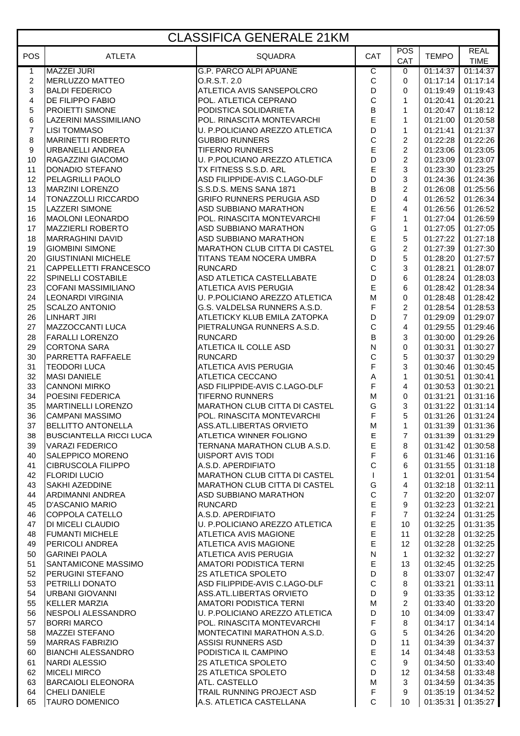# CLASSIFICA GENERALE 21KM

| <b>POS</b>       | <b>ATLETA</b>                                       | <b>SQUADRA</b>                                                       | CAT                        | <b>POS</b>          | <b>TEMPO</b>         | <b>REAL</b>             |
|------------------|-----------------------------------------------------|----------------------------------------------------------------------|----------------------------|---------------------|----------------------|-------------------------|
| $\mathbf{1}$     | <b>MAZZEI JURI</b>                                  | <b>G.P. PARCO ALPI APUANE</b>                                        | ਟ                          | CAT<br>0            | 01:14:37             | <b>TIME</b><br>01:14:37 |
| $\boldsymbol{2}$ | <b>MERLUZZO MATTEO</b>                              | O.R.S.T. 2.0                                                         | $\mathsf{C}$               | 0                   | 01:17:14             | 01:17:14                |
| $\sqrt{3}$       | <b>BALDI FEDERICO</b>                               | ATLETICA AVIS SANSEPOLCRO                                            | D                          | 0                   | 01:19:49             | 01:19:43                |
| $\overline{4}$   | DE FILIPPO FABIO                                    | POL. ATLETICA CEPRANO                                                | $\mathsf{C}$               | $\mathbf{1}$        | 01:20:41             | 01:20:21                |
| 5                | PROIETTI SIMONE                                     | PODISTICA SOLIDARIETA                                                | $\sf B$                    | $\mathbf{1}$        | 01:20:47             | 01:18:12                |
| 6                | LAZERINI MASSIMILIANO                               | POL. RINASCITA MONTEVARCHI                                           | E                          | 1                   | 01:21:00             | 01:20:58                |
| $\overline{7}$   | <b>LISI TOMMASO</b>                                 | U. P.POLICIANO AREZZO ATLETICA                                       | D                          | $\mathbf{1}$        | 01:21:41             | 01:21:37                |
| 8                | <b>MARINETTI ROBERTO</b>                            | <b>GUBBIO RUNNERS</b>                                                | C                          | $\overline{c}$      | 01:22:28             | 01:22:26                |
| 9                | <b>URBANELLI ANDREA</b>                             | <b>TIFERNO RUNNERS</b>                                               | E                          | $\overline{c}$      | 01:23:06             | 01:23:05                |
| 10               | RAGAZZINI GIACOMO                                   | U. P.POLICIANO AREZZO ATLETICA                                       | D                          | $\overline{2}$      | 01:23:09             | 01:23:07                |
| 11               | <b>DONADIO STEFANO</b>                              | TX FITNESS S.S.D. ARL                                                | E                          | 3                   | 01:23:30             | 01:23:25                |
| 12               | PELAGRILLI PAOLO                                    | ASD FILIPPIDE-AVIS C.LAGO-DLF                                        | D                          | 3                   | 01:24:36             | 01:24:36                |
| 13               | <b>MARZINI LORENZO</b>                              | S.S.D.S. MENS SANA 1871                                              | $\sf B$                    | $\overline{c}$      | 01:26:08             | 01:25:56                |
| 14               | TONAZZOLLI RICCARDO                                 | <b>GRIFO RUNNERS PERUGIA ASD</b>                                     | D                          | 4                   | 01:26:52             | 01:26:34                |
| 15               | <b>LAZZERI SIMONE</b>                               | <b>ASD SUBBIANO MARATHON</b>                                         | $\mathsf E$                | 4                   | 01:26:56             | 01:26:52                |
| 16               | <b>MAOLONI LEONARDO</b>                             | POL. RINASCITA MONTEVARCHI                                           | F                          | $\mathbf{1}$        | 01:27:04             | 01:26:59                |
| 17               | <b>MAZZIERLI ROBERTO</b><br><b>MARRAGHINI DAVID</b> | ASD SUBBIANO MARATHON                                                | G<br>E                     | $\mathbf{1}$        | 01:27:05             | 01:27:05                |
| 18<br>19         | <b>GIOMBINI SIMONE</b>                              | <b>ASD SUBBIANO MARATHON</b><br><b>MARATHON CLUB CITTA DI CASTEL</b> | G                          | 5<br>$\overline{2}$ | 01:27:22<br>01:27:39 | 01:27:18<br>01:27:30    |
| 20               | <b>GIUSTINIANI MICHELE</b>                          | TITANS TEAM NOCERA UMBRA                                             | D                          | 5                   | 01:28:20             | 01:27:57                |
| 21               | CAPPELLETTI FRANCESCO                               | <b>RUNCARD</b>                                                       | $\mathsf{C}$               | 3                   | 01:28:21             | 01:28:07                |
| 22               | <b>SPINELLI COSTABILE</b>                           | ASD ATLETICA CASTELLABATE                                            | D                          | 6                   | 01:28:24             | 01:28:03                |
| 23               | <b>COFANI MASSIMILIANO</b>                          | <b>ATLETICA AVIS PERUGIA</b>                                         | E                          | 6                   | 01:28:42             | 01:28:34                |
| 24               | <b>LEONARDI VIRGINIA</b>                            | U. P.POLICIANO AREZZO ATLETICA                                       | M                          | 0                   | 01:28:48             | 01:28:42                |
| 25               | <b>SCALZO ANTONIO</b>                               | G.S. VALDELSA RUNNERS A.S.D.                                         | F                          | $\overline{c}$      | 01:28:54             | 01:28:53                |
| 26               | <b>LINHART JIRI</b>                                 | ATLETICKY KLUB EMILA ZATOPKA                                         | D                          | $\overline{7}$      | 01:29:09             | 01:29:07                |
| 27               | MAZZOCCANTI LUCA                                    | PIETRALUNGA RUNNERS A.S.D.                                           | $\mathsf{C}$               | 4                   | 01:29:55             | 01:29:46                |
| 28               | <b>FARALLI LORENZO</b>                              | <b>RUNCARD</b>                                                       | $\overline{B}$             | 3                   | 01:30:00             | 01:29:26                |
| 29               | <b>CORTONA SARA</b>                                 | ATLETICA IL COLLE ASD                                                | ${\sf N}$                  | 0                   | 01:30:31             | 01:30:27                |
| 30               | PARRETTA RAFFAELE                                   | <b>RUNCARD</b>                                                       | $\mathsf C$                | 5                   | 01:30:37             | 01:30:29                |
| 31               | <b>TEODORI LUCA</b>                                 | <b>ATLETICA AVIS PERUGIA</b>                                         | F                          | 3                   | 01:30:46             | 01:30:45                |
| 32               | <b>MASI DANIELE</b>                                 | ATLETICA CECCANO                                                     | $\mathsf A$                | 1                   | 01:30:51             | 01:30:41                |
| 33               | <b>CANNONI MIRKO</b>                                | ASD FILIPPIDE-AVIS C.LAGO-DLF                                        | F                          | 4                   | 01:30:53             | 01:30:21                |
| 34<br>35         | POESINI FEDERICA<br><b>MARTINELLI LORENZO</b>       | <b>TIFERNO RUNNERS</b><br><b>MARATHON CLUB CITTA DI CASTEL</b>       | M<br>G                     | 0<br>3              | 01:31:21<br>01:31:22 | 01:31:16<br>01:31:14    |
| 36               | <b>CAMPANI MASSIMO</b>                              | POL. RINASCITA MONTEVARCHI                                           | F                          | 5                   | 01:31:26             | 01:31:24                |
| 37               | <b>BELLITTO ANTONELLA</b>                           | ASS.ATL.LIBERTAS ORVIETO                                             | M                          | $\mathbf{1}$        | 01:31:39             | 01:31:36                |
| 38               | <b>BUSCIANTELLA RICCI LUCA</b>                      | ATLETICA WINNER FOLIGNO                                              | ᄇ                          | 7                   | 01:31:39             | 01:31:29                |
| 39               | <b>VARAZI FEDERICO</b>                              | TERNANA MARATHON CLUB A.S.D.                                         | $\mathsf E$                | 8                   | 01:31:42             | 01:30:58                |
| 40               | SALEPPICO MORENO                                    | <b>UISPORT AVIS TODI</b>                                             | F                          | 6                   | 01:31:46             | 01:31:16                |
| 41               | CIBRUSCOLA FILIPPO                                  | A.S.D. APERDIFIATO                                                   | $\mathsf{C}$               | 6                   | 01:31:55             | 01:31:18                |
| 42               | <b>FLORIDI LUCIO</b>                                | <b>MARATHON CLUB CITTA DI CASTEL</b>                                 | $\mathbf{I}$               | $\mathbf 1$         | 01:32:01             | 01:31:54                |
| 43               | <b>SAKHI AZEDDINE</b>                               | <b>MARATHON CLUB CITTA DI CASTEL</b>                                 | G                          | 4                   | 01:32:18             | 01:32:11                |
| 44               | ARDIMANNI ANDREA                                    | ASD SUBBIANO MARATHON                                                | $\mathsf{C}$               | $\overline{7}$      | 01:32:20             | 01:32:07                |
| 45               | <b>D'ASCANIO MARIO</b>                              | <b>RUNCARD</b>                                                       | E                          | 9                   | 01:32:23             | 01:32:21                |
| 46               | COPPOLA CATELLO                                     | A.S.D. APERDIFIATO                                                   | F                          | $\overline{7}$      | 01:32:24             | 01:31:25                |
| 47               | DI MICELI CLAUDIO                                   | U. P.POLICIANO AREZZO ATLETICA                                       | $\mathsf E$                | 10                  | 01:32:25             | 01:31:35                |
| 48               | <b>FUMANTI MICHELE</b>                              | <b>ATLETICA AVIS MAGIONE</b>                                         | $\mathsf E$<br>$\mathsf E$ | 11                  | 01:32:28             | 01:32:25<br>01:32:25    |
| 49<br>50         | PERICOLI ANDREA<br><b>GARINEI PAOLA</b>             | <b>ATLETICA AVIS MAGIONE</b><br>ATLETICA AVIS PERUGIA                | ${\sf N}$                  | 12<br>$\mathbf{1}$  | 01:32:28<br>01:32:32 | 01:32:27                |
| 51               | <b>SANTAMICONE MASSIMO</b>                          | AMATORI PODISTICA TERNI                                              | $\mathsf E$                | 13                  | 01:32:45             | 01:32:25                |
| 52               | PERUGINI STEFANO                                    | 2S ATLETICA SPOLETO                                                  | D                          | 8                   | 01:33:07             | 01:32:47                |
| 53               | PETRILLI DONATO                                     | ASD FILIPPIDE-AVIS C.LAGO-DLF                                        | $\mathsf C$                | 8                   | 01:33:21             | 01:33:11                |
| 54               | URBANI GIOVANNI                                     | ASS.ATL.LIBERTAS ORVIETO                                             | D                          | 9                   | 01:33:35             | 01:33:12                |
| 55               | <b>KELLER MARZIA</b>                                | AMATORI PODISTICA TERNI                                              | M                          | $\overline{2}$      | 01:33:40             | 01:33:20                |
| 56               | NESPOLI ALESSANDRO                                  | U. P.POLICIANO AREZZO ATLETICA                                       | D                          | 10 <sup>1</sup>     | 01:34:09             | 01:33:47                |
| 57               | <b>BORRI MARCO</b>                                  | POL. RINASCITA MONTEVARCHI                                           | F                          | 8                   | 01:34:17             | 01:34:14                |
| 58               | <b>MAZZEI STEFANO</b>                               | MONTECATINI MARATHON A.S.D.                                          | G                          | 5                   | 01:34:26             | 01:34:20                |
| 59               | <b>MARRAS FABRIZIO</b>                              | <b>ASSISI RUNNERS ASD</b>                                            | D                          | 11                  | 01:34:39             | 01:34:37                |
| 60               | BIANCHI ALESSANDRO                                  | PODISTICA IL CAMPINO                                                 | $\mathsf E$                | 14                  | 01:34:48             | 01:33:53                |
| 61               | NARDI ALESSIO                                       | 2S ATLETICA SPOLETO                                                  | $\mathsf C$                | 9                   | 01:34:50             | 01:33:40                |
| 62               | <b>MICELI MIRCO</b>                                 | 2S ATLETICA SPOLETO                                                  | D                          | 12                  | 01:34:58             | 01:33:48                |
| 63               | BARCAIOLI ELEONORA                                  | ATL. CASTELLO                                                        | ${\sf M}$                  | 3                   | 01:34:59             | 01:34:35                |
| 64<br>65         | <b>CHELI DANIELE</b><br><b>TAURO DOMENICO</b>       | TRAIL RUNNING PROJECT ASD<br>A.S. ATLETICA CASTELLANA                | F<br>$\mathsf{C}$          | 9<br>10             | 01:35:19<br>01:35:31 | 01:34:52<br>01:35:27    |
|                  |                                                     |                                                                      |                            |                     |                      |                         |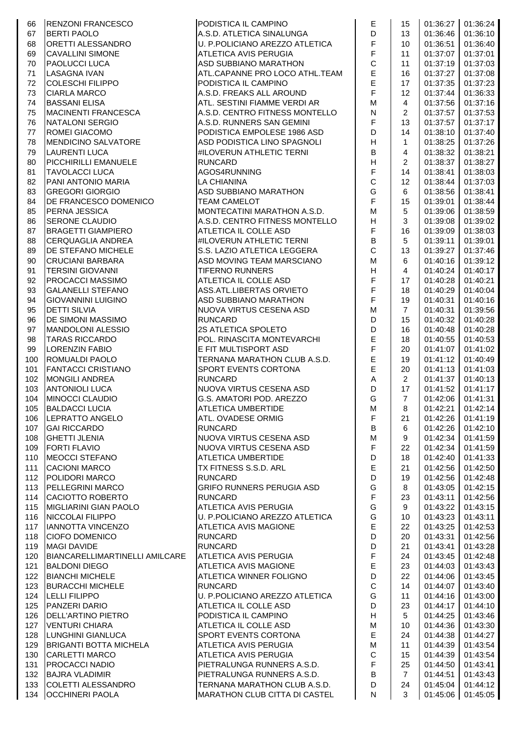| 66         | <b>RENZONI FRANCESCO</b>                        | PODISTICA IL CAMPINO                                           | Е                          | 15                   | 01:36:27             | 01:36:24             |
|------------|-------------------------------------------------|----------------------------------------------------------------|----------------------------|----------------------|----------------------|----------------------|
| 67         | <b>BERTI PAOLO</b>                              | A.S.D. ATLETICA SINALUNGA                                      | D                          | 13                   | 01:36:46             | 01:36:10             |
| 68         | ORETTI ALESSANDRO                               | U. P.POLICIANO AREZZO ATLETICA                                 | F                          | 10                   | 01:36:51             | 01:36:40             |
| 69         | <b>CAVALLINI SIMONE</b>                         | ATLETICA AVIS PERUGIA                                          | F                          | 11                   | 01:37:07             | 01:37:01             |
| 70         | <b>PAOLUCCI LUCA</b>                            | <b>ASD SUBBIANO MARATHON</b>                                   | $\mathsf C$                | 11                   | 01:37:19             | 01:37:03             |
| 71         | LASAGNA IVAN                                    | ATL.CAPANNE PRO LOCO ATHL.TEAM                                 | E                          | 16                   | 01:37:27             | 01:37:08             |
| 72         | COLESCHI FILIPPO                                | PODISTICA IL CAMPINO                                           | E<br>F                     | 17                   | 01:37:35             | 01:37:23             |
| 73<br>74   | <b>CIARLA MARCO</b>                             | A.S.D. FREAKS ALL AROUND                                       | M                          | 12                   | 01:37:44             | 01:36:33             |
| 75         | <b>BASSANI ELISA</b><br>MACINENTI FRANCESCA     | ATL. SESTINI FIAMME VERDI AR<br>A.S.D. CENTRO FITNESS MONTELLO | $\mathsf{N}$               | 4<br>$\overline{2}$  | 01:37:56<br>01:37:57 | 01:37:16<br>01:37:53 |
| 76         | NATALONI SERGIO                                 | A.S.D. RUNNERS SAN GEMINI                                      | F                          | 13                   | 01:37:57             | 01:37:17             |
| 77         | ROMEI GIACOMO                                   | PODISTICA EMPOLESE 1986 ASD                                    | D                          | 14                   | 01:38:10             | 01:37:40             |
| 78         | MENDICINO SALVATORE                             | ASD PODISTICA LINO SPAGNOLI                                    | $\overline{\mathsf{H}}$    | $\mathbf{1}$         | 01:38:25             | 01:37:26             |
| 79         | <b>LAURENTI LUCA</b>                            | #ILOVERUN ATHLETIC TERNI                                       | B                          | 4                    | 01:38:32             | 01:38:21             |
| 80         | PICCHIRILLI EMANUELE                            | <b>RUNCARD</b>                                                 | $\overline{\mathsf{H}}$    | 2                    | 01:38:37             | 01:38:27             |
| 81         | <b>TAVOLACCI LUCA</b>                           | AGOS4RUNNING                                                   | F                          | 14                   | 01:38:41             | 01:38:03             |
| 82         | PANI ANTONIO MARIA                              | <b>LA CHIANINA</b>                                             | $\mathsf C$                | 12                   | 01:38:44             | 01:37:03             |
| 83         | <b>GREGORI GIORGIO</b>                          | ASD SUBBIANO MARATHON                                          | G                          | 6                    | 01:38:56             | 01:38:41             |
| 84         | DE FRANCESCO DOMENICO                           | <b>TEAM CAMELOT</b>                                            | F                          | 15                   | 01:39:01             | 01:38:44             |
| 85         | PERNA JESSICA                                   | MONTECATINI MARATHON A.S.D.                                    | ${\sf M}$                  | $\sqrt{5}$           | 01:39:06             | 01:38:59             |
| 86         | <b>SERONE CLAUDIO</b>                           | A.S.D. CENTRO FITNESS MONTELLO                                 | H                          | 3                    | 01:39:08             | 01:39:02             |
| 87         | BRAGETTI GIAMPIERO                              | ATLETICA IL COLLE ASD                                          | F                          | 16                   | 01:39:09             | 01:38:03             |
| 88         | CERQUAGLIA ANDREA                               | #ILOVERUN ATHLETIC TERNI                                       | B<br>$\mathsf C$           | 5                    | 01:39:11             | 01:39:01<br>01:37:46 |
| 89<br>90   | DE STEFANO MICHELE<br><b>CRUCIANI BARBARA</b>   | S.S. LAZIO ATLETICA LEGGERA<br>ASD MOVING TEAM MARSCIANO       | M                          | 13<br>6              | 01:39:27<br>01:40:16 | 01:39:12             |
| 91         | <b>TERSINI GIOVANNI</b>                         | <b>TIFERNO RUNNERS</b>                                         | H                          | $\overline{4}$       | 01:40:24             | 01:40:17             |
| 92         | PROCACCI MASSIMO                                | ATLETICA IL COLLE ASD                                          | F                          | 17                   | 01:40:28             | 01:40:21             |
| 93         | <b>GALANELLI STEFANO</b>                        | ASS.ATL.LIBERTAS ORVIETO                                       | F                          | 18                   | 01:40:29             | 01:40:04             |
| 94         | <b>GIOVANNINI LUIGINO</b>                       | ASD SUBBIANO MARATHON                                          | F                          | 19                   | 01:40:31             | 01:40:16             |
| 95         | <b>DETTI SILVIA</b>                             | NUOVA VIRTUS CESENA ASD                                        | M                          | $\overline{7}$       | 01:40:31             | 01:39:56             |
| 96         | DE SIMONI MASSIMO                               | <b>RUNCARD</b>                                                 | D                          | 15                   | 01:40:32             | 01:40:28             |
| 97         | <b>MANDOLONI ALESSIO</b>                        | 2S ATLETICA SPOLETO                                            | D                          | 16                   | 01:40:48             | 01:40:28             |
| 98         | <b>TARAS RICCARDO</b>                           | POL. RINASCITA MONTEVARCHI                                     | E                          | 18                   | 01:40:55             | 01:40:53             |
| 99         | <b>LORENZIN FABIO</b>                           | E FIT MULTISPORT ASD                                           | F                          | 20                   | 01:41:07             | 01:41:02             |
| 100        | ROMUALDI PAOLO                                  | TERNANA MARATHON CLUB A.S.D.                                   | E                          | 19                   | 01:41:12             | 01:40:49             |
| 101        | <b>FANTACCI CRISTIANO</b>                       | SPORT EVENTS CORTONA                                           | E                          | 20                   | 01:41:13             | 01:41:03             |
| 102        | <b>MONGILI ANDREA</b>                           | <b>RUNCARD</b>                                                 | A                          | $\overline{2}$       | 01:41:37             | 01:40:13             |
| 103<br>104 | <b>ANTONIOLI LUCA</b><br><b>MINOCCI CLAUDIO</b> | NUOVA VIRTUS CESENA ASD<br>G.S. AMATORI POD. AREZZO            | D<br>G                     | 17<br>$\overline{7}$ | 01:41:52<br>01:42:06 | 01:41:17<br>01:41:31 |
| 105        | BALDACCI LUCIA                                  | <b>ATLETICA UMBERTIDE</b>                                      | M                          | 8                    | 01:42:21             | 01:42:14             |
| 106        | LEPRATTO ANGELO                                 | ATL. OVADESE ORMIG                                             | F                          | 21                   | 01:42:26             | 01:41:19             |
| 107        | <b>GAI RICCARDO</b>                             | <b>RUNCARD</b>                                                 | В                          | 6                    | 01:42:26             | 01:42:10             |
| 108        | <b>GHETTI JLENIA</b>                            | NUOVA VIRTUS CESENA ASD                                        | ${\sf M}$                  | 9                    | 01:42:34             | 01:41:59             |
| 109        | <b>FORTI FLAVIO</b>                             | NUOVA VIRTUS CESENA ASD                                        | $\mathsf F$                | 22                   | 01:42:34             | 01:41:59             |
| 110        | <b>MEOCCI STEFANO</b>                           | <b>ATLETICA UMBERTIDE</b>                                      | D                          | 18                   | 01:42:40             | 01:41:33             |
| $111$      | <b>CACIONI MARCO</b>                            | TX FITNESS S.S.D. ARL                                          | E                          | 21                   | 01:42:56             | 01:42:50             |
| 112        | POLIDORI MARCO                                  | <b>RUNCARD</b>                                                 | D                          | 19                   | 01:42:56             | 01:42:48             |
| 113        | PELLEGRINI MARCO                                | <b>GRIFO RUNNERS PERUGIA ASD</b>                               | G                          | 8                    | 01:43:05             | 01:42:15             |
| 114        | CACIOTTO ROBERTO                                | <b>RUNCARD</b>                                                 | $\mathsf F$                | 23                   | 01:43:11             | 01:42:56             |
| 115        | MIGLIARINI GIAN PAOLO                           | ATLETICA AVIS PERUGIA                                          | G                          | 9                    | 01:43:22             | 01:43:15             |
| 116        | NICCOLAI FILIPPO                                | U. P.POLICIANO AREZZO ATLETICA                                 | G<br>E                     | 10                   | 01:43:23             | 01:43:11             |
| 117        | IANNOTTA VINCENZO<br><b>CIOFO DOMENICO</b>      | <b>ATLETICA AVIS MAGIONE</b><br><b>RUNCARD</b>                 | D                          | 22<br>20             | 01:43:25<br>01:43:31 | 01:42:53<br>01:42:56 |
| 118<br>119 | <b>MAGI DAVIDE</b>                              | <b>RUNCARD</b>                                                 | D                          | 21                   | 01:43:41             | 01:43:28             |
| 120        | BIANCARELLIMARTINELLI AMILCARE                  | ATLETICA AVIS PERUGIA                                          | F                          | 24                   | 01:43:45             | 01:42:48             |
| 121        | <b>BALDONI DIEGO</b>                            | ATLETICA AVIS MAGIONE                                          | E                          | 23                   | 01:44:03             | 01:43:43             |
| 122        | <b>BIANCHI MICHELE</b>                          | ATLETICA WINNER FOLIGNO                                        | D                          | 22                   | 01:44:06             | 01:43:45             |
| 123        | <b>BURACCHI MICHELE</b>                         | <b>RUNCARD</b>                                                 | $\mathsf C$                | 14                   | 01:44:07             | 01:43:40             |
| 124        | <b>LELLI FILIPPO</b>                            | U. P.POLICIANO AREZZO ATLETICA                                 | G                          | 11                   | 01:44:16             | 01:43:00             |
| 125        | PANZERI DARIO                                   | ATLETICA IL COLLE ASD                                          | D                          | 23                   | 01:44:17             | 01:44:10             |
| 126        | DELL'ARTINO PIETRO                              | PODISTICA IL CAMPINO                                           | $\boldsymbol{\mathsf{H}}$  | 5                    | 01:44:25             | 01:43:46             |
| 127        | <b>VENTURI CHIARA</b>                           | ATLETICA IL COLLE ASD                                          | M                          | 10                   | 01:44:36             | 01:43:30             |
| 128        | LUNGHINI GIANLUCA                               | SPORT EVENTS CORTONA                                           | E                          | 24                   | 01:44:38             | 01:44:27             |
| 129        | <b>BRIGANTI BOTTA MICHELA</b>                   | ATLETICA AVIS PERUGIA                                          | M                          | 11                   | 01:44:39             | 01:43:54             |
| 130        | <b>CARLETTI MARCO</b>                           | ATLETICA AVIS PERUGIA                                          | $\mathsf C$<br>$\mathsf F$ | 15                   | 01:44:39             | 01:43:54             |
| 131<br>132 | <b>PROCACCI NADIO</b><br><b>BAJRA VLADIMIR</b>  | PIETRALUNGA RUNNERS A.S.D.<br>PIETRALUNGA RUNNERS A.S.D.       | $\sf B$                    | 25<br>$\overline{7}$ | 01:44:50<br>01:44:51 | 01:43:41<br>01:43:43 |
| 133        | COLETTI ALESSANDRO                              | TERNANA MARATHON CLUB A.S.D.                                   | D                          | 24                   | 01:45:04             | 01:44:12             |
|            | 134 OCCHINERI PAOLA                             | <b>MARATHON CLUB CITTA DI CASTEL</b>                           | N                          | 3                    | 01:45:06             | 01:45:05             |
|            |                                                 |                                                                |                            |                      |                      |                      |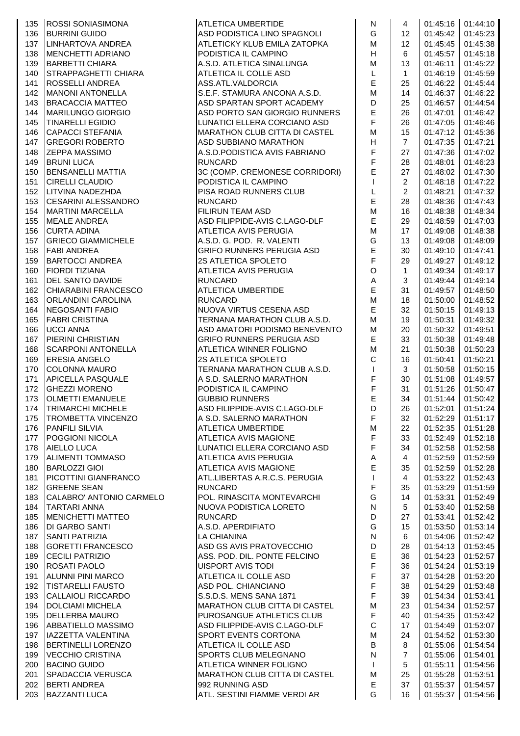|     | 135 ROSSI SONIASIMONA     | <b>ATLETICA UMBERTIDE</b>            | ${\sf N}$                                                                             | 4               |          | 01:45:16 01:44:10   |
|-----|---------------------------|--------------------------------------|---------------------------------------------------------------------------------------|-----------------|----------|---------------------|
| 136 | <b>BURRINI GUIDO</b>      | ASD PODISTICA LINO SPAGNOLI          | G                                                                                     | 12 <sup>2</sup> |          | $01:45:42$ 01:45:23 |
| 137 | LINHARTOVA ANDREA         | ATLETICKY KLUB EMILA ZATOPKA         | M                                                                                     | 12              | 01:45:45 | 01:45:38            |
| 138 | MENCHETTI ADRIANO         | PODISTICA IL CAMPINO                 | H                                                                                     | 6               | 01:45:57 | 01:45:18            |
| 139 | <b>BARBETTI CHIARA</b>    | A.S.D. ATLETICA SINALUNGA            | M                                                                                     | 13              | 01:46:11 | 01:45:22            |
| 140 | STRAPPAGHETTI CHIARA      | ATLETICA IL COLLE ASD                | L                                                                                     | $\mathbf{1}$    | 01:46:19 | 01:45:59            |
| 141 | <b>ROSSELLI ANDREA</b>    | ASS.ATL.VALDORCIA                    | $\mathsf E$                                                                           | 25              | 01:46:22 | 01:45:44            |
| 142 | <b>MANONI ANTONELLA</b>   | S.E.F. STAMURA ANCONA A.S.D.         | $\mathsf{M}% _{T}=\mathsf{M}_{T}\!\left( a,b\right) ,\ \mathsf{M}_{T}=\mathsf{M}_{T}$ | 14              | 01:46:37 | 01:46:22            |
| 143 | <b>BRACACCIA MATTEO</b>   | ASD SPARTAN SPORT ACADEMY            | D                                                                                     | 25              | 01:46:57 | 01:44:54            |
| 144 | <b>MARILUNGO GIORGIO</b>  | ASD PORTO SAN GIORGIO RUNNERS        | $\mathsf E$                                                                           | 26              | 01:47:01 | 01:46:42            |
| 145 | <b>TINARELLI EGIDIO</b>   | LUNATICI ELLERA CORCIANO ASD         | $\mathsf F$                                                                           | 26              | 01:47:05 | 01:46:46            |
| 146 | CAPACCI STEFANIA          | <b>MARATHON CLUB CITTA DI CASTEL</b> | $\mathsf{M}% _{T}=\mathsf{M}_{T}\!\left( a,b\right) ,\ \mathsf{M}_{T}=\mathsf{M}_{T}$ | 15              | 01:47:12 | 01:45:36            |
| 147 | <b>GREGORI ROBERTO</b>    | <b>ASD SUBBIANO MARATHON</b>         | Н                                                                                     | $\overline{7}$  | 01:47:35 | 01:47:21            |
| 148 | <b>ZEPPA MASSIMO</b>      | A.S.D. PODISTICA AVIS FABRIANO       | $\mathsf F$                                                                           | 27              | 01:47:36 | 01:47:02            |
| 149 | <b>BRUNI LUCA</b>         | <b>RUNCARD</b>                       | F                                                                                     | 28              | 01:48:01 | 01:46:23            |
| 150 | <b>BENSANELLI MATTIA</b>  | 3C (COMP. CREMONESE CORRIDORI)       | E                                                                                     | 27              | 01:48:02 | 01:47:30            |
| 151 | <b>CIRELLI CLAUDIO</b>    | PODISTICA IL CAMPINO                 | $\mathbf{I}$                                                                          | $\overline{2}$  | 01:48:18 | 01:47:22            |
| 152 | LITVINA NADEZHDA          | PISA ROAD RUNNERS CLUB               | $\mathsf L$                                                                           | $\overline{2}$  | 01:48:21 | 01:47:32            |
| 153 | CESARINI ALESSANDRO       | <b>RUNCARD</b>                       | E                                                                                     | 28              | 01:48:36 | 01:47:43            |
| 154 | <b>MARTINI MARCELLA</b>   | <b>FILIRUN TEAM ASD</b>              | M                                                                                     | 16              | 01:48:38 | 01:48:34            |
| 155 | MEALE ANDREA              | ASD FILIPPIDE-AVIS C.LAGO-DLF        | $\mathsf E$                                                                           | 29              | 01:48:59 | 01:47:03            |
| 156 | <b>CURTA ADINA</b>        | ATLETICA AVIS PERUGIA                | M                                                                                     | 17              | 01:49:08 | 01:48:38            |
| 157 | <b>GRIECO GIAMMICHELE</b> | A.S.D. G. POD. R. VALENTI            | G                                                                                     | 13              | 01:49:08 | 01:48:09            |
|     | <b>FABI ANDREA</b>        |                                      | $\mathsf E$                                                                           |                 |          | 01:47:41            |
| 158 |                           | GRIFO RUNNERS PERUGIA ASD            | $\overline{\mathsf{F}}$                                                               | 30              | 01:49:10 |                     |
| 159 | <b>BARTOCCI ANDREA</b>    | 2S ATLETICA SPOLETO                  |                                                                                       | 29              | 01:49:27 | 01:49:12            |
| 160 | <b>FIORDI TIZIANA</b>     | ATLETICA AVIS PERUGIA                | $\mathsf O$                                                                           | $\mathbf{1}$    | 01:49:34 | 01:49:17            |
| 161 | DEL SANTO DAVIDE          | <b>RUNCARD</b>                       | $\mathsf A$                                                                           | 3               | 01:49:44 | 01:49:14            |
| 162 | CHIARABINI FRANCESCO      | ATLETICA UMBERTIDE                   | $\mathsf E$                                                                           | 31              | 01:49:57 | 01:48:50            |
| 163 | <b>ORLANDINI CAROLINA</b> | <b>RUNCARD</b>                       | M                                                                                     | 18              | 01:50:00 | 01:48:52            |
| 164 | <b>NEGOSANTI FABIO</b>    | NUOVA VIRTUS CESENA ASD              | $\mathsf E$                                                                           | 32              | 01:50:15 | 01:49:13            |
| 165 | <b>FABRI CRISTINA</b>     | TERNANA MARATHON CLUB A.S.D.         | ${\sf M}$                                                                             | 19              | 01:50:31 | 01:49:32            |
| 166 | <b>UCCI ANNA</b>          | ASD AMATORI PODISMO BENEVENTO        | M                                                                                     | 20              | 01:50:32 | 01:49:51            |
| 167 | PIERINI CHRISTIAN         | <b>GRIFO RUNNERS PERUGIA ASD</b>     | E                                                                                     | 33              | 01:50:38 | 01:49:48            |
| 168 | <b>SCARPONI ANTONELLA</b> | ATLETICA WINNER FOLIGNO              | $\mathsf{M}% _{T}=\mathsf{M}_{T}\!\left( a,b\right) ,\ \mathsf{M}_{T}=\mathsf{M}_{T}$ | 21              | 01:50:38 | 01:50:23            |
| 169 | <b>ERESIA ANGELO</b>      | <b>2S ATLETICA SPOLETO</b>           | $\mathsf C$                                                                           | 16              | 01:50:41 | 01:50:21            |
| 170 | <b>COLONNA MAURO</b>      | TERNANA MARATHON CLUB A.S.D.         | $\mathbf{I}$                                                                          | 3               | 01:50:58 | 01:50:15            |
| 171 | APICELLA PASQUALE         | A S.D. SALERNO MARATHON              | $\mathsf F$                                                                           | 30              | 01:51:08 | 01:49:57            |
| 172 | <b>GHEZZI MORENO</b>      | PODISTICA IL CAMPINO                 | $\mathsf F$                                                                           | 31              | 01:51:26 | 01:50:47            |
| 173 | <b>OLMETTI EMANUELE</b>   | <b>GUBBIO RUNNERS</b>                | $\mathsf E$                                                                           | 34              | 01:51:44 | 01:50:42            |
| 174 | <b>TRIMARCHI MICHELE</b>  | <b>ASD FILIPPIDE-AVIS C.LAGO-DLF</b> | D                                                                                     | 26              |          | $01:52:01$ 01:51:24 |
|     | 175 TROMBETTA VINCENZO    | A S.D. SALERNO MARATHON              | $\mathsf F$                                                                           | 32              |          | 01:52:29 01:51:17   |
|     | 176 PANFILI SILVIA        | <b>ATLETICA UMBERTIDE</b>            | M                                                                                     | 22              | 01:52:35 | 01:51:28            |
|     | 177 POGGIONI NICOLA       | ATLETICA AVIS MAGIONE                | $\mathsf F$                                                                           | 33              | 01:52:49 | 01:52:18            |
| 178 | <b>AIELLO LUCA</b>        | LUNATICI ELLERA CORCIANO ASD         | $\mathsf F$                                                                           | 34              | 01:52:58 | 01:52:58            |
| 179 | ALIMENTI TOMMASO          | <b>ATLETICA AVIS PERUGIA</b>         | $\boldsymbol{\mathsf{A}}$                                                             | $\overline{4}$  | 01:52:59 | 01:52:59            |
| 180 | <b>BARLOZZI GIOI</b>      | <b>ATLETICA AVIS MAGIONE</b>         | $\mathsf E$                                                                           | 35              | 01:52:59 | 01:52:28            |
| 181 | PICOTTINI GIANFRANCO      | ATL.LIBERTAS A.R.C.S. PERUGIA        | $\mathbf{I}$                                                                          | $\overline{4}$  | 01:53:22 | 01:52:43            |
| 182 | <b>GREENE SEAN</b>        | <b>RUNCARD</b>                       | $\overline{\mathsf{F}}$                                                               | 35              | 01:53:29 | 01:51:59            |
| 183 | CALABRO' ANTONIO CARMELO  | POL. RINASCITA MONTEVARCHI           | ${\mathsf G}$                                                                         | 14              | 01:53:31 | 01:52:49            |
| 184 | <b>TARTARI ANNA</b>       | NUOVA PODISTICA LORETO               | ${\sf N}$                                                                             | 5 <sup>5</sup>  | 01:53:40 | 01:52:58            |
| 185 | <b>MENICHETTI MATTEO</b>  | <b>RUNCARD</b>                       | $\mathsf D$                                                                           | 27              | 01:53:41 | 01:52:42            |
| 186 | DI GARBO SANTI            | A.S.D. APERDIFIATO                   | G                                                                                     | 15              | 01:53:50 | 01:53:14            |
| 187 | <b>SANTI PATRIZIA</b>     | <b>LA CHIANINA</b>                   | ${\sf N}$                                                                             | 6               | 01:54:06 | 01:52:42            |
| 188 | GORETTI FRANCESCO         | ASD GS AVIS PRATOVECCHIO             | D                                                                                     | 28              | 01:54:13 | 01:53:45            |
| 189 | <b>CECILI PATRIZIO</b>    | ASS. POD. DIL. PONTE FELCINO         | $\mathsf E$                                                                           | 36              | 01:54:23 | 01:52:57            |
| 190 | ROSATI PAOLO              | <b>UISPORT AVIS TODI</b>             | $\mathsf F$                                                                           | 36              | 01:54:24 | 01:53:19            |
| 191 | ALUNNI PINI MARCO         | ATLETICA IL COLLE ASD                | $\overline{\mathsf{F}}$                                                               | 37              | 01:54:28 | 01:53:20            |
| 192 | <b>TISTARELLI FAUSTO</b>  | ASD POL. CHIANCIANO                  | $\mathsf F$                                                                           | 38              | 01:54:29 | 01:53:48            |
| 193 | CALLAIOLI RICCARDO        | S.S.D.S. MENS SANA 1871              | $\mathsf F$                                                                           | 39              | 01:54:34 | 01:53:41            |
| 194 | <b>DOLCIAMI MICHELA</b>   | MARATHON CLUB CITTA DI CASTEL        | M                                                                                     | 23              | 01:54:34 | 01:52:57            |
| 195 | <b>DELLERBA MAURO</b>     | <b>PUROSANGUE ATHLETICS CLUB</b>     | $\mathsf F$                                                                           | 40              | 01:54:35 | 01:53:42            |
| 196 | ABBATIELLO MASSIMO        | ASD FILIPPIDE-AVIS C.LAGO-DLF        | $\mathbf C$                                                                           | 17              | 01:54:49 | 01:53:07            |
|     |                           |                                      | M                                                                                     |                 |          |                     |
| 197 | IAZZETTA VALENTINA        | <b>SPORT EVENTS CORTONA</b>          | $\sf{B}$                                                                              | 24              | 01:54:52 | 01:53:30            |
| 198 | <b>BERTINELLI LORENZO</b> | ATLETICA IL COLLE ASD                |                                                                                       | 8               | 01:55:06 | 01:54:54            |
| 199 | VECCHIO CRISTINA          | SPORTS CLUB MELEGNANO                | $\mathsf{N}$                                                                          | $\overline{7}$  | 01:55:06 | 01:54:01            |
| 200 | <b>BACINO GUIDO</b>       | ATLETICA WINNER FOLIGNO              | $\mathbf{I}$                                                                          | $5\overline{)}$ | 01:55:11 | 01:54:56            |
| 201 | SPADACCIA VERUSCA         | MARATHON CLUB CITTA DI CASTEL        | M                                                                                     | 25              | 01:55:28 | 01:53:51            |
| 202 | <b>BERTI ANDREA</b>       | 992 RUNNING ASD                      | E                                                                                     | 37              | 01:55:37 | 01:54:57            |
|     | 203 BAZZANTI LUCA         | ATL. SESTINI FIAMME VERDI AR         | G                                                                                     | 16              |          | 01:55:37 01:54:56   |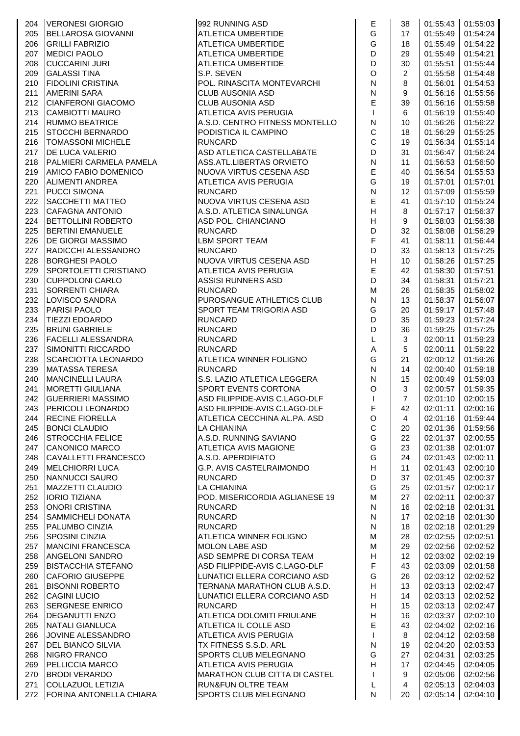|            | 204 IVERONESI GIORGIO                           | 992 RUNNING ASD                                      | E                                        | 38                  |                      | 01:55:43 01:55:03    |
|------------|-------------------------------------------------|------------------------------------------------------|------------------------------------------|---------------------|----------------------|----------------------|
| 205        | BELLAROSA GIOVANNI                              | <b>ATLETICA UMBERTIDE</b>                            | G                                        | 17                  | 01:55:49             | 01:54:24             |
| 206        | <b>GRILLI FABRIZIO</b>                          | ATLETICA UMBERTIDE                                   | G                                        | 18                  | 01:55:49             | 01:54:22             |
| 207        | <b>MEDICI PAOLO</b>                             | ATLETICA UMBERTIDE                                   | D                                        | 29                  | 01:55:49             | 01:54:21             |
| 208        | <b>CUCCARINI JURI</b>                           | ATLETICA UMBERTIDE                                   | $\mathsf D$                              | 30                  | 01:55:51             | 01:55:44             |
| 209        | <b>GALASSI TINA</b>                             | S.P. SEVEN                                           | $\circ$                                  | $\overline{2}$      | 01:55:58             | 01:54:48             |
| 210        | <b>FIDOLINI CRISTINA</b>                        | POL. RINASCITA MONTEVARCHI                           | ${\sf N}$                                | 8                   | 01:56:01             | 01:54:53             |
| 211        | <b>AMERINI SARA</b>                             | <b>CLUB AUSONIA ASD</b>                              | ${\sf N}$                                | 9                   | 01:56:16             | 01:55:56             |
| 212        | CIANFERONI GIACOMO                              | <b>CLUB AUSONIA ASD</b>                              | E                                        | 39                  | 01:56:16             | 01:55:58             |
| 213        | CAMBIOTTI MAURO                                 | ATLETICA AVIS PERUGIA                                | $\mathbf{I}$                             | 6                   | 01:56:19             | 01:55:40             |
| 214        | <b>RUMMO BEATRICE</b>                           | A.S.D. CENTRO FITNESS MONTELLO                       | ${\sf N}$                                | 10                  | 01:56:26             | 01:56:22             |
| 215        | STOCCHI BERNARDO                                | PODISTICA IL CAMPINO                                 | $\mathsf C$                              | 18                  | 01:56:29             | 01:55:25             |
| 216        | <b>TOMASSONI MICHELE</b>                        | <b>RUNCARD</b>                                       | $\mathsf{C}$                             | 19                  | 01:56:34             | 01:55:14             |
| 217        | <b>DE LUCA VALERIO</b>                          | ASD ATLETICA CASTELLABATE                            | D                                        | 31                  | 01:56:47             | 01:56:24             |
| 218        | PALMIERI CARMELA PAMELA                         | ASS.ATL.LIBERTAS ORVIETO                             | ${\sf N}$                                | 11                  | 01:56:53             | 01:56:50             |
| 219        | <b>AMICO FABIO DOMENICO</b>                     | NUOVA VIRTUS CESENA ASD                              | E                                        | 40                  | 01:56:54             | 01:55:53             |
| 220        | <b>ALIMENTI ANDREA</b>                          | <b>ATLETICA AVIS PERUGIA</b>                         | G                                        | 19                  | 01:57:01             | 01:57:01             |
| 221        | <b>PUCCI SIMONA</b>                             | <b>RUNCARD</b>                                       | ${\sf N}$                                | 12                  | 01:57:09             | 01:55:59             |
| 222        | SACCHETTI MATTEO                                | NUOVA VIRTUS CESENA ASD                              | $\mathsf E$                              | 41                  | 01:57:10             | 01:55:24             |
| 223        | CAFAGNA ANTONIO                                 | A.S.D. ATLETICA SINALUNGA                            | H                                        | 8                   | 01:57:17             | 01:56:37             |
| 224        | BETTOLLINI ROBERTO                              | ASD POL. CHIANCIANO                                  | H                                        | 9                   | 01:58:03             | 01:56:38             |
| 225        | <b>BERTINI EMANUELE</b>                         | <b>RUNCARD</b>                                       | D                                        | 32                  | 01:58:08             | 01:56:29             |
| 226        | <b>DE GIORGI MASSIMO</b>                        | <b>LBM SPORT TEAM</b>                                | $\mathsf F$                              | 41                  | 01:58:11             | 01:56:44             |
| 227        | RADICCHI ALESSANDRO                             | <b>RUNCARD</b>                                       | D                                        | 33                  | 01:58:13             | 01:57:25             |
| 228        | <b>BORGHESI PAOLO</b>                           | NUOVA VIRTUS CESENA ASD                              | $\boldsymbol{\mathsf{H}}$                | 10                  | 01:58:26             | 01:57:25             |
| 229        | SPORTOLETTI CRISTIANO                           | <b>ATLETICA AVIS PERUGIA</b>                         | $\mathsf E$                              | 42                  | 01:58:30             | 01:57:51             |
| 230        | <b>CUPPOLONI CARLO</b>                          | ASSISI RUNNERS ASD                                   | D                                        | 34                  | 01:58:31             | 01:57:21             |
| 231        | <b>SORRENTI CHIARA</b>                          | <b>RUNCARD</b>                                       | M                                        | 26                  | 01:58:35             | 01:58:02             |
| 232        | LOVISCO SANDRA                                  | PUROSANGUE ATHLETICS CLUB                            | ${\sf N}$                                | 13                  | 01:58:37             | 01:56:07             |
| 233        | <b>PARISI PAOLO</b>                             | <b>SPORT TEAM TRIGORIA ASD</b>                       | G                                        | 20                  | 01:59:17             | 01:57:48             |
| 234        | TIEZZI EDOARDO                                  | <b>RUNCARD</b>                                       | D                                        | 35                  | 01:59:23             | 01:57:24             |
| 235        | <b>BRUNI GABRIELE</b>                           | <b>RUNCARD</b>                                       | D                                        | 36                  | 01:59:25             | 01:57:25             |
| 236        | FACELLI ALESSANDRA                              | <b>RUNCARD</b>                                       | L                                        | 3                   | 02:00:11             | 01:59:23             |
| 237        | SIMONITTI RICCARDO                              | <b>RUNCARD</b>                                       | $\mathsf A$                              | 5                   | 02:00:11             | 01:59:22             |
| 238        | SCARCIOTTA LEONARDO                             | <b>ATLETICA WINNER FOLIGNO</b>                       | G                                        | 21                  | 02:00:12             | 01:59:26             |
| 239        | <b>MATASSA TERESA</b>                           | <b>RUNCARD</b>                                       | ${\sf N}$                                | 14                  | 02:00:40             | 01:59:18             |
| 240        | <b>MANCINELLI LAURA</b>                         | S.S. LAZIO ATLETICA LEGGERA                          | ${\sf N}$                                | 15                  | 02:00:49             | 01:59:03             |
| 241        | <b>MORETTI GIULIANA</b>                         | SPORT EVENTS CORTONA                                 | O                                        | 3                   | 02:00:57             | 01:59:35             |
| 242        | <b>GUERRIERI MASSIMO</b>                        | ASD FILIPPIDE-AVIS C.LAGO-DLF                        | $\mathsf{I}$                             | $\overline{7}$      | 02:01:10             | 02:00:15             |
|            | 243   PERICOLI LEONARDO                         | ASD FILIPPIDE-AVIS C.LAGO-DLF                        | F                                        | 42                  |                      | $02:01:11$ 02:00:16  |
| 244        | <b>RECINE FIORELLA</b>                          | ATLETICA CECCHINA AL.PA. ASD                         | $\circ$                                  |                     |                      | 02:01:16 01:59:44    |
|            |                                                 |                                                      | $\mathsf C$                              | 4                   |                      |                      |
| 245        | <b>BONCI CLAUDIO</b><br><b>STROCCHIA FELICE</b> | <b>LA CHIANINA</b><br>A.S.D. RUNNING SAVIANO         | G                                        | 20                  | 02:01:36             | 01:59:56<br>02:00:55 |
| 246        | CANONICO MARCO                                  | ATLETICA AVIS MAGIONE                                | G                                        | 22                  | 02:01:37             |                      |
| 247        | CAVALLETTI FRANCESCO                            |                                                      | G                                        | 23<br>24            | 02:01:38             | 02:01:07             |
| 248        | <b>MELCHIORRI LUCA</b>                          | A.S.D. APERDIFIATO                                   |                                          |                     | 02:01:43             | 02:00:11             |
| 249        | NANNUCCI SAURO                                  | G.P. AVIS CASTELRAIMONDO<br><b>RUNCARD</b>           | $\boldsymbol{\mathsf{H}}$                | 11                  | 02:01:43             | 02:00:10             |
| 250        |                                                 |                                                      | D<br>G                                   | 37                  | 02:01:45             | 02:00:37             |
| 251<br>252 | MAZZETTI CLAUDIO<br><b>IORIO TIZIANA</b>        | <b>LA CHIANINA</b><br>POD. MISERICORDIA AGLIANESE 19 | M                                        | 25<br>27            | 02:01:57<br>02:02:11 | 02:00:17<br>02:00:37 |
| 253        | <b>ONORI CRISTINA</b>                           | <b>RUNCARD</b>                                       | ${\sf N}$                                | 16                  | 02:02:18             | 02:01:31             |
| 254        | SAMMICHELI DONATA                               | <b>RUNCARD</b>                                       | ${\sf N}$                                | 17                  | 02:02:18             | 02:01:30             |
|            | PALUMBO CINZIA                                  | <b>RUNCARD</b>                                       | ${\sf N}$                                | 18                  | 02:02:18             | 02:01:29             |
| 255        |                                                 |                                                      |                                          |                     |                      |                      |
| 256        | <b>SPOSINI CINZIA</b>                           | ATLETICA WINNER FOLIGNO                              | M<br>M                                   | 28                  | 02:02:55             | 02:02:51<br>02:02:52 |
| 257        | MANCINI FRANCESCA                               | <b>MOLON LABE ASD</b><br>ASD SEMPRE DI CORSA TEAM    |                                          | 29                  | 02:02:56             |                      |
| 258        | <b>ANGELONI SANDRO</b>                          |                                                      | $\boldsymbol{\mathsf{H}}$<br>$\mathsf F$ | 12                  | 02:03:02             | 02:02:19             |
| 259        | BISTACCHIA STEFANO                              | ASD FILIPPIDE-AVIS C.LAGO-DLF                        |                                          | 43                  | 02:03:09             | 02:01:58             |
| 260        | <b>CAFORIO GIUSEPPE</b>                         | LUNATICI ELLERA CORCIANO ASD                         | G<br>$\boldsymbol{\mathsf{H}}$           | 26                  | 02:03:12             | 02:02:52             |
| 261        | <b>BISONNI ROBERTO</b>                          | TERNANA MARATHON CLUB A.S.D.                         | H                                        | 13                  | 02:03:13             | 02:02:47             |
| 262        | <b>CAGINI LUCIO</b><br><b>SERGNESE ENRICO</b>   | LUNATICI ELLERA CORCIANO ASD                         | $\boldsymbol{\mathsf{H}}$                | 14                  | 02:03:13             | 02:02:52<br>02:02:47 |
| 263        |                                                 | <b>RUNCARD</b>                                       |                                          | 15                  | 02:03:13             |                      |
| 264        | <b>DEGANUTTI ENZO</b>                           | ATLETICA DOLOMITI FRIULANE                           | $\boldsymbol{\mathsf{H}}$                | 16                  | 02:03:37             | 02:02:10             |
| 265        | NATALI GIANLUCA                                 | ATLETICA IL COLLE ASD                                | $\mathsf E$                              | 43                  | 02:04:02             | 02:02:16             |
| 266        | JOVINE ALESSANDRO                               | ATLETICA AVIS PERUGIA                                | $\mathbf{I}$                             | 8                   | 02:04:12             | 02:03:58             |
| 267        | <b>DEL BIANCO SILVIA</b>                        | TX FITNESS S.S.D. ARL                                | ${\sf N}$<br>G                           | 19                  | 02:04:20             | 02:03:53             |
| 268        | <b>NIGRO FRANCO</b>                             | SPORTS CLUB MELEGNANO                                | $\boldsymbol{\mathsf{H}}$                | 27                  | 02:04:31             | 02:03:25             |
| 269        | PELLICCIA MARCO                                 | ATLETICA AVIS PERUGIA                                |                                          | 17                  | 02:04:45             | 02:04:05             |
| 270        | <b>BRODI VERARDO</b>                            | <b>MARATHON CLUB CITTA DI CASTEL</b>                 | T                                        | 9<br>$\overline{4}$ | 02:05:06             | 02:02:56             |
| 271        | COLLAZUOL LETIZIA                               | <b>RUN&amp;FUN OLTRE TEAM</b>                        | L<br>${\sf N}$                           |                     | 02:05:13             | 02:04:03             |
| 272        | <b>FORINA ANTONELLA CHIARA</b>                  | SPORTS CLUB MELEGNANO                                |                                          | 20                  | 02:05:14             | 02:04:10             |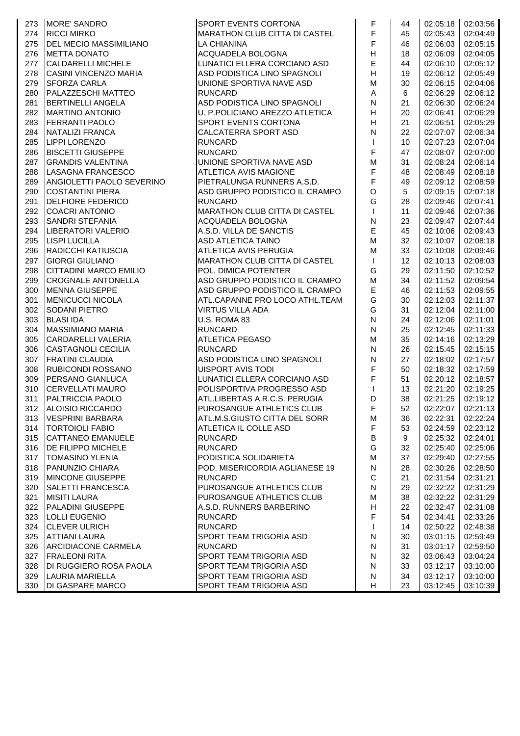| 273 | <b>IMORE' SANDRO</b>                                 | SPORT EVENTS CORTONA                                         | F                         | 44 | 02:05:18 02:03:56    |          |
|-----|------------------------------------------------------|--------------------------------------------------------------|---------------------------|----|----------------------|----------|
| 274 | <b>RICCI MIRKO</b>                                   | <b>MARATHON CLUB CITTA DI CASTEL</b>                         | F                         | 45 | 02:05:43             | 02:04:49 |
| 275 | <b>DEL MECIO MASSIMILIANO</b>                        | LA CHIANINA                                                  | F                         | 46 | 02:06:03             | 02:05:15 |
| 276 | <b>METTA DONATO</b>                                  | ACQUADELA BOLOGNA                                            | H                         | 18 | 02:06:09             | 02:04:05 |
| 277 | <b>CALDARELLI MICHELE</b>                            | LUNATICI ELLERA CORCIANO ASD                                 | E                         | 44 | 02:06:10             | 02:05:12 |
| 278 | <b>CASINI VINCENZO MARIA</b>                         | ASD PODISTICA LINO SPAGNOLI                                  | H                         | 19 | 02:06:12             | 02:05:49 |
| 279 | <b>SFORZA CARLA</b>                                  | UNIONE SPORTIVA NAVE ASD                                     | M                         | 30 | 02:06:15             | 02:04:06 |
| 280 | PALAZZESCHI MATTEO                                   | <b>RUNCARD</b>                                               | $\boldsymbol{\mathsf{A}}$ | 6  | 02:06:29             | 02:06:12 |
| 281 | <b>BERTINELLI ANGELA</b>                             | ASD PODISTICA LINO SPAGNOLI                                  | N                         | 21 | 02:06:30             | 02:06:24 |
| 282 | <b>MARTINO ANTONIO</b>                               | U. P.POLICIANO AREZZO ATLETICA                               | H                         | 20 | 02:06:41             | 02:06:29 |
| 283 | <b>FERRANTI PAOLO</b>                                | SPORT EVENTS CORTONA                                         | H                         | 21 | 02:06:51             | 02:05:29 |
| 284 | NATALIZI FRANCA                                      | CALCATERRA SPORT ASD                                         | $\overline{\mathsf{N}}$   | 22 | 02:07:07             | 02:06:34 |
| 285 | LIPPI LORENZO                                        | <b>RUNCARD</b>                                               | $\mathsf{I}$              | 10 | 02:07:23             | 02:07:04 |
| 286 | <b>BISCETTI GIUSEPPE</b>                             | <b>RUNCARD</b>                                               | F                         | 47 | 02:08:07             | 02:07:00 |
| 287 | <b>GRANDIS VALENTINA</b>                             | UNIONE SPORTIVA NAVE ASD                                     | M                         | 31 | 02:08:24             | 02:06:14 |
| 288 | LASAGNA FRANCESCO                                    | <b>ATLETICA AVIS MAGIONE</b>                                 | $\mathsf F$               | 48 | 02:08:49             | 02:08:18 |
| 289 |                                                      |                                                              | F                         | 49 |                      | 02:08:59 |
| 290 | ANGIOLETTI PAOLO SEVERINO<br><b>COSTANTINI PIERA</b> | PIETRALUNGA RUNNERS A.S.D.<br>ASD GRUPPO PODISTICO IL CRAMPO | $\circ$                   | 5  | 02:09:12<br>02:09:15 | 02:07:18 |
|     | <b>DELFIORE FEDERICO</b>                             | <b>RUNCARD</b>                                               | G                         |    |                      | 02:07:41 |
| 291 |                                                      |                                                              | $\mathsf{I}$              | 28 | 02:09:46             |          |
| 292 | <b>COACRI ANTONIO</b>                                | MARATHON CLUB CITTA DI CASTEL                                |                           | 11 | 02:09:46             | 02:07:36 |
| 293 | <b>SANDRI STEFANIA</b>                               | ACQUADELA BOLOGNA                                            | $\mathsf{N}$              | 23 | 02:09:47             | 02:07:44 |
| 294 | LIBERATORI VALERIO                                   | A.S.D. VILLA DE SANCTIS                                      | E                         | 45 | 02:10:06             | 02:09:43 |
| 295 | <b>LISPI LUCILLA</b>                                 | <b>ASD ATLETICA TAINO</b>                                    | M                         | 32 | 02:10:07             | 02:08:18 |
| 296 | RADICCHI KATIUSCIA                                   | ATLETICA AVIS PERUGIA                                        | M                         | 33 | 02:10:08             | 02:09:46 |
| 297 | <b>GIORGI GIULIANO</b>                               | <b>MARATHON CLUB CITTA DI CASTEL</b>                         | $\mathsf{I}$              | 12 | 02:10:13             | 02:08:03 |
| 298 | CITTADINI MARCO EMILIO                               | POL. DIMICA POTENTER                                         | G                         | 29 | 02:11:50             | 02:10:52 |
| 299 | <b>CROGNALE ANTONELLA</b>                            | ASD GRUPPO PODISTICO IL CRAMPO                               | M                         | 34 | 02:11:52             | 02:09:54 |
| 300 | <b>MENNA GIUSEPPE</b>                                | ASD GRUPPO PODISTICO IL CRAMPO                               | E                         | 46 | 02:11:53             | 02:09:55 |
| 301 | <b>MENICUCCI NICOLA</b>                              | ATL.CAPANNE PRO LOCO ATHL.TEAM                               | G                         | 30 | 02:12:03             | 02:11:37 |
| 302 | SODANI PIETRO                                        | <b>VIRTUS VILLA ADA</b>                                      | G                         | 31 | 02:12:04             | 02:11:00 |
| 303 | <b>BLASI IDA</b>                                     | U.S. ROMA 83                                                 | $\overline{\mathsf{N}}$   | 24 | 02:12:06             | 02:11:01 |
| 304 | <b>MASSIMIANO MARIA</b>                              | <b>RUNCARD</b>                                               | $\mathsf{N}$              | 25 | 02:12:45             | 02:11:33 |
| 305 | <b>CARDARELLI VALERIA</b>                            | <b>ATLETICA PEGASO</b>                                       | M                         | 35 | 02:14:16             | 02:13:29 |
| 306 | <b>CASTAGNOLI CECILIA</b>                            | <b>RUNCARD</b>                                               | ${\sf N}$                 | 26 | 02:15:45             | 02:15:15 |
| 307 | <b>FRATINI CLAUDIA</b>                               | ASD PODISTICA LINO SPAGNOLI                                  | ${\sf N}$                 | 27 | 02:18:02             | 02:17:57 |
| 308 | <b>RUBICONDI ROSSANO</b>                             | UISPORT AVIS TODI                                            | $\mathsf F$               | 50 | 02:18:32             | 02:17:59 |
| 309 | <b>PERSANO GIANLUCA</b>                              | LUNATICI ELLERA CORCIANO ASD                                 | F                         | 51 | 02:20:12             | 02:18:57 |
| 310 | <b>CERVELLATI MAURO</b>                              | POLISPORTIVA PROGRESSO ASD                                   | $\mathsf{I}$              | 13 | 02:21:20             | 02:19:25 |
| 311 | <b>PALTRICCIA PAOLO</b>                              | ATL.LIBERTAS A.R.C.S. PERUGIA                                | D                         | 38 | 02:21:25             | 02:19:12 |
|     | 312 ALOISIO RICCARDO                                 | PUROSANGUE ATHLETICS CLUB                                    | F                         | 52 | 02:22:07 02:21:13    |          |
| 313 | <b>VESPRINI BARBARA</b>                              | ATL.M.S.GIUSTO CITTA DEL SORR                                | M                         | 36 | 02:22:31             | 02:22:24 |
| 314 | <b>TORTOIOLI FABIO</b>                               | ATLETICA IL COLLE ASD                                        | $\mathsf F$               | 53 | 02:24:59             | 02:23:12 |
| 315 | CATTANEO EMANUELE                                    | <b>RUNCARD</b>                                               | B                         | 9  | 02:25:32             | 02:24:01 |
| 316 | <b>DE FILIPPO MICHELE</b>                            | <b>RUNCARD</b>                                               | G                         | 32 | 02:25:40             | 02:25:06 |
| 317 | <b>TOMASINO YLENIA</b>                               | PODISTICA SOLIDARIETA                                        | M                         | 37 | 02:29:40             | 02:27:55 |
| 318 | <b>PANUNZIO CHIARA</b>                               | POD. MISERICORDIA AGLIANESE 19                               | $\mathsf{N}$              | 28 | 02:30:26             | 02:28:50 |
| 319 | <b>MINCONE GIUSEPPE</b>                              | <b>RUNCARD</b>                                               | C                         | 21 | 02:31:54             | 02:31:21 |
| 320 | <b>SALETTI FRANCESCA</b>                             | PUROSANGUE ATHLETICS CLUB                                    | N                         | 29 | 02:32:22             | 02:31:29 |
| 321 | <b>MISITI LAURA</b>                                  | PUROSANGUE ATHLETICS CLUB                                    | M                         | 38 | 02:32:22             | 02:31:29 |
| 322 | <b>PALADINI GIUSEPPE</b>                             | A.S.D. RUNNERS BARBERINO                                     | Н                         | 22 | 02:32:47             | 02:31:08 |
| 323 | <b>LOLLI EUGENIO</b>                                 | <b>RUNCARD</b>                                               | F                         | 54 | 02:34:41             | 02:33:26 |
| 324 | <b>CLEVER ULRICH</b>                                 | <b>RUNCARD</b>                                               |                           | 14 | 02:50:22             | 02:48:38 |
| 325 | <b>ATTIANI LAURA</b>                                 | SPORT TEAM TRIGORIA ASD                                      | N                         | 30 | 03:01:15             | 02:59:49 |
| 326 | ARCIDIACONE CARMELA                                  | <b>RUNCARD</b>                                               | N                         | 31 | 03:01:17             | 02:59:50 |
| 327 | <b>FRALEONI RITA</b>                                 | SPORT TEAM TRIGORIA ASD                                      | N                         | 32 | 03:06:43             | 03:04:24 |
| 328 | DI RUGGIERO ROSA PAOLA                               | SPORT TEAM TRIGORIA ASD                                      | N                         | 33 | 03:12:17             | 03:10:00 |
| 329 | LAURIA MARIELLA                                      | SPORT TEAM TRIGORIA ASD                                      | N                         | 34 | 03:12:17             | 03:10:00 |
| 330 | <b>DI GASPARE MARCO</b>                              | SPORT TEAM TRIGORIA ASD                                      | H                         | 23 | 03:12:45             | 03:10:39 |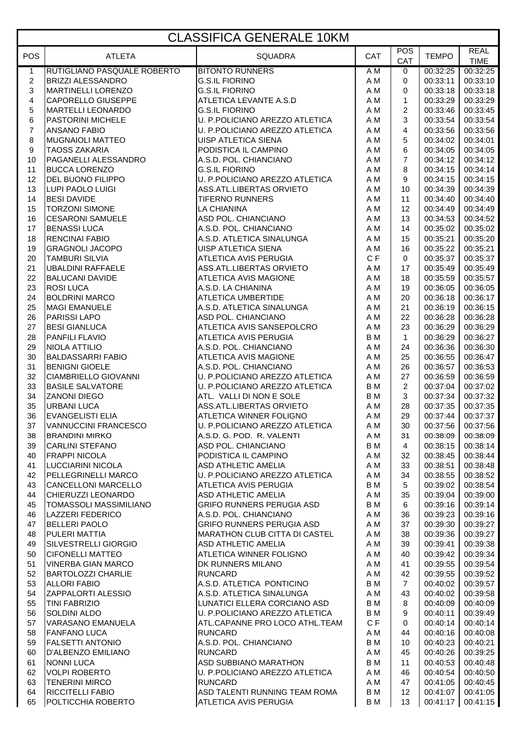## CLASSIFICA GENERALE 10KM

|                         |                                                  | ULAJJII IUA ULINLINALLI UNIVI                             |            |                |                      |                            |
|-------------------------|--------------------------------------------------|-----------------------------------------------------------|------------|----------------|----------------------|----------------------------|
| <b>POS</b>              | <b>ATLETA</b>                                    | <b>SQUADRA</b>                                            | CAT        | POS<br>CAT     | <b>TEMPO</b>         | <b>REAL</b><br><b>TIME</b> |
| 1                       | RUTIGLIANO PASQUALE ROBERTO                      | <b>BITONTO RUNNERS</b>                                    | A M        | 0              | 00:32:25             | 00:32:25                   |
| $\overline{\mathbf{c}}$ | <b>BRIZZI ALESSANDRO</b>                         | <b>G.S.IL FIORINO</b>                                     | A M        | 0              | 00:33:11             | 00:33:10                   |
| 3                       | <b>MARTINELLI LORENZO</b>                        | <b>G.S.IL FIORINO</b>                                     | A M        | 0              | 00:33:18             | 00:33:18                   |
| 4                       | CAPORELLO GIUSEPPE                               | ATLETICA LEVANTE A.S.D                                    | A M        | $\mathbf{1}$   | 00:33:29             | 00:33:29                   |
| 5                       | <b>MARTELLI LEONARDO</b>                         | <b>G.S.IL FIORINO</b>                                     | A M        | $\overline{c}$ | 00:33:46             | 00:33:45                   |
| 6                       | PASTORINI MICHELE                                | U. P.POLICIANO AREZZO ATLETICA                            | A M        | 3              | 00:33:54             | 00:33:54                   |
| $\overline{7}$          | <b>ANSANO FABIO</b>                              | U. P.POLICIANO AREZZO ATLETICA                            | A M        | 4              | 00:33:56             | 00:33:56                   |
| 8                       | <b>MUGNAIOLI MATTEO</b>                          | UISP ATLETICA SIENA                                       | A M        | 5              | 00:34:02             | 00:34:01                   |
| 9                       | <b>TAOSS ZAKARIA</b>                             | PODISTICA IL CAMPINO                                      | A M        | 6              | 00:34:05             | 00:34:05                   |
| 10                      | PAGANELLI ALESSANDRO                             | A.S.D. POL. CHIANCIANO                                    | A M        | $\overline{7}$ | 00:34:12             | 00:34:12                   |
| 11                      | <b>BUCCA LORENZO</b>                             | <b>G.S.IL FIORINO</b>                                     | A M        | 8              | 00:34:15             | 00:34:14                   |
| 12                      | <b>DEL BUONO FILIPPO</b>                         | U. P.POLICIANO AREZZO ATLETICA                            | A M        | 9              | 00:34:15             | 00:34:15                   |
| 13                      | LUPI PAOLO LUIGI                                 | ASS.ATL.LIBERTAS ORVIETO                                  | A M        | 10             | 00:34:39             | 00:34:39                   |
| 14                      | <b>BESI DAVIDE</b>                               | <b>TIFERNO RUNNERS</b>                                    | A M        | 11             | 00:34:40             | 00:34:40                   |
| 15                      | <b>TORZONI SIMONE</b>                            | LA CHIANINA                                               | A M        | 12             | 00:34:49             | 00:34:49                   |
| 16                      | <b>CESARONI SAMUELE</b>                          | ASD POL. CHIANCIANO                                       | A M        | 13             | 00:34:53             | 00:34:52                   |
| 17                      | <b>BENASSI LUCA</b>                              | A.S.D. POL. CHIANCIANO                                    | A M        | 14             | 00:35:02             | 00:35:02                   |
| 18                      | <b>RENCINAI FABIO</b>                            | A.S.D. ATLETICA SINALUNGA                                 | A M        | 15             | 00:35:21             | 00:35:20                   |
| 19                      | <b>GRAGNOLI JACOPO</b>                           | <b>UISP ATLETICA SIENA</b>                                | A M        | 16             | 00:35:22             | 00:35:21                   |
| 20                      | <b>TAMBURI SILVIA</b>                            | <b>ATLETICA AVIS PERUGIA</b>                              | CF         | $\mathbf 0$    | 00:35:37             | 00:35:37                   |
| 21                      | <b>UBALDINI RAFFAELE</b>                         | ASS.ATL.LIBERTAS ORVIETO                                  | A M        | 17             | 00:35:49             | 00:35:49                   |
| 22                      | <b>BALUCANI DAVIDE</b>                           | ATLETICA AVIS MAGIONE                                     | A M        | 18             | 00:35:59             | 00:35:57                   |
| 23                      | <b>ROSI LUCA</b>                                 | A.S.D. LA CHIANINA                                        | A M        | 19             | 00:36:05             | 00:36:05                   |
| 24                      | <b>BOLDRINI MARCO</b>                            | <b>ATLETICA UMBERTIDE</b>                                 | A M        | 20             | 00:36:18             | 00:36:17                   |
| 25                      | <b>MAGI EMANUELE</b>                             | A.S.D. ATLETICA SINALUNGA                                 | A M        | 21             | 00:36:19             | 00:36:15                   |
| 26                      | <b>PARISSI LAPO</b>                              | ASD POL. CHIANCIANO                                       | A M        | 22             | 00:36:28             | 00:36:28                   |
| 27                      | <b>BESI GIANLUCA</b>                             | ATLETICA AVIS SANSEPOLCRO<br><b>ATLETICA AVIS PERUGIA</b> | A M        | 23             | 00:36:29             | 00:36:29                   |
| 28                      | PANFILI FLAVIO                                   |                                                           | B M        | $\mathbf{1}$   | 00:36:29             | 00:36:27                   |
| 29<br>30                | <b>NIOLA ATTILIO</b><br><b>BALDASSARRI FABIO</b> | A.S.D. POL. CHIANCIANO<br>ATLETICA AVIS MAGIONE           | A M<br>A M | 24<br>25       | 00:36:36<br>00:36:55 | 00:36:30<br>00:36:47       |
| 31                      | <b>BENIGNI GIOELE</b>                            | A.S.D. POL. CHIANCIANO                                    | A M        | 26             | 00:36:57             | 00:36:53                   |
| 32                      | <b>CIAMBRIELLO GIOVANNI</b>                      | U. P.POLICIANO AREZZO ATLETICA                            | A M        | 27             | 00:36:59             | 00:36:59                   |
| 33                      | <b>BASILE SALVATORE</b>                          | U. P.POLICIANO AREZZO ATLETICA                            | B M        | $\overline{c}$ | 00:37:04             | 00:37:02                   |
| 34                      | <b>ZANONI DIEGO</b>                              | ATL. VALLI DI NON E SOLE                                  | B M        | 3              | 00:37:34             | 00:37:32                   |
| 35                      | <b>URBANI LUCA</b>                               | ASS.ATL.LIBERTAS ORVIETO                                  | A M        | 28             | 00:37:35             | 00:37:35                   |
| 36                      | <b>EVANGELISTI ELIA</b>                          | ATLETICA WINNER FOLIGNO                                   | A M        | 29             | 00:37:44             | 00:37:37                   |
| 37                      | VANNUCCINI FRANCESCO                             | U. P.POLICIANO AREZZO ATLETICA                            | A M        | 30             | 00:37:56             | 00:37:56                   |
| 38                      | <b>BRANDINI MIRKO</b>                            | A.S.D. G. POD. R. VALENTI                                 | A M        | 31             | 00:38:09             | 00:38:09                   |
| 39                      | <b>CARLINI STEFANO</b>                           | ASD POL. CHIANCIANO                                       | B M        | 4              | 00:38:15             | 00:38:14                   |
| 40                      | <b>FRAPPI NICOLA</b>                             | PODISTICA IL CAMPINO                                      | A M        | 32             | 00:38:45             | 00:38:44                   |
| 41                      | LUCCIARINI NICOLA                                | ASD ATHLETIC AMELIA                                       | A M        | 33             | 00:38:51             | 00:38:48                   |
| 42                      | PELLEGRINELLI MARCO                              | U. P.POLICIANO AREZZO ATLETICA                            | A M        | 34             | 00:38:55             | 00:38:52                   |
| 43                      | <b>CANCELLONI MARCELLO</b>                       | ATLETICA AVIS PERUGIA                                     | B M        | 5              | 00:39:02             | 00:38:54                   |
| 44                      | CHIERUZZI LEONARDO                               | <b>ASD ATHLETIC AMELIA</b>                                | A M        | 35             | 00:39:04             | 00:39:00                   |
| 45                      | <b>TOMASSOLI MASSIMILIANO</b>                    | <b>GRIFO RUNNERS PERUGIA ASD</b>                          | <b>BM</b>  | 6              | 00:39:16             | 00:39:14                   |
| 46                      | <b>LAZZERI FEDERICO</b>                          | A.S.D. POL. CHIANCIANO                                    | A M        | 36             | 00:39:23             | 00:39:16                   |
| 47                      | <b>BELLERI PAOLO</b>                             | <b>GRIFO RUNNERS PERUGIA ASD</b>                          | A M        | 37             | 00:39:30             | 00:39:27                   |
| 48                      | PULERI MATTIA                                    | MARATHON CLUB CITTA DI CASTEL                             | A M        | 38             | 00:39:36             | 00:39:27                   |
| 49                      | <b>SILVESTRELLI GIORGIO</b>                      | <b>ASD ATHLETIC AMELIA</b>                                | A M        | 39             | 00:39:41             | 00:39:38                   |
| 50                      | <b>CIFONELLI MATTEO</b>                          | ATLETICA WINNER FOLIGNO                                   | A M        | 40             | 00:39:42             | 00:39:34                   |
| 51                      | <b>VINERBA GIAN MARCO</b>                        | DK RUNNERS MILANO                                         | A M        | 41             | 00:39:55             | 00:39:54                   |
| 52                      | <b>BARTOLOZZI CHARLIE</b>                        | <b>RUNCARD</b>                                            | A M        | 42             | 00:39:55             | 00:39:52                   |
| 53                      | <b>ALLORI FABIO</b>                              | A.S.D. ATLETICA PONTICINO                                 | B M        | $\overline{7}$ | 00:40:02             | 00:39:57                   |
| 54                      | <b>ZAPPALORTI ALESSIO</b>                        | A.S.D. ATLETICA SINALUNGA                                 | A M        | 43             | 00:40:02             | 00:39:58                   |
| 55                      | <b>TINI FABRIZIO</b>                             | LUNATICI ELLERA CORCIANO ASD                              | B M        | 8              | 00:40:09             | 00:40:09                   |
| 56                      | <b>SOLDINI ALDO</b>                              | U. P.POLICIANO AREZZO ATLETICA                            | B M        | 9              | 00:40:11             | 00:39:49                   |
| 57                      | VARASANO EMANUELA                                | ATL.CAPANNE PRO LOCO ATHL.TEAM                            | C F        | 0              | 00:40:14             | 00:40:14                   |
| 58                      | <b>FANFANO LUCA</b>                              | <b>RUNCARD</b>                                            | A M        | 44             | 00:40:16             | 00:40:08                   |
| 59                      | <b>FALSETTI ANTONIO</b>                          | A.S.D. POL. CHIANCIANO                                    | B M        | 10             | 00:40:23             | 00:40:21                   |
| 60                      | D'ALBENZO EMILIANO                               | <b>RUNCARD</b>                                            | A M        | 45             | 00:40:26             | 00:39:25                   |
| 61                      | <b>NONNI LUCA</b>                                | ASD SUBBIANO MARATHON                                     | B M        | 11             | 00:40:53             | 00:40:48                   |
| 62                      | <b>VOLPI ROBERTO</b>                             | U. P.POLICIANO AREZZO ATLETICA                            | A M        | 46             | 00:40:54             | 00:40:50                   |
| 63                      | <b>TENERINI MIRCO</b>                            | <b>RUNCARD</b>                                            | A M        | 47             | 00:41:05             | 00:40:45                   |
| 64                      | <b>RICCITELLI FABIO</b>                          | ASD TALENTI RUNNING TEAM ROMA                             | B M        | 12             | 00:41:07             | 00:41:05                   |
| 65                      | POLTICCHIA ROBERTO                               | ATLETICA AVIS PERUGIA                                     | B M        | 13             | 00:41:17             | 00:41:15                   |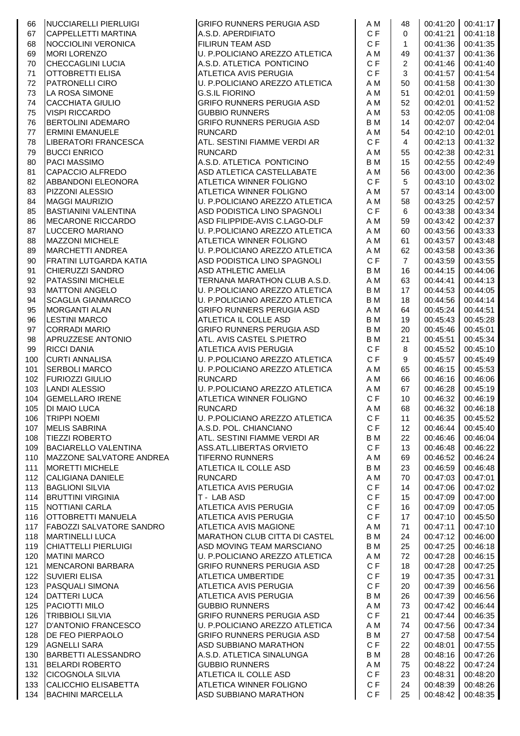| 66  | NUCCIARELLI PIERLUIGI           | <b>GRIFO RUNNERS PERUGIA ASD</b> | A M       | 48             |          | 00:41:20 00:41:17 |
|-----|---------------------------------|----------------------------------|-----------|----------------|----------|-------------------|
| 67  | <b>CAPPELLETTI MARTINA</b>      | A.S.D. APERDIFIATO               | CF        | $\mathbf 0$    | 00:41:21 | 00:41:18          |
| 68  | NOCCIOLINI VERONICA             | FILIRUN TEAM ASD                 | CF        | $\mathbf{1}$   | 00:41:36 | 00:41:35          |
| 69  | <b>MORI LORENZO</b>             | U. P.POLICIANO AREZZO ATLETICA   | A M       | 49             | 00:41:37 | 00:41:36          |
| 70  | <b>CHECCAGLINI LUCIA</b>        | A.S.D. ATLETICA PONTICINO        | CF        | 2              | 00:41:46 | 00:41:40          |
| 71  | OTTOBRETTI ELISA                | ATLETICA AVIS PERUGIA            | CF        | 3              | 00:41:57 | 00:41:54          |
| 72  | <b>PATRONELLI CIRO</b>          | U. P.POLICIANO AREZZO ATLETICA   | A M       | 50             | 00:41:58 | 00:41:30          |
| 73  | LA ROSA SIMONE                  | <b>G.S.IL FIORINO</b>            | A M       | 51             | 00:42:01 | 00:41:59          |
| 74  | <b>CACCHIATA GIULIO</b>         | GRIFO RUNNERS PERUGIA ASD        | A M       | 52             | 00:42:01 | 00:41:52          |
| 75  | <b>VISPI RICCARDO</b>           | <b>GUBBIO RUNNERS</b>            | A M       | 53             | 00:42:05 | 00:41:08          |
| 76  | <b>BERTOLINI ADEMARO</b>        | <b>GRIFO RUNNERS PERUGIA ASD</b> | <b>BM</b> | 14             | 00:42:07 | 00:42:04          |
| 77  | <b>ERMINI EMANUELE</b>          | <b>RUNCARD</b>                   | A M       | 54             | 00:42:10 | 00:42:01          |
| 78  | LIBERATORI FRANCESCA            | ATL. SESTINI FIAMME VERDI AR     | CF        | $\overline{4}$ | 00:42:13 | 00:41:32          |
| 79  | <b>BUCCI ENRICO</b>             | <b>RUNCARD</b>                   | A M       | 55             | 00:42:38 | 00:42:31          |
| 80  | <b>PACI MASSIMO</b>             | A.S.D. ATLETICA PONTICINO        | <b>BM</b> | 15             | 00:42:55 | 00:42:49          |
| 81  | CAPACCIO ALFREDO                | ASD ATLETICA CASTELLABATE        | A M       | 56             | 00:43:00 | 00:42:36          |
| 82  | ABBANDONI ELEONORA              | ATLETICA WINNER FOLIGNO          | CF        | 5              | 00:43:10 | 00:43:02          |
| 83  | PIZZONI ALESSIO                 | ATLETICA WINNER FOLIGNO          | A M       | 57             | 00:43:14 | 00:43:00          |
| 84  | <b>MAGGI MAURIZIO</b>           | U. P.POLICIANO AREZZO ATLETICA   | A M       | 58             | 00:43:25 | 00:42:57          |
| 85  | <b>BASTIANINI VALENTINA</b>     | ASD PODISTICA LINO SPAGNOLI      | CF        | 6              | 00:43:38 | 00:43:34          |
| 86  | MECARONE RICCARDO               | ASD FILIPPIDE-AVIS C.LAGO-DLF    | A M       | 59             | 00:43:42 | 00:42:37          |
| 87  | LUCCERO MARIANO                 | U. P.POLICIANO AREZZO ATLETICA   | A M       | 60             | 00:43:56 | 00:43:33          |
| 88  | <b>MAZZONI MICHELE</b>          | <b>ATLETICA WINNER FOLIGNO</b>   | A M       | 61             | 00:43:57 | 00:43:48          |
| 89  | <b>MARCHETTI ANDREA</b>         | U. P.POLICIANO AREZZO ATLETICA   | A M       | 62             | 00:43:58 | 00:43:36          |
| 90  | FRATINI LUTGARDA KATIA          | ASD PODISTICA LINO SPAGNOLI      | C F       | $\overline{7}$ | 00:43:59 | 00:43:55          |
| 91  | <b>CHIERUZZI SANDRO</b>         | <b>ASD ATHLETIC AMELIA</b>       | <b>BM</b> | 16             | 00:44:15 | 00:44:06          |
| 92  | <b>PATASSINI MICHELE</b>        | TERNANA MARATHON CLUB A.S.D.     | A M       | 63             | 00:44:41 | 00:44:13          |
| 93  | <b>MATTONI ANGELO</b>           | U. P.POLICIANO AREZZO ATLETICA   | B M       | 17             | 00:44:53 | 00:44:05          |
| 94  | <b>SCAGLIA GIANMARCO</b>        | U. P.POLICIANO AREZZO ATLETICA   | B M       | 18             | 00:44:56 | 00:44:14          |
| 95  | <b>MORGANTI ALAN</b>            | GRIFO RUNNERS PERUGIA ASD        | A M       | 64             | 00:45:24 | 00:44:51          |
| 96  | <b>LESTINI MARCO</b>            | ATLETICA IL COLLE ASD            | B M       | 19             | 00:45:43 | 00:45:28          |
| 97  | <b>CORRADI MARIO</b>            | <b>GRIFO RUNNERS PERUGIA ASD</b> | <b>BM</b> | 20             | 00:45:46 | 00:45:01          |
| 98  | <b>APRUZZESE ANTONIO</b>        | ATL. AVIS CASTEL S.PIETRO        | <b>BM</b> | 21             | 00:45:51 | 00:45:34          |
| 99  | <b>RICCI DANIA</b>              | ATLETICA AVIS PERUGIA            | C F       | 8              | 00:45:52 | 00:45:10          |
| 100 | <b>CURTI ANNALISA</b>           | U. P.POLICIANO AREZZO ATLETICA   | CF        | 9              | 00:45:57 | 00:45:49          |
| 101 | <b>SERBOLI MARCO</b>            | U. P.POLICIANO AREZZO ATLETICA   | A M       | 65             | 00:46:15 | 00:45:53          |
| 102 | <b>FURIOZZI GIULIO</b>          | <b>RUNCARD</b>                   | A M       | 66             | 00:46:16 | 00:46:06          |
| 103 | <b>LANDI ALESSIO</b>            | U. P.POLICIANO AREZZO ATLETICA   | A M       | 67             | 00:46:28 | 00:45:19          |
| 104 | <b>GEMELLARO IRENE</b>          | ATLETICA WINNER FOLIGNO          | C F       | 10             | 00:46:32 | 00:46:19          |
| 105 | DI MAIO LUCA                    | <b>RUNCARD</b>                   | A M       | 68             | 00:46:32 | 00:46:18          |
| 106 | <b>TRIPPI NOEMI</b>             | U. P.POLICIANO AREZZO ATLETICA   | CF        | 11             | 00:46:35 | 00:45:52          |
| 107 | <b>MELIS SABRINA</b>            | A.S.D. POL. CHIANCIANO           | C F       | 12             | 00:46:44 | 00:45:40          |
| 108 | <b>TIEZZI ROBERTO</b>           | ATL. SESTINI FIAMME VERDI AR     | <b>BM</b> | 22             | 00:46:46 | 00:46:04          |
| 109 | <b>BACIARELLO VALENTINA</b>     | ASS.ATL.LIBERTAS ORVIETO         | C F       | 13             | 00:46:48 | 00:46:22          |
| 110 | MAZZONE SALVATORE ANDREA        | <b>TIFERNO RUNNERS</b>           | A M       | 69             | 00:46:52 | 00:46:24          |
| 111 | <b>MORETTI MICHELE</b>          | ATLETICA IL COLLE ASD            | B M       | 23             | 00:46:59 | 00:46:48          |
| 112 | <b>CALIGIANA DANIELE</b>        | <b>RUNCARD</b>                   | A M       | 70             | 00:47:03 | 00:47:01          |
| 113 | <b>BAGLIONI SILVIA</b>          | ATLETICA AVIS PERUGIA            | C F       | 14             | 00:47:06 | 00:47:02          |
| 114 | <b>BRUTTINI VIRGINIA</b>        | T - LAB ASD                      | C F       | 15             | 00:47:09 | 00:47:00          |
| 115 | NOTTIANI CARLA                  | ATLETICA AVIS PERUGIA            | C F       | 16             | 00:47:09 | 00:47:05          |
| 116 | OTTOBRETTI MANUELA              | ATLETICA AVIS PERUGIA            | C F       | 17             | 00:47:10 | 00:45:50          |
| 117 | <b>FABOZZI SALVATORE SANDRO</b> | ATLETICA AVIS MAGIONE            | A M       | 71             | 00:47:11 | 00:47:10          |
| 118 | <b>MARTINELLI LUCA</b>          | MARATHON CLUB CITTA DI CASTEL    | B M       | 24             | 00:47:12 | 00:46:00          |
| 119 | <b>CHIATTELLI PIERLUIGI</b>     | ASD MOVING TEAM MARSCIANO        | B M       | 25             | 00:47:25 | 00:46:18          |
| 120 | <b>MATINI MARCO</b>             | U. P.POLICIANO AREZZO ATLETICA   | A M       | 72             | 00:47:28 | 00:46:15          |
| 121 | MENCARONI BARBARA               | <b>GRIFO RUNNERS PERUGIA ASD</b> | CF        | 18             | 00:47:28 | 00:47:25          |
| 122 | <b>SUVIERI ELISA</b>            | <b>ATLETICA UMBERTIDE</b>        | C F       | 19             | 00:47:35 | 00:47:31          |
| 123 | <b>PASQUALI SIMONA</b>          | ATLETICA AVIS PERUGIA            | CF        | 20             | 00:47:39 | 00:46:56          |
| 124 | <b>DATTERI LUCA</b>             | ATLETICA AVIS PERUGIA            | <b>BM</b> | 26             | 00:47:39 | 00:46:56          |
| 125 | PACIOTTI MILO                   | <b>GUBBIO RUNNERS</b>            | A M       | 73             | 00:47:42 | 00:46:44          |
| 126 | <b>TRIBBIOLI SILVIA</b>         | <b>GRIFO RUNNERS PERUGIA ASD</b> | CF        | 21             | 00:47:44 | 00:46:35          |
| 127 | D'ANTONIO FRANCESCO             | U. P.POLICIANO AREZZO ATLETICA   | A M       | 74             | 00:47:56 | 00:47:34          |
| 128 | DE FEO PIERPAOLO                | <b>GRIFO RUNNERS PERUGIA ASD</b> | <b>BM</b> | 27             | 00:47:58 | 00:47:54          |
| 129 | <b>AGNELLI SARA</b>             | ASD SUBBIANO MARATHON            | CF        | 22             | 00:48:01 | 00:47:55          |
| 130 | <b>BARBETTI ALESSANDRO</b>      | A.S.D. ATLETICA SINALUNGA        | <b>BM</b> | 28             | 00:48:16 | 00:47:26          |
| 131 | <b>BELARDI ROBERTO</b>          | <b>GUBBIO RUNNERS</b>            | A M       | 75             | 00:48:22 | 00:47:24          |
| 132 | <b>CICOGNOLA SILVIA</b>         | ATLETICA IL COLLE ASD            | C F       | 23             | 00:48:31 | 00:48:20          |
| 133 | CALICCHIO ELISABETTA            | ATLETICA WINNER FOLIGNO          | C F       | 24             | 00:48:39 | 00:48:26          |
|     | 134 BACHINI MARCELLA            | ASD SUBBIANO MARATHON            | C F       | 25             | 00:48:42 | 00:48:35          |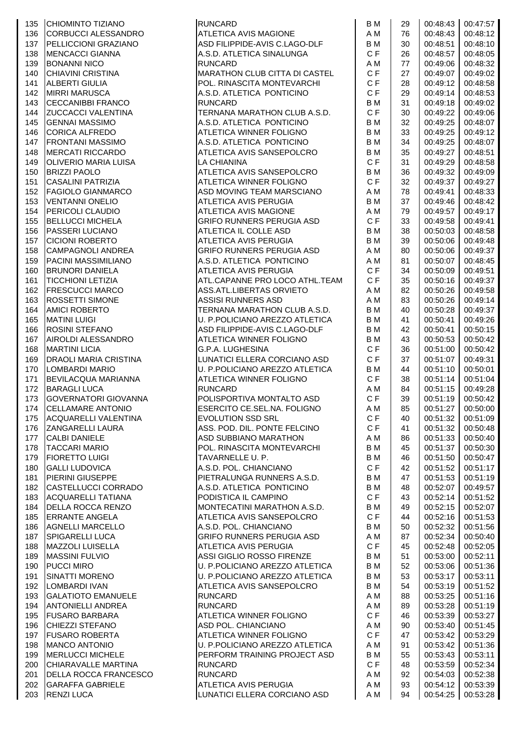| 135        | CHIOMINTO TIZIANO                               | <b>RUNCARD</b>                                       | B M       | 29       | 00:48:43             | 00:47:57             |
|------------|-------------------------------------------------|------------------------------------------------------|-----------|----------|----------------------|----------------------|
| 136        | CORBUCCI ALESSANDRO                             | ATLETICA AVIS MAGIONE                                | A M       | 76       | 00:48:43             | 00:48:12             |
| 137        | PELLICCIONI GRAZIANO                            | ASD FILIPPIDE-AVIS C.LAGO-DLF                        | B M       | 30       | 00:48:51             | 00:48:10             |
| 138        | <b>MENCACCI GIANNA</b>                          | A.S.D. ATLETICA SINALUNGA                            | C F       | 26       | 00:48:57             | 00:48:05             |
| 139        | <b>BONANNI NICO</b>                             | <b>RUNCARD</b>                                       | A M       | 77       | 00:49:06             | 00:48:32             |
| 140        | <b>CHIAVINI CRISTINA</b>                        | <b>MARATHON CLUB CITTA DI CASTEL</b>                 | C F       | 27       | 00:49:07             | 00:49:02             |
| 141        | <b>ALBERTI GIULIA</b>                           | POL. RINASCITA MONTEVARCHI                           | C F       | 28       | 00:49:12             | 00:48:58             |
| 142        | <b>MIRRI MARUSCA</b>                            | A.S.D. ATLETICA PONTICINO                            | C F       | 29       | 00:49:14             | 00:48:53             |
| 143        | <b>CECCANIBBI FRANCO</b>                        | <b>RUNCARD</b>                                       | B M       | 31       | 00:49:18             | 00:49:02             |
| 144        | <b>ZUCCACCI VALENTINA</b>                       | TERNANA MARATHON CLUB A.S.D.                         | C F       | 30       | 00:49:22             | 00:49:06             |
| 145        | <b>GENNAI MASSIMO</b>                           | A.S.D. ATLETICA PONTICINO                            | B M       | 32       | 00:49:25             | 00:48:07             |
| 146        | CORICA ALFREDO                                  | ATLETICA WINNER FOLIGNO                              | B M       | 33       | 00:49:25             | 00:49:12             |
| 147        | <b>FRONTANI MASSIMO</b>                         | A.S.D. ATLETICA PONTICINO                            | B M       | 34       | 00:49:25             | 00:48:07             |
| 148        | <b>MERCATI RICCARDO</b>                         | ATLETICA AVIS SANSEPOLCRO                            | B M       | 35       | 00:49:27             | 00:48:51             |
| 149        | OLIVERIO MARIA LUISA                            | <b>LA CHIANINA</b>                                   | C F       | 31       | 00:49:29             | 00:48:58             |
| 150        | <b>BRIZZI PAOLO</b>                             | ATLETICA AVIS SANSEPOLCRO                            | B M       | 36       | 00:49:32             | 00:49:09             |
| 151        | <b>CASALINI PATRIZIA</b>                        | ATLETICA WINNER FOLIGNO                              | C F       | 32       | 00:49:37             | 00:49:27             |
| 152        | <b>FAGIOLO GIANMARCO</b>                        | ASD MOVING TEAM MARSCIANO                            | A M       | 78       | 00:49:41             | 00:48:33             |
| 153        | <b>VENTANNI ONELIO</b>                          | ATLETICA AVIS PERUGIA                                | B M       | 37       | 00:49:46             | 00:48:42             |
| 154        | <b>PERICOLI CLAUDIO</b>                         | ATLETICA AVIS MAGIONE                                | A M       | 79       | 00:49:57             | 00:49:17             |
| 155        | <b>BELLUCCI MICHELA</b>                         | GRIFO RUNNERS PERUGIA ASD                            | C F       | 33       | 00:49:58             | 00:49:41             |
| 156        | <b>PASSERI LUCIANO</b>                          | ATLETICA IL COLLE ASD                                | B M       | 38       | 00:50:03             | 00:48:58             |
| 157        | <b>CICIONI ROBERTO</b>                          | ATLETICA AVIS PERUGIA                                | B M       | 39       | 00:50:06             | 00:49:48             |
| 158        | <b>CAMPAGNOLI ANDREA</b>                        | <b>GRIFO RUNNERS PERUGIA ASD</b>                     | A M       | 80       | 00:50:06             | 00:49:37             |
| 159        | PACINI MASSIMILIANO                             | A.S.D. ATLETICA PONTICINO                            | A M       | 81       | 00:50:07             | 00:48:45             |
| 160        | <b>BRUNORI DANIELA</b>                          | ATLETICA AVIS PERUGIA                                | CF        | 34       | 00:50:09             | 00:49:51             |
| 161        | <b>TICCHIONI LETIZIA</b>                        | ATL.CAPANNE PRO LOCO ATHL.TEAM                       | C F       | 35       | 00:50:16             | 00:49:37             |
| 162        | <b>FRESCUCCI MARCO</b>                          | ASS.ATL.LIBERTAS ORVIETO                             | A M       | 82       | 00:50:26             | 00:49:58             |
| 163        | ROSSETTI SIMONE                                 | <b>ASSISI RUNNERS ASD</b>                            | A M       | 83       | 00:50:26             | 00:49:14             |
| 164        | <b>AMICI ROBERTO</b>                            | TERNANA MARATHON CLUB A.S.D.                         | B M       | 40       | 00:50:28             | 00:49:37             |
| 165        | <b>MATINI LUIGI</b>                             | U. P.POLICIANO AREZZO ATLETICA                       | B M       | 41       | 00:50:41             | 00:49:26             |
| 166        | <b>ROSINI STEFANO</b>                           | ASD FILIPPIDE-AVIS C.LAGO-DLF                        | B M       | 42       | 00:50:41             | 00:50:15             |
| 167        | AIROLDI ALESSANDRO                              | ATLETICA WINNER FOLIGNO                              | B M       | 43       | 00:50:53             | 00:50:42             |
| 168        | <b>MARTINI LICIA</b>                            | G.P.A. LUGHESINA                                     | C F       | 36       | 00:51:00             | 00:50:42             |
| 169        | <b>DRAOLI MARIA CRISTINA</b>                    | LUNATICI ELLERA CORCIANO ASD                         | C F       | 37       | 00:51:07             | 00:49:31             |
| 170        | <b>LOMBARDI MARIO</b>                           | U. P.POLICIANO AREZZO ATLETICA                       | B M       | 44       | 00:51:10             | 00:50:01             |
| 171        | <b>BEVILACQUA MARIANNA</b>                      | ATLETICA WINNER FOLIGNO                              | C F       | 38       | 00:51:14             | 00:51:04             |
| 172        | <b>BARAGLI LUCA</b>                             | <b>RUNCARD</b>                                       | A M       | 84       | 00:51:15             | 00:49:28             |
| 173        | <b>GOVERNATORI GIOVANNA</b>                     | POLISPORTIVA MONTALTO ASD                            | CF        | 39       | 00:51:19             | 00:50:42             |
| 174        | <b>ICELLAMARE ANTONIO</b>                       | ESERCITO CE.SEL.NA. FOLIGNO                          |           | 85       | 00:51:27             | 00:50:00             |
|            | ACQUARELLI VALENTINA                            | <b>EVOLUTION SSD SRL</b>                             | A M<br>CF | 40       |                      | 00:51:32 00:51:09    |
| 175        |                                                 | ASS. POD. DIL. PONTE FELCINO                         | CF        |          |                      | 00:50:48             |
| 176        | <b>ZANGARELLI LAURA</b><br><b>CALBI DANIELE</b> |                                                      | A M       | 41       | 00:51:32             |                      |
| 177        | <b>TACCARI MARIO</b>                            | ASD SUBBIANO MARATHON                                | B M       | 86       | 00:51:33<br>00:51:37 | 00:50:40             |
| 178        | <b>FIORETTO LUIGI</b>                           | POL. RINASCITA MONTEVARCHI                           |           | 45       |                      | 00:50:30             |
| 179        |                                                 | TAVARNELLE U. P.                                     | B M<br>CF | 46       | 00:51:50             | 00:50:47             |
| 180        | <b>GALLI LUDOVICA</b><br>PIERINI GIUSEPPE       | A.S.D. POL. CHIANCIANO<br>PIETRALUNGA RUNNERS A.S.D. | B M       | 42       | 00:51:52             | 00:51:17             |
| 181        |                                                 |                                                      | B M       | 47       | 00:51:53             | 00:51:19<br>00:49:57 |
| 182<br>183 | CASTELLUCCI CORRADO<br>ACQUARELLI TATIANA       | A.S.D. ATLETICA PONTICINO<br>PODISTICA IL CAMPINO    | CF        | 48       | 00:52:07<br>00:52:14 | 00:51:52             |
| 184        | DELLA ROCCA RENZO                               | MONTECATINI MARATHON A.S.D.                          | B M       | 43<br>49 | 00:52:15             | 00:52:07             |
| 185        | <b>ERRANTE ANGELA</b>                           | ATLETICA AVIS SANSEPOLCRO                            | C F       | 44       | 00:52:16             | 00:51:53             |
|            |                                                 |                                                      | B M       |          |                      |                      |
| 186        | <b>AGNELLI MARCELLO</b>                         | A.S.D. POL. CHIANCIANO                               |           | 50       | 00:52:32             | 00:51:56             |
| 187        | <b>SPIGARELLI LUCA</b>                          | <b>GRIFO RUNNERS PERUGIA ASD</b>                     | A M       | 87       | 00:52:34             | 00:50:40             |
| 188        | <b>MAZZOLI LUISELLA</b>                         | ATLETICA AVIS PERUGIA                                | CF        | 45       | 00:52:48             | 00:52:05             |
| 189        | <b>MASSINI FULVIO</b>                           | ASSI GIGLIO ROSSO FIRENZE                            | <b>BM</b> | 51       | 00:53:00             | 00:52:11             |
| 190        | <b>PUCCI MIRO</b>                               | U. P.POLICIANO AREZZO ATLETICA                       | B M       | 52       | 00:53:06             | 00:51:36             |
| 191        | <b>SINATTI MORENO</b>                           | U. P.POLICIANO AREZZO ATLETICA                       | B M       | 53       | 00:53:17             | 00:53:11             |
| 192        | LOMBARDI IVAN                                   | ATLETICA AVIS SANSEPOLCRO                            | B M       | 54       | 00:53:19             | 00:51:52             |
| 193        | <b>GALATIOTO EMANUELE</b>                       | <b>RUNCARD</b>                                       | A M       | 88       | 00:53:25             | 00:51:16             |
| 194        | <b>ANTONIELLI ANDREA</b>                        | <b>RUNCARD</b>                                       | A M       | 89       | 00:53:28             | 00:51:19             |
| 195        | <b>FUSARO BARBARA</b>                           | ATLETICA WINNER FOLIGNO                              | CF        | 46       | 00:53:39             | 00:53:27             |
| 196        | <b>CHIEZZI STEFANO</b>                          | ASD POL. CHIANCIANO                                  | A M       | 90       | 00:53:40             | 00:51:45             |
| 197        | <b>FUSARO ROBERTA</b>                           | ATLETICA WINNER FOLIGNO                              | CF        | 47       | 00:53:42             | 00:53:29             |
| 198        | <b>MANCO ANTONIO</b>                            | U. P.POLICIANO AREZZO ATLETICA                       | A M       | 91       | 00:53:42             | 00:51:36             |
| 199        | <b>MERLUCCI MICHELE</b>                         | PERFORM TRAINING PROJECT ASD                         | B M       | 55       | 00:53:43             | 00:53:11             |
| 200        | CHIARAVALLE MARTINA                             | <b>RUNCARD</b>                                       | C F       | 48       | 00:53:59             | 00:52:34             |
| 201        | <b>DELLA ROCCA FRANCESCO</b>                    | <b>RUNCARD</b>                                       | A M       | 92       | 00:54:03             | 00:52:38             |
| 202        | <b>GARAFFA GABRIELE</b>                         | ATLETICA AVIS PERUGIA                                | A M       | 93       | 00:54:12             | 00:53:39             |
| 203        | <b>RENZI LUCA</b>                               | LUNATICI ELLERA CORCIANO ASD                         | A M       | 94       | 00:54:25             | 00:53:28             |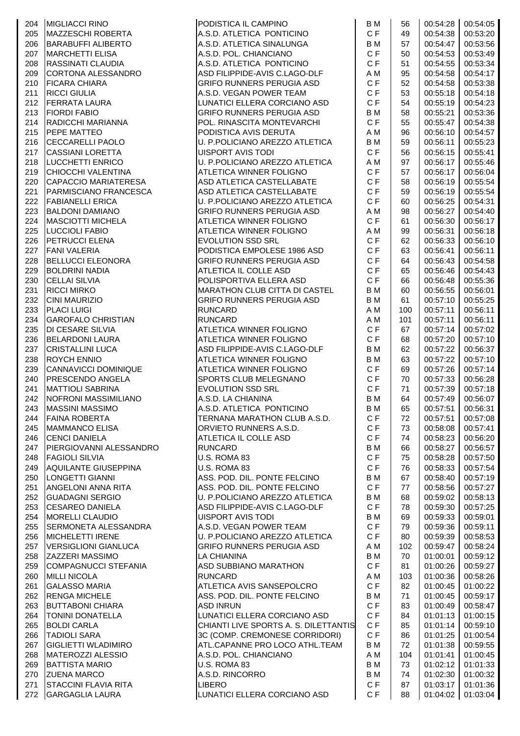|     | 204 MIGLIACCI RINO          | PODISTICA IL CAMPINO                  | B M       | 56  |          | 00:54:28 00:54:05 |
|-----|-----------------------------|---------------------------------------|-----------|-----|----------|-------------------|
| 205 | MAZZESCHI ROBERTA           | A.S.D. ATLETICA PONTICINO             | C F       | 49  | 00:54:38 | 00:53:20          |
| 206 | BARABUFFI ALIBERTO          | A.S.D. ATLETICA SINALUNGA             | B M       | 57  | 00:54:47 | 00:53:56          |
| 207 | <b>MARCHETTI ELISA</b>      | A.S.D. POL. CHIANCIANO                | C F       | 50  | 00:54:53 | 00:53:49          |
| 208 | <b>RASSINATI CLAUDIA</b>    | A.S.D. ATLETICA PONTICINO             | C F       | 51  | 00:54:55 | 00:53:34          |
| 209 | CORTONA ALESSANDRO          | ASD FILIPPIDE-AVIS C.LAGO-DLF         | A M       | 95  | 00:54:58 | 00:54:17          |
| 210 | <b>FICARA CHIARA</b>        | <b>GRIFO RUNNERS PERUGIA ASD</b>      | C F       | 52  | 00:54:58 | 00:53:38          |
| 211 | <b>RICCI GIULIA</b>         | A.S.D. VEGAN POWER TEAM               | CF        | 53  | 00:55:18 | 00:54:18          |
| 212 | <b>FERRATA LAURA</b>        | LUNATICI ELLERA CORCIANO ASD          | C F       | 54  | 00:55:19 | 00:54:23          |
| 213 | <b>FIORDI FABIO</b>         | <b>GRIFO RUNNERS PERUGIA ASD</b>      | <b>BM</b> | 58  | 00:55:21 | 00:53:36          |
| 214 | RADICCHI MARIANNA           | POL. RINASCITA MONTEVARCHI            | C F       | 55  | 00:55:47 | 00:54:38          |
| 215 | PEPE MATTEO                 | PODISTICA AVIS DERUTA                 | A M       | 96  | 00:56:10 | 00:54:57          |
| 216 | <b>CECCARELLI PAOLO</b>     | U. P.POLICIANO AREZZO ATLETICA        | B M       | 59  | 00:56:11 | 00:55:23          |
| 217 | <b>CASSIANI LORETTA</b>     | <b>UISPORT AVIS TODI</b>              | C F       | 56  | 00:56:15 | 00:55:41          |
| 218 | LUCCHETTI ENRICO            | U. P.POLICIANO AREZZO ATLETICA        | A M       | 97  | 00:56:17 | 00:55:46          |
| 219 | CHIOCCHI VALENTINA          | <b>ATLETICA WINNER FOLIGNO</b>        | CF        | 57  | 00:56:17 | 00:56:04          |
| 220 | CAPACCIO MARIATERESA        | ASD ATLETICA CASTELLABATE             | C F       | 58  | 00:56:19 | 00:55:54          |
| 221 | PARMISCIANO FRANCESCA       | ASD ATLETICA CASTELLABATE             | C F       | 59  | 00:56:19 | 00:55:54          |
| 222 | <b>FABIANELLI ERICA</b>     | U. P.POLICIANO AREZZO ATLETICA        | C F       | 60  | 00:56:25 | 00:54:31          |
| 223 | <b>BALDONI DAMIANO</b>      | <b>GRIFO RUNNERS PERUGIA ASD</b>      | A M       | 98  | 00:56:27 | 00:54:40          |
| 224 | <b>MASCIOTTI MICHELA</b>    | ATLETICA WINNER FOLIGNO               | C F       | 61  | 00:56:30 | 00:56:17          |
| 225 | <b>LUCCIOLI FABIO</b>       | ATLETICA WINNER FOLIGNO               | A M       | 99  | 00:56:31 | 00:56:18          |
| 226 | PETRUCCI ELENA              | <b>EVOLUTION SSD SRL</b>              | C F       | 62  | 00:56:33 | 00:56:10          |
| 227 | <b>FANI VALERIA</b>         | PODISTICA EMPOLESE 1986 ASD           | C F       | 63  | 00:56:41 | 00:56:11          |
| 228 | <b>BELLUCCI ELEONORA</b>    | <b>GRIFO RUNNERS PERUGIA ASD</b>      | C F       | 64  | 00:56:43 | 00:54:58          |
| 229 | <b>BOLDRINI NADIA</b>       | ATLETICA IL COLLE ASD                 | C F       | 65  | 00:56:46 | 00:54:43          |
| 230 | <b>CELLAI SILVIA</b>        | POLISPORTIVA ELLERA ASD               | C F       | 66  | 00:56:48 | 00:55:36          |
| 231 | <b>RICCI MIRKO</b>          | <b>MARATHON CLUB CITTA DI CASTEL</b>  | <b>BM</b> | 60  | 00:56:55 | 00:56:01          |
| 232 | <b>CINI MAURIZIO</b>        | <b>GRIFO RUNNERS PERUGIA ASD</b>      | B M       | 61  | 00:57:10 | 00:55:25          |
| 233 | <b>PLACI LUIGI</b>          | <b>RUNCARD</b>                        | A M       | 100 | 00:57:11 | 00:56:11          |
| 234 | <b>GAROFALO CHRISTIAN</b>   | <b>RUNCARD</b>                        | A M       | 101 | 00:57:11 | 00:56:11          |
| 235 | <b>DI CESARE SILVIA</b>     | <b>ATLETICA WINNER FOLIGNO</b>        | C F       | 67  | 00:57:14 | 00:57:02          |
| 236 | <b>BELARDONI LAURA</b>      | <b>ATLETICA WINNER FOLIGNO</b>        | C F       | 68  | 00:57:20 | 00:57:10          |
| 237 | <b>CRISTALLINI LUCA</b>     | ASD FILIPPIDE-AVIS C.LAGO-DLF         | B M       | 62  | 00:57:22 | 00:56:37          |
| 238 | <b>ROYCH ENNIO</b>          | <b>ATLETICA WINNER FOLIGNO</b>        | B M       | 63  | 00:57:22 | 00:57:10          |
| 239 | CANNAVICCI DOMINIQUE        | ATLETICA WINNER FOLIGNO               | C F       | 69  | 00:57:26 | 00:57:14          |
| 240 | PRESCENDO ANGELA            | SPORTS CLUB MELEGNANO                 | C F       | 70  | 00:57:33 | 00:56:28          |
| 241 | <b>MATTIOLI SABRINA</b>     | <b>EVOLUTION SSD SRL</b>              | C F       | 71  | 00:57:39 | 00:57:18          |
| 242 | NOFRONI MASSIMILIANO        | A.S.D. LA CHIANINA                    | <b>BM</b> | 64  | 00:57:49 | 00:56:07          |
| 243 | <b>MASSINI MASSIMO</b>      | A.S.D. ATLETICA PONTICINO             | B M       | 65  | 00:57:51 | 00:56:31          |
| 244 | <b>FAINA ROBERTA</b>        | TERNANA MARATHON CLUB A.S.D.          | C F       | 72  | 00:57:51 | 00:57:08          |
| 245 | <b>MAMMANCO ELISA</b>       | ORVIETO RUNNERS A.S.D.                | C F       | 73  | 00:58:08 | 00:57:41          |
| 246 | <b>CENCI DANIELA</b>        | ATLETICA IL COLLE ASD                 | C F       | 74  | 00:58:23 | 00:56:20          |
| 247 | PIERGIOVANNI ALESSANDRO     | <b>RUNCARD</b>                        | B M       | 66  | 00:58:27 | 00:56:57          |
| 248 | <b>FAGIOLI SILVIA</b>       | U.S. ROMA 83                          | C F       | 75  | 00:58:28 | 00:57:50          |
| 249 | AQUILANTE GIUSEPPINA        | U.S. ROMA 83                          | C F       | 76  | 00:58:33 | 00:57:54          |
| 250 | LONGETTI GIANNI             | ASS. POD. DIL. PONTE FELCINO          | B M       | 67  | 00:58:40 | 00:57:19          |
| 251 | <b>ANGELONI ANNA RITA</b>   | ASS. POD. DIL. PONTE FELCINO          | C F       | 77  | 00:58:56 | 00:57:27          |
| 252 | <b>GUADAGNI SERGIO</b>      | U. P.POLICIANO AREZZO ATLETICA        | B M       | 68  | 00:59:02 | 00:58:13          |
| 253 | <b>CESAREO DANIELA</b>      | ASD FILIPPIDE-AVIS C.LAGO-DLF         | C F       | 78  | 00:59:30 | 00:57:25          |
| 254 | MORELLI CLAUDIO             | UISPORT AVIS TODI                     | B M       | 69  | 00:59:33 | 00:59:01          |
| 255 | SERMONETA ALESSANDRA        | A.S.D. VEGAN POWER TEAM               | C F       | 79  | 00:59:36 | 00:59:11          |
| 256 | <b>MICHELETTI IRENE</b>     | U. P.POLICIANO AREZZO ATLETICA        | C F       | 80  | 00:59:39 | 00:58:53          |
| 257 | <b>VERSIGLIONI GIANLUCA</b> | <b>GRIFO RUNNERS PERUGIA ASD</b>      | A M       | 102 | 00:59:47 | 00:58:24          |
| 258 | <b>ZAZZERI MASSIMO</b>      | LA CHIANINA                           | <b>BM</b> | 70  | 01:00:01 | 00:59:12          |
| 259 | COMPAGNUCCI STEFANIA        | ASD SUBBIANO MARATHON                 | C F       | 81  | 01:00:26 | 00:59:27          |
| 260 | <b>MILLI NICOLA</b>         | <b>RUNCARD</b>                        | A M       | 103 | 01:00:36 | 00:58:26          |
| 261 | <b>GALASSO MARIA</b>        | ATLETICA AVIS SANSEPOLCRO             | C F       | 82  | 01:00:45 | 01:00:22          |
| 262 | <b>RENGA MICHELE</b>        | ASS. POD. DIL. PONTE FELCINO          | <b>BM</b> | 71  | 01:00:45 | 00:59:17          |
| 263 | <b>BUTTABONI CHIARA</b>     | <b>ASD INRUN</b>                      | C F       | 83  | 01:00:49 | 00:58:47          |
| 264 | <b>TONINI DONATELLA</b>     | LUNATICI ELLERA CORCIANO ASD          | C F       | 84  | 01:01:13 | 01:00:15          |
| 265 | <b>BOLDI CARLA</b>          | CHIANTI LIVE SPORTS A. S. DILETTANTIS | C F       | 85  | 01:01:14 | 00:59:10          |
| 266 | <b>TADIOLI SARA</b>         | 3C (COMP. CREMONESE CORRIDORI)        | C F       | 86  | 01:01:25 | 01:00:54          |
| 267 | <b>GIGLIETTI WLADIMIRO</b>  | ATL.CAPANNE PRO LOCO ATHL.TEAM        | B M       | 72  | 01:01:38 | 00:59:55          |
| 268 | <b>MATEROZZI ALESSIO</b>    | A.S.D. POL. CHIANCIANO                | A M       | 104 | 01:01:41 | 01:00:45          |
| 269 | <b>BATTISTA MARIO</b>       | U.S. ROMA 83                          | B M       | 73  | 01:02:12 | 01:01:33          |
| 270 | <b>ZUENA MARCO</b>          | A.S.D. RINCORRO                       | <b>BM</b> | 74  | 01:02:30 | 01:00:32          |
| 271 | <b>STACCINI FLAVIA RITA</b> | <b>LIBERO</b>                         | C F       | 87  | 01:03:17 | 01:01:36          |
| 272 | <b>GARGAGLIA LAURA</b>      | LUNATICI ELLERA CORCIANO ASD          | C F       | 88  | 01:04:02 | 01:03:04          |